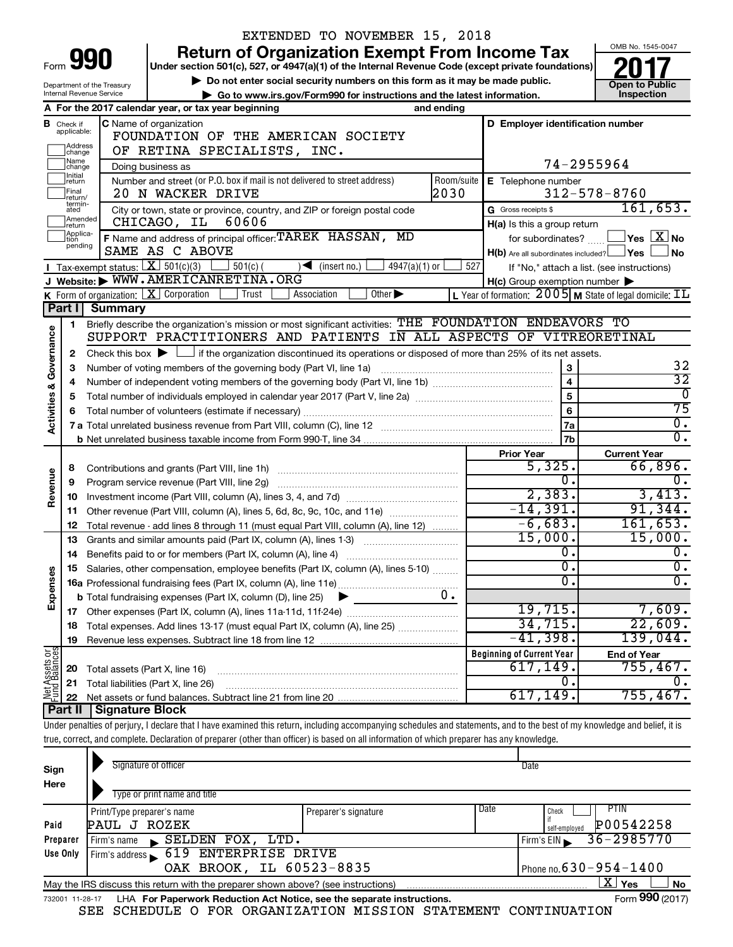|                                |                                                                                                                                                                                                                 |                                                                                                    | EXTENDED TO NOVEMBER 15, 2018                                                                                                                                              |            |                                                                             |                                                                                       |  |  |  |  |
|--------------------------------|-----------------------------------------------------------------------------------------------------------------------------------------------------------------------------------------------------------------|----------------------------------------------------------------------------------------------------|----------------------------------------------------------------------------------------------------------------------------------------------------------------------------|------------|-----------------------------------------------------------------------------|---------------------------------------------------------------------------------------|--|--|--|--|
|                                |                                                                                                                                                                                                                 | 990                                                                                                | <b>Return of Organization Exempt From Income Tax</b>                                                                                                                       |            |                                                                             | OMB No. 1545-0047                                                                     |  |  |  |  |
| Form                           |                                                                                                                                                                                                                 | Under section 501(c), 527, or 4947(a)(1) of the Internal Revenue Code (except private foundations) |                                                                                                                                                                            |            |                                                                             |                                                                                       |  |  |  |  |
|                                | Do not enter social security numbers on this form as it may be made public.<br>Department of the Treasury<br>Internal Revenue Service<br>Go to www.irs.gov/Form990 for instructions and the latest information. |                                                                                                    |                                                                                                                                                                            |            |                                                                             |                                                                                       |  |  |  |  |
|                                |                                                                                                                                                                                                                 |                                                                                                    |                                                                                                                                                                            |            |                                                                             | <b>Open to Public</b><br>Inspection                                                   |  |  |  |  |
|                                |                                                                                                                                                                                                                 |                                                                                                    | A For the 2017 calendar year, or tax year beginning                                                                                                                        | and ending |                                                                             |                                                                                       |  |  |  |  |
|                                | <b>B</b> Check if<br>applicable:                                                                                                                                                                                |                                                                                                    | C Name of organization                                                                                                                                                     |            | D Employer identification number                                            |                                                                                       |  |  |  |  |
|                                | Address                                                                                                                                                                                                         |                                                                                                    | FOUNDATION OF THE AMERICAN SOCIETY                                                                                                                                         |            |                                                                             |                                                                                       |  |  |  |  |
|                                | change<br> Name                                                                                                                                                                                                 |                                                                                                    | OF RETINA SPECIALISTS, INC.                                                                                                                                                |            |                                                                             |                                                                                       |  |  |  |  |
|                                | change<br>Initial                                                                                                                                                                                               |                                                                                                    | Doing business as                                                                                                                                                          |            |                                                                             | 74-2955964                                                                            |  |  |  |  |
|                                | return<br>Final                                                                                                                                                                                                 |                                                                                                    | Number and street (or P.O. box if mail is not delivered to street address)                                                                                                 | Room/suite | E Telephone number                                                          |                                                                                       |  |  |  |  |
|                                | return/<br>termin-                                                                                                                                                                                              |                                                                                                    | 20 N WACKER DRIVE                                                                                                                                                          | 2030       |                                                                             | $312 - 578 - 8760$<br>161,653.                                                        |  |  |  |  |
|                                | ated<br>Amended                                                                                                                                                                                                 |                                                                                                    | City or town, state or province, country, and ZIP or foreign postal code<br>60606<br>CHICAGO, IL                                                                           |            | G Gross receipts \$                                                         |                                                                                       |  |  |  |  |
|                                | return<br>Applica-                                                                                                                                                                                              |                                                                                                    | F Name and address of principal officer: TAREK HASSAN, MD                                                                                                                  |            | H(a) Is this a group return                                                 | $\exists$ Yes $\boxed{\mathrm{X}}$ No                                                 |  |  |  |  |
|                                | tion<br>pending                                                                                                                                                                                                 |                                                                                                    | SAME AS C ABOVE                                                                                                                                                            |            | for subordinates? [111]<br>$H(b)$ Are all subordinates included? $\Box$ Yes | ∫No                                                                                   |  |  |  |  |
|                                |                                                                                                                                                                                                                 | Tax-exempt status: $X \over 301(c)(3)$                                                             | $501(c)$ (<br>$4947(a)(1)$ or<br>$\sqrt{\frac{1}{1}}$ (insert no.)                                                                                                         | 527        |                                                                             | If "No," attach a list. (see instructions)                                            |  |  |  |  |
|                                |                                                                                                                                                                                                                 |                                                                                                    | J Website: WWW.AMERICANRETINA.ORG                                                                                                                                          |            | $H(c)$ Group exemption number $\blacktriangleright$                         |                                                                                       |  |  |  |  |
|                                |                                                                                                                                                                                                                 |                                                                                                    | K Form of organization: $X$ Corporation<br>Other $\blacktriangleright$<br>Trust<br>Association                                                                             |            |                                                                             | L Year of formation: $2005 \text{ m}$ State of legal domicile: $\overline{\text{1L}}$ |  |  |  |  |
|                                |                                                                                                                                                                                                                 | Part I Summary                                                                                     |                                                                                                                                                                            |            |                                                                             |                                                                                       |  |  |  |  |
|                                | 1                                                                                                                                                                                                               |                                                                                                    | Briefly describe the organization's mission or most significant activities: THE FOUNDATION ENDEAVORS TO                                                                    |            |                                                                             |                                                                                       |  |  |  |  |
|                                |                                                                                                                                                                                                                 |                                                                                                    | SUPPORT PRACTITIONERS AND PATIENTS IN ALL ASPECTS OF VITREORETINAL                                                                                                         |            |                                                                             |                                                                                       |  |  |  |  |
|                                | 2                                                                                                                                                                                                               |                                                                                                    | Check this box $\blacktriangleright$ $\Box$ if the organization discontinued its operations or disposed of more than 25% of its net assets.                                |            |                                                                             |                                                                                       |  |  |  |  |
|                                | 3                                                                                                                                                                                                               | 32                                                                                                 |                                                                                                                                                                            |            |                                                                             |                                                                                       |  |  |  |  |
|                                | 4                                                                                                                                                                                                               | $\overline{32}$                                                                                    |                                                                                                                                                                            |            |                                                                             |                                                                                       |  |  |  |  |
| Activities & Governance        | 5                                                                                                                                                                                                               |                                                                                                    |                                                                                                                                                                            |            | $\overline{5}$                                                              | $\overline{0}$                                                                        |  |  |  |  |
|                                | 6                                                                                                                                                                                                               |                                                                                                    |                                                                                                                                                                            |            | 6                                                                           | $\overline{75}$                                                                       |  |  |  |  |
|                                |                                                                                                                                                                                                                 |                                                                                                    |                                                                                                                                                                            |            | <b>7a</b>                                                                   | $\overline{0}$ .                                                                      |  |  |  |  |
|                                |                                                                                                                                                                                                                 |                                                                                                    |                                                                                                                                                                            |            | 7 <sub>b</sub>                                                              | $\overline{0}$ .                                                                      |  |  |  |  |
|                                |                                                                                                                                                                                                                 |                                                                                                    |                                                                                                                                                                            |            | <b>Prior Year</b>                                                           | <b>Current Year</b>                                                                   |  |  |  |  |
|                                | 8                                                                                                                                                                                                               |                                                                                                    |                                                                                                                                                                            |            | 5,325.                                                                      | 66,896.                                                                               |  |  |  |  |
| Revenue                        | 9                                                                                                                                                                                                               |                                                                                                    | Program service revenue (Part VIII, line 2g) [11] [11] matter contracts are program service revenue (Part VIII, line 2g)                                                   |            | 0                                                                           | 0.                                                                                    |  |  |  |  |
|                                | 10                                                                                                                                                                                                              |                                                                                                    |                                                                                                                                                                            |            | 2,383.                                                                      | 3,413.                                                                                |  |  |  |  |
|                                | 11                                                                                                                                                                                                              |                                                                                                    | Other revenue (Part VIII, column (A), lines 5, 6d, 8c, 9c, 10c, and 11e)                                                                                                   |            | $-14,391.$<br>$-6,683.$                                                     | 91,344.<br>161,653.                                                                   |  |  |  |  |
|                                | 12                                                                                                                                                                                                              |                                                                                                    | Total revenue - add lines 8 through 11 (must equal Part VIII, column (A), line 12)                                                                                         |            | 15,000.                                                                     | 15,000.                                                                               |  |  |  |  |
|                                | 13                                                                                                                                                                                                              |                                                                                                    | Grants and similar amounts paid (Part IX, column (A), lines 1-3)                                                                                                           |            | О.                                                                          | 0.                                                                                    |  |  |  |  |
|                                | 14                                                                                                                                                                                                              |                                                                                                    | Benefits paid to or for members (Part IX, column (A), line 4)                                                                                                              |            | 0,                                                                          | υ.                                                                                    |  |  |  |  |
| Expenses                       | 15                                                                                                                                                                                                              |                                                                                                    | Salaries, other compensation, employee benefits (Part IX, column (A), lines 5-10)                                                                                          |            | 0                                                                           | $\overline{0}$ .                                                                      |  |  |  |  |
|                                |                                                                                                                                                                                                                 |                                                                                                    | <b>b</b> Total fundraising expenses (Part IX, column (D), line 25)<br>▶                                                                                                    | υ.         |                                                                             |                                                                                       |  |  |  |  |
|                                | 17                                                                                                                                                                                                              |                                                                                                    |                                                                                                                                                                            |            | 19,715.                                                                     | 7,609.                                                                                |  |  |  |  |
|                                | 18                                                                                                                                                                                                              |                                                                                                    | Total expenses. Add lines 13-17 (must equal Part IX, column (A), line 25)                                                                                                  |            | 34,715.                                                                     | 22,609.                                                                               |  |  |  |  |
|                                | 19                                                                                                                                                                                                              |                                                                                                    |                                                                                                                                                                            |            | $-41,398.$                                                                  | 139,044.                                                                              |  |  |  |  |
|                                |                                                                                                                                                                                                                 |                                                                                                    |                                                                                                                                                                            |            | <b>Beginning of Current Year</b>                                            | <b>End of Year</b>                                                                    |  |  |  |  |
|                                | 20                                                                                                                                                                                                              | Total assets (Part X, line 16)                                                                     |                                                                                                                                                                            |            | 617,149.                                                                    | 755,467.                                                                              |  |  |  |  |
| Net Assets or<br>Fund Balances | 21                                                                                                                                                                                                              |                                                                                                    | Total liabilities (Part X, line 26)                                                                                                                                        |            | 0                                                                           |                                                                                       |  |  |  |  |
|                                | 22                                                                                                                                                                                                              |                                                                                                    |                                                                                                                                                                            |            | 617,149.                                                                    | 755,467.                                                                              |  |  |  |  |
|                                | Part II                                                                                                                                                                                                         | Signature Block                                                                                    |                                                                                                                                                                            |            |                                                                             |                                                                                       |  |  |  |  |
|                                |                                                                                                                                                                                                                 |                                                                                                    | Under penalties of perjury, I declare that I have examined this return, including accompanying schedules and statements, and to the best of my knowledge and belief, it is |            |                                                                             |                                                                                       |  |  |  |  |
|                                |                                                                                                                                                                                                                 |                                                                                                    | true, correct, and complete. Declaration of preparer (other than officer) is based on all information of which preparer has any knowledge.                                 |            |                                                                             |                                                                                       |  |  |  |  |
|                                |                                                                                                                                                                                                                 |                                                                                                    |                                                                                                                                                                            |            |                                                                             |                                                                                       |  |  |  |  |

| Sign<br>Here    | Signature of officer                                                              |                      |      | Date                         |  |  |  |  |  |
|-----------------|-----------------------------------------------------------------------------------|----------------------|------|------------------------------|--|--|--|--|--|
|                 | Type or print name and title                                                      |                      |      |                              |  |  |  |  |  |
|                 | Print/Type preparer's name                                                        | Preparer's signature | Date | PTIN<br>Check                |  |  |  |  |  |
| Paid            | PAUL J ROZEK                                                                      |                      |      | P00542258<br>self-emploved   |  |  |  |  |  |
| Preparer        | SELDEN FOX, LTD.<br>Firm's name                                                   |                      |      | $36 - 2985770$<br>Firm's EIN |  |  |  |  |  |
| Use Only        | ENTERPRISE DRIVE<br>619<br>Firm's address                                         |                      |      |                              |  |  |  |  |  |
|                 | OAK BROOK, IL 60523-8835<br>Phone no. $630 - 954 - 1400$                          |                      |      |                              |  |  |  |  |  |
|                 | May the IRS discuss this return with the preparer shown above? (see instructions) |                      |      | $X \mid$<br>Yes<br><b>No</b> |  |  |  |  |  |
| 732001 11-28-17 | LHA For Paperwork Reduction Act Notice, see the separate instructions.            |                      |      | Form 990 (2017)              |  |  |  |  |  |

SEE SCHEDULE O FOR ORGANIZATION MISSION STATEMENT CONTINUATION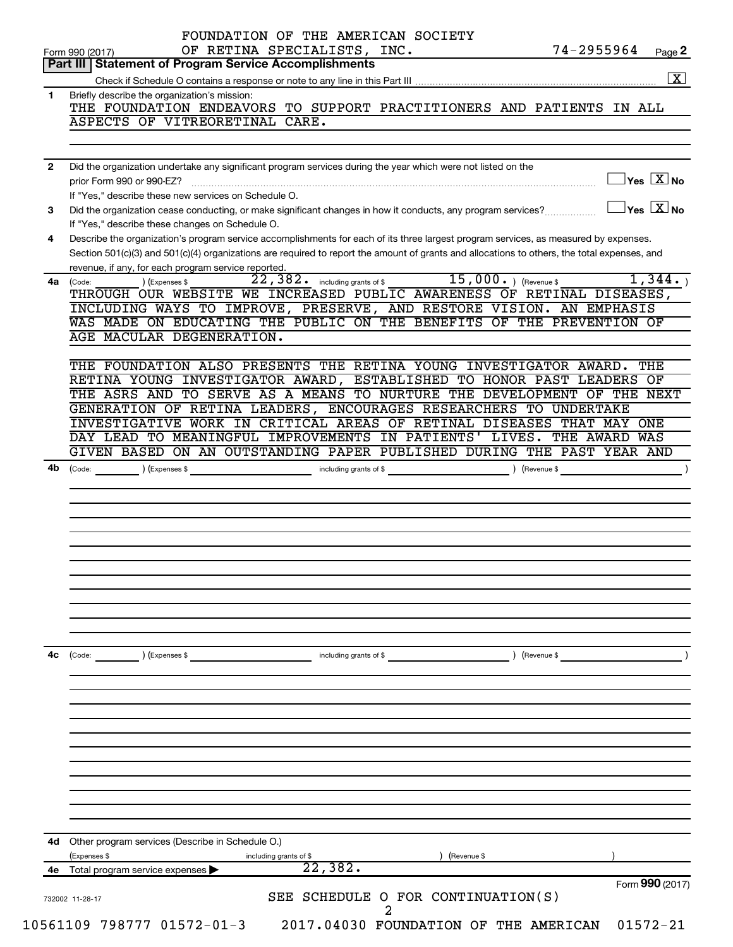|              | OF RETINA SPECIALISTS, INC.<br>74-2955964<br>Page 2<br>Form 990 (2017)<br>Part III   Statement of Program Service Accomplishments                                      |
|--------------|------------------------------------------------------------------------------------------------------------------------------------------------------------------------|
|              | $\boxed{\text{X}}$                                                                                                                                                     |
|              |                                                                                                                                                                        |
| 1            | Briefly describe the organization's mission:<br>THE FOUNDATION ENDEAVORS TO SUPPORT PRACTITIONERS AND PATIENTS IN ALL                                                  |
|              | ASPECTS OF VITREORETINAL CARE.                                                                                                                                         |
|              |                                                                                                                                                                        |
| $\mathbf{2}$ | Did the organization undertake any significant program services during the year which were not listed on the<br>$\Box$ Yes $[\overline{\mathrm{X}}]$ No                |
|              | If "Yes," describe these new services on Schedule O.                                                                                                                   |
| 3            | $\Box$ Yes $~\boxed{\text{X}}$ No<br>Did the organization cease conducting, or make significant changes in how it conducts, any program services?                      |
|              | If "Yes," describe these changes on Schedule O.                                                                                                                        |
| 4            | Describe the organization's program service accomplishments for each of its three largest program services, as measured by expenses.                                   |
|              | Section 501(c)(3) and 501(c)(4) organizations are required to report the amount of grants and allocations to others, the total expenses, and                           |
|              | revenue, if any, for each program service reported.                                                                                                                    |
|              | 22,382. including grants of \$15,000. ) (Revenue \$<br>1,344.<br>) (Expenses \$<br>4a (Code:<br>THROUGH OUR WEBSITE WE INCREASED PUBLIC AWARENESS OF RETINAL DISEASES, |
|              | INCLUDING WAYS TO IMPROVE, PRESERVE, AND RESTORE VISION. AN EMPHASIS                                                                                                   |
|              | WAS MADE ON EDUCATING THE PUBLIC ON THE BENEFITS OF THE PREVENTION OF                                                                                                  |
|              | AGE MACULAR DEGENERATION.                                                                                                                                              |
|              |                                                                                                                                                                        |
|              | THE FOUNDATION ALSO PRESENTS THE RETINA YOUNG INVESTIGATOR AWARD.<br>THE                                                                                               |
|              | RETINA YOUNG INVESTIGATOR AWARD, ESTABLISHED TO HONOR PAST LEADERS OF                                                                                                  |
|              | THE ASRS AND TO SERVE AS A MEANS TO NURTURE THE DEVELOPMENT OF THE NEXT<br>GENERATION OF RETINA LEADERS, ENCOURAGES RESEARCHERS TO UNDERTAKE                           |
|              | INVESTIGATIVE WORK IN CRITICAL AREAS OF RETINAL DISEASES THAT MAY<br>ONE                                                                                               |
|              | DAY LEAD TO MEANINGFUL IMPROVEMENTS IN PATIENTS' LIVES. THE AWARD WAS                                                                                                  |
|              | GIVEN BASED ON AN OUTSTANDING PAPER PUBLISHED DURING THE PAST YEAR AND                                                                                                 |
|              |                                                                                                                                                                        |
|              |                                                                                                                                                                        |
|              |                                                                                                                                                                        |
|              |                                                                                                                                                                        |
|              |                                                                                                                                                                        |
|              |                                                                                                                                                                        |
| 4b           |                                                                                                                                                                        |
|              |                                                                                                                                                                        |
|              |                                                                                                                                                                        |
|              |                                                                                                                                                                        |
|              |                                                                                                                                                                        |
|              |                                                                                                                                                                        |
|              |                                                                                                                                                                        |
|              | ) (Revenue \$<br>(Code: ) (Expenses \$<br>including grants of \$                                                                                                       |
|              |                                                                                                                                                                        |
|              |                                                                                                                                                                        |
|              |                                                                                                                                                                        |
|              |                                                                                                                                                                        |
|              |                                                                                                                                                                        |
|              |                                                                                                                                                                        |
|              |                                                                                                                                                                        |
| 4с           | 4d Other program services (Describe in Schedule O.)                                                                                                                    |
|              | (Expenses \$<br>(Revenue \$<br>including grants of \$                                                                                                                  |
| 4е           | 22, 382.<br>Total program service expenses<br>Form 990 (2017)                                                                                                          |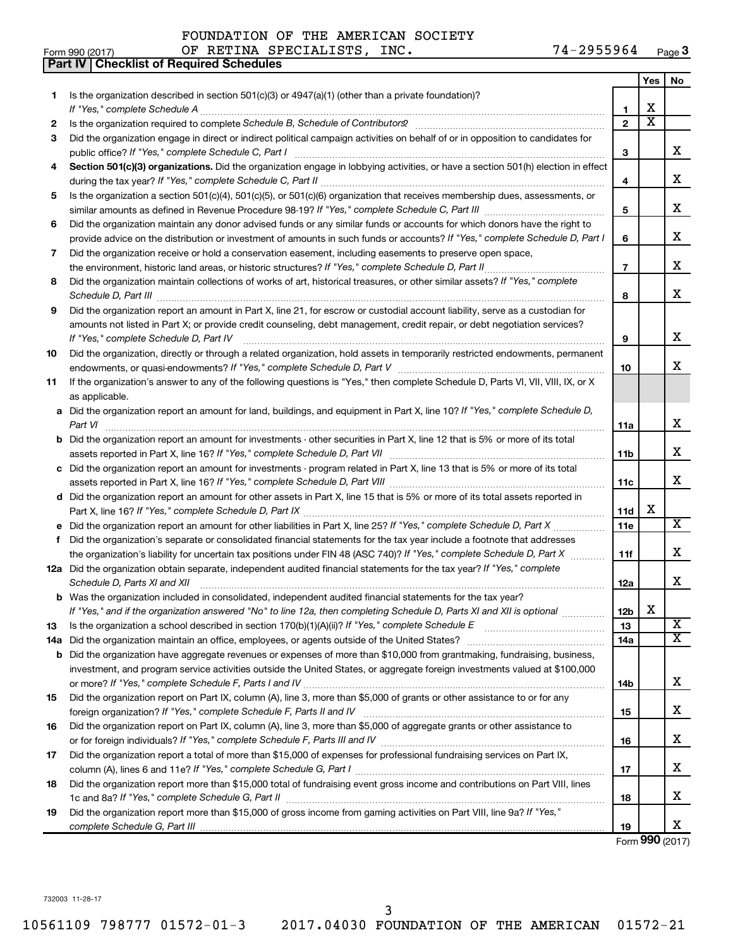| FOUNDATION OF THE AMERICAN SOCIETY |  |  |  |
|------------------------------------|--|--|--|
|------------------------------------|--|--|--|

|           | <b>Part IV   Checklist of Required Schedules</b>                                                                                                                                                                                            |                 |                       |                         |
|-----------|---------------------------------------------------------------------------------------------------------------------------------------------------------------------------------------------------------------------------------------------|-----------------|-----------------------|-------------------------|
|           |                                                                                                                                                                                                                                             |                 | Yes                   | No.                     |
| 1.        | Is the organization described in section $501(c)(3)$ or $4947(a)(1)$ (other than a private foundation)?                                                                                                                                     |                 |                       |                         |
|           |                                                                                                                                                                                                                                             | 1               | х                     |                         |
| 2         |                                                                                                                                                                                                                                             | $\overline{2}$  | $\overline{\text{x}}$ |                         |
| З         | Did the organization engage in direct or indirect political campaign activities on behalf of or in opposition to candidates for                                                                                                             |                 |                       |                         |
|           |                                                                                                                                                                                                                                             | 3               |                       | х                       |
| 4         | Section 501(c)(3) organizations. Did the organization engage in lobbying activities, or have a section 501(h) election in effect                                                                                                            |                 |                       |                         |
|           |                                                                                                                                                                                                                                             | 4               |                       | x                       |
| 5         | Is the organization a section 501(c)(4), 501(c)(5), or 501(c)(6) organization that receives membership dues, assessments, or                                                                                                                |                 |                       |                         |
|           |                                                                                                                                                                                                                                             | 5               |                       | x                       |
| 6         | Did the organization maintain any donor advised funds or any similar funds or accounts for which donors have the right to                                                                                                                   |                 |                       |                         |
|           | provide advice on the distribution or investment of amounts in such funds or accounts? If "Yes," complete Schedule D, Part I                                                                                                                | 6               |                       | x                       |
| 7         | Did the organization receive or hold a conservation easement, including easements to preserve open space,                                                                                                                                   |                 |                       |                         |
|           |                                                                                                                                                                                                                                             | $\overline{7}$  |                       | x                       |
| 8         | Did the organization maintain collections of works of art, historical treasures, or other similar assets? If "Yes," complete                                                                                                                |                 |                       |                         |
|           | Schedule D, Part III <b>Marting Community Contract Contract Contract Contract Contract Contract Contract Contract Contract Contract Contract Contract Contract Contract Contract Contract Contract Contract Contract Contract Co</b>        | 8               |                       | x                       |
| 9         | Did the organization report an amount in Part X, line 21, for escrow or custodial account liability, serve as a custodian for                                                                                                               |                 |                       |                         |
|           | amounts not listed in Part X; or provide credit counseling, debt management, credit repair, or debt negotiation services?                                                                                                                   |                 |                       |                         |
|           |                                                                                                                                                                                                                                             | 9               |                       | x                       |
| 10        | Did the organization, directly or through a related organization, hold assets in temporarily restricted endowments, permanent                                                                                                               |                 |                       |                         |
|           |                                                                                                                                                                                                                                             | 10              |                       | x                       |
| 11        | If the organization's answer to any of the following questions is "Yes," then complete Schedule D, Parts VI, VII, VIII, IX, or X                                                                                                            |                 |                       |                         |
|           | as applicable.                                                                                                                                                                                                                              |                 |                       |                         |
|           | a Did the organization report an amount for land, buildings, and equipment in Part X, line 10? If "Yes," complete Schedule D,                                                                                                               |                 |                       |                         |
|           | Part VI                                                                                                                                                                                                                                     | 11a             |                       | x                       |
|           | <b>b</b> Did the organization report an amount for investments - other securities in Part X, line 12 that is 5% or more of its total                                                                                                        |                 |                       |                         |
|           |                                                                                                                                                                                                                                             | 11 <sub>b</sub> |                       | x                       |
|           | c Did the organization report an amount for investments - program related in Part X, line 13 that is 5% or more of its total                                                                                                                |                 |                       |                         |
|           |                                                                                                                                                                                                                                             | 11c             |                       | x                       |
|           | d Did the organization report an amount for other assets in Part X, line 15 that is 5% or more of its total assets reported in                                                                                                              |                 |                       |                         |
|           |                                                                                                                                                                                                                                             | 11d             | х                     |                         |
|           |                                                                                                                                                                                                                                             | 11e             |                       | $\overline{\mathbf{X}}$ |
| f         | Did the organization's separate or consolidated financial statements for the tax year include a footnote that addresses                                                                                                                     |                 |                       |                         |
|           | the organization's liability for uncertain tax positions under FIN 48 (ASC 740)? If "Yes," complete Schedule D, Part X                                                                                                                      | 11f             |                       | x                       |
|           | 12a Did the organization obtain separate, independent audited financial statements for the tax year? If "Yes," complete                                                                                                                     |                 |                       |                         |
|           | Schedule D, Parts XI and XII                                                                                                                                                                                                                | 12a             |                       | x                       |
|           | <b>b</b> Was the organization included in consolidated, independent audited financial statements for the tax year?<br>If "Yes," and if the organization answered "No" to line 12a, then completing Schedule D, Parts XI and XII is optional | 12 <sub>b</sub> | х                     |                         |
|           |                                                                                                                                                                                                                                             |                 |                       | $\overline{\mathbf{X}}$ |
| 13<br>14a |                                                                                                                                                                                                                                             | 13<br>14a       |                       | $\overline{\mathtt{x}}$ |
|           | <b>b</b> Did the organization have aggregate revenues or expenses of more than \$10,000 from grantmaking, fundraising, business,                                                                                                            |                 |                       |                         |
|           | investment, and program service activities outside the United States, or aggregate foreign investments valued at \$100,000                                                                                                                  |                 |                       |                         |
|           |                                                                                                                                                                                                                                             | 14b             |                       | x                       |
| 15        | Did the organization report on Part IX, column (A), line 3, more than \$5,000 of grants or other assistance to or for any                                                                                                                   |                 |                       |                         |
|           |                                                                                                                                                                                                                                             | 15              |                       | x                       |
| 16        | Did the organization report on Part IX, column (A), line 3, more than \$5,000 of aggregate grants or other assistance to                                                                                                                    |                 |                       |                         |
|           |                                                                                                                                                                                                                                             | 16              |                       | x                       |
| 17        | Did the organization report a total of more than \$15,000 of expenses for professional fundraising services on Part IX,                                                                                                                     |                 |                       |                         |
|           |                                                                                                                                                                                                                                             | 17              |                       | х                       |
| 18        | Did the organization report more than \$15,000 total of fundraising event gross income and contributions on Part VIII, lines                                                                                                                |                 |                       |                         |
|           |                                                                                                                                                                                                                                             | 18              |                       | x                       |
| 19        | Did the organization report more than \$15,000 of gross income from gaming activities on Part VIII, line 9a? If "Yes,"                                                                                                                      |                 |                       |                         |
|           |                                                                                                                                                                                                                                             | 19              |                       | x                       |

Form (2017) **990**

732003 11-28-17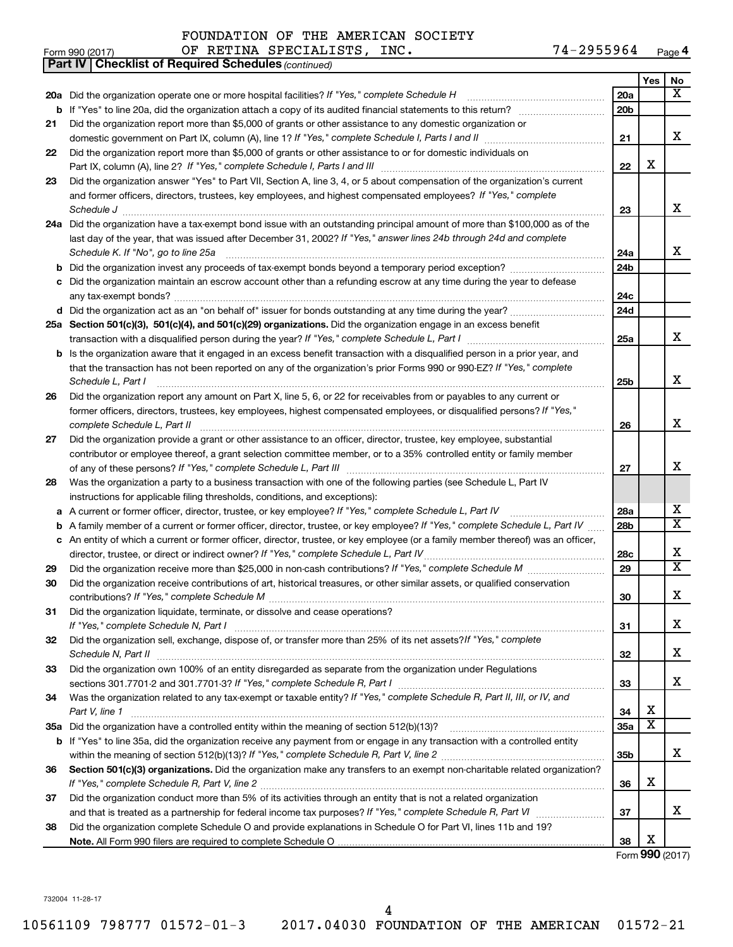|    | 74-2955964<br>OF RETINA SPECIALISTS, INC.<br>Form 990 (2017)                                                                        |                 |                         | Page 4                  |
|----|-------------------------------------------------------------------------------------------------------------------------------------|-----------------|-------------------------|-------------------------|
|    | <b>Part IV   Checklist of Required Schedules (continued)</b>                                                                        |                 |                         |                         |
|    |                                                                                                                                     |                 | Yes                     | No                      |
|    | 20a Did the organization operate one or more hospital facilities? If "Yes," complete Schedule H                                     | 20a             |                         | x                       |
|    | <b>b</b> If "Yes" to line 20a, did the organization attach a copy of its audited financial statements to this return?               | 20 <sub>b</sub> |                         |                         |
| 21 | Did the organization report more than \$5,000 of grants or other assistance to any domestic organization or                         |                 |                         |                         |
|    |                                                                                                                                     | 21              |                         | x                       |
| 22 | Did the organization report more than \$5,000 of grants or other assistance to or for domestic individuals on                       |                 |                         |                         |
|    |                                                                                                                                     | 22              | X                       |                         |
| 23 | Did the organization answer "Yes" to Part VII, Section A, line 3, 4, or 5 about compensation of the organization's current          |                 |                         |                         |
|    | and former officers, directors, trustees, key employees, and highest compensated employees? If "Yes," complete                      |                 |                         |                         |
|    | Schedule J                                                                                                                          | 23              |                         | x                       |
|    | 24a Did the organization have a tax-exempt bond issue with an outstanding principal amount of more than \$100,000 as of the         |                 |                         |                         |
|    | last day of the year, that was issued after December 31, 2002? If "Yes," answer lines 24b through 24d and complete                  |                 |                         |                         |
|    | Schedule K. If "No", go to line 25a [11] Schedule K. If "No", go to line 25a                                                        | 24a             |                         | x                       |
|    |                                                                                                                                     | 24 <sub>b</sub> |                         |                         |
|    | c Did the organization maintain an escrow account other than a refunding escrow at any time during the year to defease              |                 |                         |                         |
|    |                                                                                                                                     | 24c             |                         |                         |
|    |                                                                                                                                     | 24d             |                         |                         |
|    | 25a Section 501(c)(3), 501(c)(4), and 501(c)(29) organizations. Did the organization engage in an excess benefit                    |                 |                         |                         |
|    |                                                                                                                                     | 25a             |                         | x                       |
|    | <b>b</b> Is the organization aware that it engaged in an excess benefit transaction with a disqualified person in a prior year, and |                 |                         |                         |
|    | that the transaction has not been reported on any of the organization's prior Forms 990 or 990-EZ? If "Yes," complete               |                 |                         |                         |
|    | Schedule L, Part I                                                                                                                  | 25b             |                         | x                       |
| 26 | Did the organization report any amount on Part X, line 5, 6, or 22 for receivables from or payables to any current or               |                 |                         |                         |
|    | former officers, directors, trustees, key employees, highest compensated employees, or disqualified persons? If "Yes,"              |                 |                         |                         |
|    | complete Schedule L, Part II                                                                                                        | 26              |                         | x                       |
| 27 | Did the organization provide a grant or other assistance to an officer, director, trustee, key employee, substantial                |                 |                         |                         |
|    | contributor or employee thereof, a grant selection committee member, or to a 35% controlled entity or family member                 |                 |                         |                         |
|    |                                                                                                                                     | 27              |                         | x                       |
| 28 | Was the organization a party to a business transaction with one of the following parties (see Schedule L, Part IV                   |                 |                         |                         |
|    | instructions for applicable filing thresholds, conditions, and exceptions):                                                         |                 |                         |                         |
|    | a A current or former officer, director, trustee, or key employee? If "Yes," complete Schedule L, Part IV                           | 28a             |                         | x                       |
|    | <b>b</b> A family member of a current or former officer, director, trustee, or key employee? If "Yes," complete Schedule L, Part IV | 28 <sub>b</sub> |                         | $\overline{\mathtt{x}}$ |
|    | c An entity of which a current or former officer, director, trustee, or key employee (or a family member thereof) was an officer,   |                 |                         |                         |
|    | director, trustee, or direct or indirect owner? If "Yes," complete Schedule L, Part IV.                                             | <b>28c</b>      |                         | х                       |
| 29 |                                                                                                                                     | 29              |                         | $\overline{\mathtt{x}}$ |
| 30 | Did the organization receive contributions of art, historical treasures, or other similar assets, or qualified conservation         |                 |                         |                         |
|    |                                                                                                                                     | 30              |                         | х                       |
| 31 | Did the organization liquidate, terminate, or dissolve and cease operations?                                                        |                 |                         |                         |
|    |                                                                                                                                     | 31              |                         | x                       |
| 32 | Did the organization sell, exchange, dispose of, or transfer more than 25% of its net assets? If "Yes," complete                    |                 |                         |                         |
|    |                                                                                                                                     | 32              |                         | X                       |
| 33 | Did the organization own 100% of an entity disregarded as separate from the organization under Regulations                          |                 |                         |                         |
|    |                                                                                                                                     | 33              |                         | X                       |
| 34 | Was the organization related to any tax-exempt or taxable entity? If "Yes," complete Schedule R, Part II, III, or IV, and           |                 |                         |                         |
|    | Part V, line 1                                                                                                                      | 34              | X                       |                         |
|    |                                                                                                                                     | 35a             | $\overline{\textbf{x}}$ |                         |
|    | <b>b</b> If "Yes" to line 35a, did the organization receive any payment from or engage in any transaction with a controlled entity  |                 |                         |                         |
|    |                                                                                                                                     | 35b             |                         | x                       |
| 36 | Section 501(c)(3) organizations. Did the organization make any transfers to an exempt non-charitable related organization?          |                 |                         |                         |
|    |                                                                                                                                     | 36              | X                       |                         |
| 37 | Did the organization conduct more than 5% of its activities through an entity that is not a related organization                    |                 |                         |                         |
|    |                                                                                                                                     | 37              |                         | х                       |
| 38 | Did the organization complete Schedule O and provide explanations in Schedule O for Part VI, lines 11b and 19?                      |                 |                         |                         |
|    |                                                                                                                                     | 38              | х                       |                         |
|    |                                                                                                                                     |                 |                         | Form 990 (2017)         |

732004 11-28-17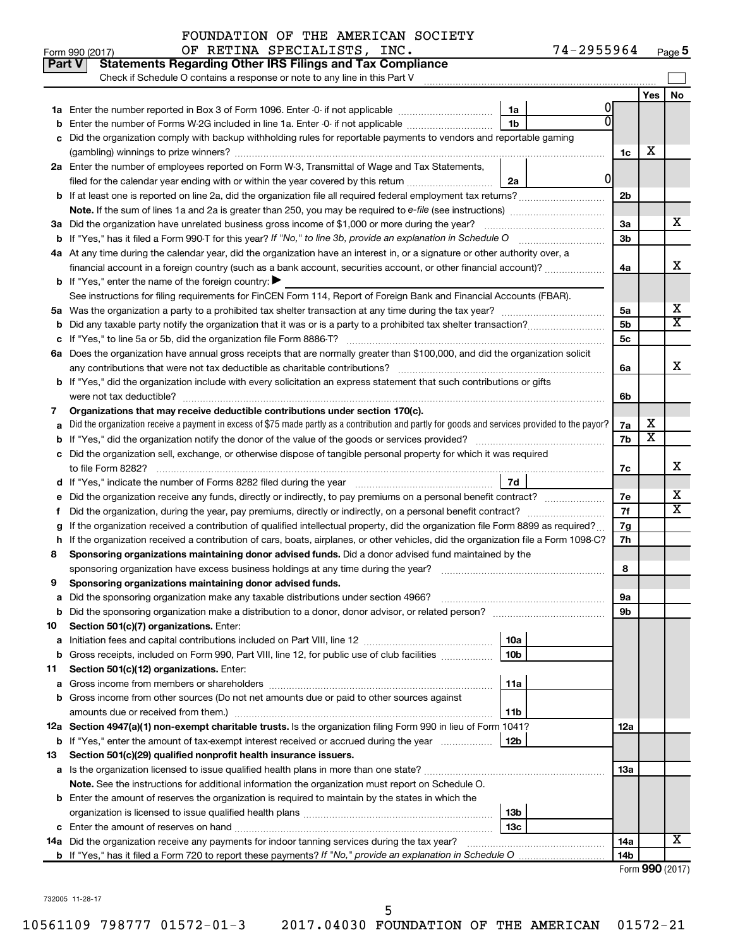| <b>No</b><br>Yes<br>1a<br>1 <sub>b</sub><br>Enter the number of Forms W-2G included in line 1a. Enter -0- if not applicable<br>Did the organization comply with backup withholding rules for reportable payments to vendors and reportable gaming<br>х<br>1c<br>2a Enter the number of employees reported on Form W-3, Transmittal of Wage and Tax Statements,<br>0<br>filed for the calendar year ending with or within the year covered by this return <i>[[[[[[[[[[[[[]]]</i> ]]<br>2a<br>2 <sub>b</sub><br>x<br>3a Did the organization have unrelated business gross income of \$1,000 or more during the year?<br>За<br>3b<br>4a At any time during the calendar year, did the organization have an interest in, or a signature or other authority over, a<br>x<br>financial account in a foreign country (such as a bank account, securities account, or other financial account)?<br>4a<br><b>b</b> If "Yes," enter the name of the foreign country: $\blacktriangleright$<br>See instructions for filing requirements for FinCEN Form 114, Report of Foreign Bank and Financial Accounts (FBAR).<br>x<br>5a<br>5а<br>$\overline{\mathtt{x}}$<br>5 <sub>b</sub><br>5c<br>6a Does the organization have annual gross receipts that are normally greater than \$100,000, and did the organization solicit<br>x<br>6a<br>b If "Yes," did the organization include with every solicitation an express statement that such contributions or gifts<br>were not tax deductible?<br>6b<br>Organizations that may receive deductible contributions under section 170(c).<br>7<br>х<br>Did the organization receive a payment in excess of \$75 made partly as a contribution and partly for goods and services provided to the payor?<br>7a<br>$\overline{\textbf{x}}$<br>7b<br>Did the organization sell, exchange, or otherwise dispose of tangible personal property for which it was required<br>x<br>7c<br>7d<br>x<br>Did the organization receive any funds, directly or indirectly, to pay premiums on a personal benefit contract?<br>7е<br>$\overline{\mathtt{x}}$<br>7f<br>Did the organization, during the year, pay premiums, directly or indirectly, on a personal benefit contract?<br>Ť.<br>If the organization received a contribution of qualified intellectual property, did the organization file Form 8899 as required?<br>7g<br>If the organization received a contribution of cars, boats, airplanes, or other vehicles, did the organization file a Form 1098-C?<br>7h<br>h<br>Sponsoring organizations maintaining donor advised funds. Did a donor advised fund maintained by the<br>8<br>8<br>Sponsoring organizations maintaining donor advised funds.<br>9<br>эа<br>9b<br><b>b</b> Did the sponsoring organization make a distribution to a donor, donor advisor, or related person?<br>Section 501(c)(7) organizations. Enter:<br>10<br>10a<br>a<br>10 <sub>b</sub><br><b>b</b> Gross receipts, included on Form 990, Part VIII, line 12, for public use of club facilities<br>Section 501(c)(12) organizations. Enter:<br>11<br>11a<br>Gross income from members or shareholders<br>а<br>b Gross income from other sources (Do not net amounts due or paid to other sources against<br>amounts due or received from them.)<br>11b<br>12a Section 4947(a)(1) non-exempt charitable trusts. Is the organization filing Form 990 in lieu of Form 1041?<br>12a<br>b If "Yes," enter the amount of tax-exempt interest received or accrued during the year<br>12b<br>Section 501(c)(29) qualified nonprofit health insurance issuers.<br>a Is the organization licensed to issue qualified health plans in more than one state?<br>1За<br>Note. See the instructions for additional information the organization must report on Schedule O.<br><b>b</b> Enter the amount of reserves the organization is required to maintain by the states in which the<br>13 <sub>b</sub><br>13c<br>Χ<br>14a Did the organization receive any payments for indoor tanning services during the tax year?<br>14a<br>14b | Part V | <b>Statements Regarding Other IRS Filings and Tax Compliance</b><br>Check if Schedule O contains a response or note to any line in this Part V |  |  |  |  |  |  |  |
|---------------------------------------------------------------------------------------------------------------------------------------------------------------------------------------------------------------------------------------------------------------------------------------------------------------------------------------------------------------------------------------------------------------------------------------------------------------------------------------------------------------------------------------------------------------------------------------------------------------------------------------------------------------------------------------------------------------------------------------------------------------------------------------------------------------------------------------------------------------------------------------------------------------------------------------------------------------------------------------------------------------------------------------------------------------------------------------------------------------------------------------------------------------------------------------------------------------------------------------------------------------------------------------------------------------------------------------------------------------------------------------------------------------------------------------------------------------------------------------------------------------------------------------------------------------------------------------------------------------------------------------------------------------------------------------------------------------------------------------------------------------------------------------------------------------------------------------------------------------------------------------------------------------------------------------------------------------------------------------------------------------------------------------------------------------------------------------------------------------------------------------------------------------------------------------------------------------------------------------------------------------------------------------------------------------------------------------------------------------------------------------------------------------------------------------------------------------------------------------------------------------------------------------------------------------------------------------------------------------------------------------------------------------------------------------------------------------------------------------------------------------------------------------------------------------------------------------------------------------------------------------------------------------------------------------------------------------------------------------------------------------------------------------------------------------------------------------------------------------------------------------------------------------------------------------------------------------------------------------------------------------------------------------------------------------------------------------------------------------------------------------------------------------------------------------------------------------------------------------------------------------------------------------------------------------------------------------------------------------------------------------------------------------------------------------------------------------------------------------------------------------------------------------------------------------------------------------------------------------------------------------------------------------------------------------------------------------------------------------------------------------------------------|--------|------------------------------------------------------------------------------------------------------------------------------------------------|--|--|--|--|--|--|--|
|                                                                                                                                                                                                                                                                                                                                                                                                                                                                                                                                                                                                                                                                                                                                                                                                                                                                                                                                                                                                                                                                                                                                                                                                                                                                                                                                                                                                                                                                                                                                                                                                                                                                                                                                                                                                                                                                                                                                                                                                                                                                                                                                                                                                                                                                                                                                                                                                                                                                                                                                                                                                                                                                                                                                                                                                                                                                                                                                                                                                                                                                                                                                                                                                                                                                                                                                                                                                                                                                                                                                                                                                                                                                                                                                                                                                                                                                                                                                                                                                                                 |        |                                                                                                                                                |  |  |  |  |  |  |  |
|                                                                                                                                                                                                                                                                                                                                                                                                                                                                                                                                                                                                                                                                                                                                                                                                                                                                                                                                                                                                                                                                                                                                                                                                                                                                                                                                                                                                                                                                                                                                                                                                                                                                                                                                                                                                                                                                                                                                                                                                                                                                                                                                                                                                                                                                                                                                                                                                                                                                                                                                                                                                                                                                                                                                                                                                                                                                                                                                                                                                                                                                                                                                                                                                                                                                                                                                                                                                                                                                                                                                                                                                                                                                                                                                                                                                                                                                                                                                                                                                                                 |        |                                                                                                                                                |  |  |  |  |  |  |  |
|                                                                                                                                                                                                                                                                                                                                                                                                                                                                                                                                                                                                                                                                                                                                                                                                                                                                                                                                                                                                                                                                                                                                                                                                                                                                                                                                                                                                                                                                                                                                                                                                                                                                                                                                                                                                                                                                                                                                                                                                                                                                                                                                                                                                                                                                                                                                                                                                                                                                                                                                                                                                                                                                                                                                                                                                                                                                                                                                                                                                                                                                                                                                                                                                                                                                                                                                                                                                                                                                                                                                                                                                                                                                                                                                                                                                                                                                                                                                                                                                                                 |        |                                                                                                                                                |  |  |  |  |  |  |  |
|                                                                                                                                                                                                                                                                                                                                                                                                                                                                                                                                                                                                                                                                                                                                                                                                                                                                                                                                                                                                                                                                                                                                                                                                                                                                                                                                                                                                                                                                                                                                                                                                                                                                                                                                                                                                                                                                                                                                                                                                                                                                                                                                                                                                                                                                                                                                                                                                                                                                                                                                                                                                                                                                                                                                                                                                                                                                                                                                                                                                                                                                                                                                                                                                                                                                                                                                                                                                                                                                                                                                                                                                                                                                                                                                                                                                                                                                                                                                                                                                                                 |        |                                                                                                                                                |  |  |  |  |  |  |  |
|                                                                                                                                                                                                                                                                                                                                                                                                                                                                                                                                                                                                                                                                                                                                                                                                                                                                                                                                                                                                                                                                                                                                                                                                                                                                                                                                                                                                                                                                                                                                                                                                                                                                                                                                                                                                                                                                                                                                                                                                                                                                                                                                                                                                                                                                                                                                                                                                                                                                                                                                                                                                                                                                                                                                                                                                                                                                                                                                                                                                                                                                                                                                                                                                                                                                                                                                                                                                                                                                                                                                                                                                                                                                                                                                                                                                                                                                                                                                                                                                                                 |        |                                                                                                                                                |  |  |  |  |  |  |  |
|                                                                                                                                                                                                                                                                                                                                                                                                                                                                                                                                                                                                                                                                                                                                                                                                                                                                                                                                                                                                                                                                                                                                                                                                                                                                                                                                                                                                                                                                                                                                                                                                                                                                                                                                                                                                                                                                                                                                                                                                                                                                                                                                                                                                                                                                                                                                                                                                                                                                                                                                                                                                                                                                                                                                                                                                                                                                                                                                                                                                                                                                                                                                                                                                                                                                                                                                                                                                                                                                                                                                                                                                                                                                                                                                                                                                                                                                                                                                                                                                                                 |        |                                                                                                                                                |  |  |  |  |  |  |  |
|                                                                                                                                                                                                                                                                                                                                                                                                                                                                                                                                                                                                                                                                                                                                                                                                                                                                                                                                                                                                                                                                                                                                                                                                                                                                                                                                                                                                                                                                                                                                                                                                                                                                                                                                                                                                                                                                                                                                                                                                                                                                                                                                                                                                                                                                                                                                                                                                                                                                                                                                                                                                                                                                                                                                                                                                                                                                                                                                                                                                                                                                                                                                                                                                                                                                                                                                                                                                                                                                                                                                                                                                                                                                                                                                                                                                                                                                                                                                                                                                                                 |        |                                                                                                                                                |  |  |  |  |  |  |  |
|                                                                                                                                                                                                                                                                                                                                                                                                                                                                                                                                                                                                                                                                                                                                                                                                                                                                                                                                                                                                                                                                                                                                                                                                                                                                                                                                                                                                                                                                                                                                                                                                                                                                                                                                                                                                                                                                                                                                                                                                                                                                                                                                                                                                                                                                                                                                                                                                                                                                                                                                                                                                                                                                                                                                                                                                                                                                                                                                                                                                                                                                                                                                                                                                                                                                                                                                                                                                                                                                                                                                                                                                                                                                                                                                                                                                                                                                                                                                                                                                                                 |        |                                                                                                                                                |  |  |  |  |  |  |  |
|                                                                                                                                                                                                                                                                                                                                                                                                                                                                                                                                                                                                                                                                                                                                                                                                                                                                                                                                                                                                                                                                                                                                                                                                                                                                                                                                                                                                                                                                                                                                                                                                                                                                                                                                                                                                                                                                                                                                                                                                                                                                                                                                                                                                                                                                                                                                                                                                                                                                                                                                                                                                                                                                                                                                                                                                                                                                                                                                                                                                                                                                                                                                                                                                                                                                                                                                                                                                                                                                                                                                                                                                                                                                                                                                                                                                                                                                                                                                                                                                                                 |        |                                                                                                                                                |  |  |  |  |  |  |  |
|                                                                                                                                                                                                                                                                                                                                                                                                                                                                                                                                                                                                                                                                                                                                                                                                                                                                                                                                                                                                                                                                                                                                                                                                                                                                                                                                                                                                                                                                                                                                                                                                                                                                                                                                                                                                                                                                                                                                                                                                                                                                                                                                                                                                                                                                                                                                                                                                                                                                                                                                                                                                                                                                                                                                                                                                                                                                                                                                                                                                                                                                                                                                                                                                                                                                                                                                                                                                                                                                                                                                                                                                                                                                                                                                                                                                                                                                                                                                                                                                                                 |        |                                                                                                                                                |  |  |  |  |  |  |  |
|                                                                                                                                                                                                                                                                                                                                                                                                                                                                                                                                                                                                                                                                                                                                                                                                                                                                                                                                                                                                                                                                                                                                                                                                                                                                                                                                                                                                                                                                                                                                                                                                                                                                                                                                                                                                                                                                                                                                                                                                                                                                                                                                                                                                                                                                                                                                                                                                                                                                                                                                                                                                                                                                                                                                                                                                                                                                                                                                                                                                                                                                                                                                                                                                                                                                                                                                                                                                                                                                                                                                                                                                                                                                                                                                                                                                                                                                                                                                                                                                                                 |        |                                                                                                                                                |  |  |  |  |  |  |  |
|                                                                                                                                                                                                                                                                                                                                                                                                                                                                                                                                                                                                                                                                                                                                                                                                                                                                                                                                                                                                                                                                                                                                                                                                                                                                                                                                                                                                                                                                                                                                                                                                                                                                                                                                                                                                                                                                                                                                                                                                                                                                                                                                                                                                                                                                                                                                                                                                                                                                                                                                                                                                                                                                                                                                                                                                                                                                                                                                                                                                                                                                                                                                                                                                                                                                                                                                                                                                                                                                                                                                                                                                                                                                                                                                                                                                                                                                                                                                                                                                                                 |        |                                                                                                                                                |  |  |  |  |  |  |  |
|                                                                                                                                                                                                                                                                                                                                                                                                                                                                                                                                                                                                                                                                                                                                                                                                                                                                                                                                                                                                                                                                                                                                                                                                                                                                                                                                                                                                                                                                                                                                                                                                                                                                                                                                                                                                                                                                                                                                                                                                                                                                                                                                                                                                                                                                                                                                                                                                                                                                                                                                                                                                                                                                                                                                                                                                                                                                                                                                                                                                                                                                                                                                                                                                                                                                                                                                                                                                                                                                                                                                                                                                                                                                                                                                                                                                                                                                                                                                                                                                                                 |        |                                                                                                                                                |  |  |  |  |  |  |  |
|                                                                                                                                                                                                                                                                                                                                                                                                                                                                                                                                                                                                                                                                                                                                                                                                                                                                                                                                                                                                                                                                                                                                                                                                                                                                                                                                                                                                                                                                                                                                                                                                                                                                                                                                                                                                                                                                                                                                                                                                                                                                                                                                                                                                                                                                                                                                                                                                                                                                                                                                                                                                                                                                                                                                                                                                                                                                                                                                                                                                                                                                                                                                                                                                                                                                                                                                                                                                                                                                                                                                                                                                                                                                                                                                                                                                                                                                                                                                                                                                                                 |        |                                                                                                                                                |  |  |  |  |  |  |  |
|                                                                                                                                                                                                                                                                                                                                                                                                                                                                                                                                                                                                                                                                                                                                                                                                                                                                                                                                                                                                                                                                                                                                                                                                                                                                                                                                                                                                                                                                                                                                                                                                                                                                                                                                                                                                                                                                                                                                                                                                                                                                                                                                                                                                                                                                                                                                                                                                                                                                                                                                                                                                                                                                                                                                                                                                                                                                                                                                                                                                                                                                                                                                                                                                                                                                                                                                                                                                                                                                                                                                                                                                                                                                                                                                                                                                                                                                                                                                                                                                                                 |        |                                                                                                                                                |  |  |  |  |  |  |  |
|                                                                                                                                                                                                                                                                                                                                                                                                                                                                                                                                                                                                                                                                                                                                                                                                                                                                                                                                                                                                                                                                                                                                                                                                                                                                                                                                                                                                                                                                                                                                                                                                                                                                                                                                                                                                                                                                                                                                                                                                                                                                                                                                                                                                                                                                                                                                                                                                                                                                                                                                                                                                                                                                                                                                                                                                                                                                                                                                                                                                                                                                                                                                                                                                                                                                                                                                                                                                                                                                                                                                                                                                                                                                                                                                                                                                                                                                                                                                                                                                                                 |        |                                                                                                                                                |  |  |  |  |  |  |  |
|                                                                                                                                                                                                                                                                                                                                                                                                                                                                                                                                                                                                                                                                                                                                                                                                                                                                                                                                                                                                                                                                                                                                                                                                                                                                                                                                                                                                                                                                                                                                                                                                                                                                                                                                                                                                                                                                                                                                                                                                                                                                                                                                                                                                                                                                                                                                                                                                                                                                                                                                                                                                                                                                                                                                                                                                                                                                                                                                                                                                                                                                                                                                                                                                                                                                                                                                                                                                                                                                                                                                                                                                                                                                                                                                                                                                                                                                                                                                                                                                                                 |        |                                                                                                                                                |  |  |  |  |  |  |  |
|                                                                                                                                                                                                                                                                                                                                                                                                                                                                                                                                                                                                                                                                                                                                                                                                                                                                                                                                                                                                                                                                                                                                                                                                                                                                                                                                                                                                                                                                                                                                                                                                                                                                                                                                                                                                                                                                                                                                                                                                                                                                                                                                                                                                                                                                                                                                                                                                                                                                                                                                                                                                                                                                                                                                                                                                                                                                                                                                                                                                                                                                                                                                                                                                                                                                                                                                                                                                                                                                                                                                                                                                                                                                                                                                                                                                                                                                                                                                                                                                                                 |        |                                                                                                                                                |  |  |  |  |  |  |  |
|                                                                                                                                                                                                                                                                                                                                                                                                                                                                                                                                                                                                                                                                                                                                                                                                                                                                                                                                                                                                                                                                                                                                                                                                                                                                                                                                                                                                                                                                                                                                                                                                                                                                                                                                                                                                                                                                                                                                                                                                                                                                                                                                                                                                                                                                                                                                                                                                                                                                                                                                                                                                                                                                                                                                                                                                                                                                                                                                                                                                                                                                                                                                                                                                                                                                                                                                                                                                                                                                                                                                                                                                                                                                                                                                                                                                                                                                                                                                                                                                                                 |        |                                                                                                                                                |  |  |  |  |  |  |  |
|                                                                                                                                                                                                                                                                                                                                                                                                                                                                                                                                                                                                                                                                                                                                                                                                                                                                                                                                                                                                                                                                                                                                                                                                                                                                                                                                                                                                                                                                                                                                                                                                                                                                                                                                                                                                                                                                                                                                                                                                                                                                                                                                                                                                                                                                                                                                                                                                                                                                                                                                                                                                                                                                                                                                                                                                                                                                                                                                                                                                                                                                                                                                                                                                                                                                                                                                                                                                                                                                                                                                                                                                                                                                                                                                                                                                                                                                                                                                                                                                                                 |        |                                                                                                                                                |  |  |  |  |  |  |  |
|                                                                                                                                                                                                                                                                                                                                                                                                                                                                                                                                                                                                                                                                                                                                                                                                                                                                                                                                                                                                                                                                                                                                                                                                                                                                                                                                                                                                                                                                                                                                                                                                                                                                                                                                                                                                                                                                                                                                                                                                                                                                                                                                                                                                                                                                                                                                                                                                                                                                                                                                                                                                                                                                                                                                                                                                                                                                                                                                                                                                                                                                                                                                                                                                                                                                                                                                                                                                                                                                                                                                                                                                                                                                                                                                                                                                                                                                                                                                                                                                                                 |        |                                                                                                                                                |  |  |  |  |  |  |  |
|                                                                                                                                                                                                                                                                                                                                                                                                                                                                                                                                                                                                                                                                                                                                                                                                                                                                                                                                                                                                                                                                                                                                                                                                                                                                                                                                                                                                                                                                                                                                                                                                                                                                                                                                                                                                                                                                                                                                                                                                                                                                                                                                                                                                                                                                                                                                                                                                                                                                                                                                                                                                                                                                                                                                                                                                                                                                                                                                                                                                                                                                                                                                                                                                                                                                                                                                                                                                                                                                                                                                                                                                                                                                                                                                                                                                                                                                                                                                                                                                                                 |        |                                                                                                                                                |  |  |  |  |  |  |  |
|                                                                                                                                                                                                                                                                                                                                                                                                                                                                                                                                                                                                                                                                                                                                                                                                                                                                                                                                                                                                                                                                                                                                                                                                                                                                                                                                                                                                                                                                                                                                                                                                                                                                                                                                                                                                                                                                                                                                                                                                                                                                                                                                                                                                                                                                                                                                                                                                                                                                                                                                                                                                                                                                                                                                                                                                                                                                                                                                                                                                                                                                                                                                                                                                                                                                                                                                                                                                                                                                                                                                                                                                                                                                                                                                                                                                                                                                                                                                                                                                                                 |        |                                                                                                                                                |  |  |  |  |  |  |  |
|                                                                                                                                                                                                                                                                                                                                                                                                                                                                                                                                                                                                                                                                                                                                                                                                                                                                                                                                                                                                                                                                                                                                                                                                                                                                                                                                                                                                                                                                                                                                                                                                                                                                                                                                                                                                                                                                                                                                                                                                                                                                                                                                                                                                                                                                                                                                                                                                                                                                                                                                                                                                                                                                                                                                                                                                                                                                                                                                                                                                                                                                                                                                                                                                                                                                                                                                                                                                                                                                                                                                                                                                                                                                                                                                                                                                                                                                                                                                                                                                                                 |        |                                                                                                                                                |  |  |  |  |  |  |  |
|                                                                                                                                                                                                                                                                                                                                                                                                                                                                                                                                                                                                                                                                                                                                                                                                                                                                                                                                                                                                                                                                                                                                                                                                                                                                                                                                                                                                                                                                                                                                                                                                                                                                                                                                                                                                                                                                                                                                                                                                                                                                                                                                                                                                                                                                                                                                                                                                                                                                                                                                                                                                                                                                                                                                                                                                                                                                                                                                                                                                                                                                                                                                                                                                                                                                                                                                                                                                                                                                                                                                                                                                                                                                                                                                                                                                                                                                                                                                                                                                                                 |        |                                                                                                                                                |  |  |  |  |  |  |  |
|                                                                                                                                                                                                                                                                                                                                                                                                                                                                                                                                                                                                                                                                                                                                                                                                                                                                                                                                                                                                                                                                                                                                                                                                                                                                                                                                                                                                                                                                                                                                                                                                                                                                                                                                                                                                                                                                                                                                                                                                                                                                                                                                                                                                                                                                                                                                                                                                                                                                                                                                                                                                                                                                                                                                                                                                                                                                                                                                                                                                                                                                                                                                                                                                                                                                                                                                                                                                                                                                                                                                                                                                                                                                                                                                                                                                                                                                                                                                                                                                                                 |        |                                                                                                                                                |  |  |  |  |  |  |  |
|                                                                                                                                                                                                                                                                                                                                                                                                                                                                                                                                                                                                                                                                                                                                                                                                                                                                                                                                                                                                                                                                                                                                                                                                                                                                                                                                                                                                                                                                                                                                                                                                                                                                                                                                                                                                                                                                                                                                                                                                                                                                                                                                                                                                                                                                                                                                                                                                                                                                                                                                                                                                                                                                                                                                                                                                                                                                                                                                                                                                                                                                                                                                                                                                                                                                                                                                                                                                                                                                                                                                                                                                                                                                                                                                                                                                                                                                                                                                                                                                                                 |        |                                                                                                                                                |  |  |  |  |  |  |  |
|                                                                                                                                                                                                                                                                                                                                                                                                                                                                                                                                                                                                                                                                                                                                                                                                                                                                                                                                                                                                                                                                                                                                                                                                                                                                                                                                                                                                                                                                                                                                                                                                                                                                                                                                                                                                                                                                                                                                                                                                                                                                                                                                                                                                                                                                                                                                                                                                                                                                                                                                                                                                                                                                                                                                                                                                                                                                                                                                                                                                                                                                                                                                                                                                                                                                                                                                                                                                                                                                                                                                                                                                                                                                                                                                                                                                                                                                                                                                                                                                                                 |        |                                                                                                                                                |  |  |  |  |  |  |  |
|                                                                                                                                                                                                                                                                                                                                                                                                                                                                                                                                                                                                                                                                                                                                                                                                                                                                                                                                                                                                                                                                                                                                                                                                                                                                                                                                                                                                                                                                                                                                                                                                                                                                                                                                                                                                                                                                                                                                                                                                                                                                                                                                                                                                                                                                                                                                                                                                                                                                                                                                                                                                                                                                                                                                                                                                                                                                                                                                                                                                                                                                                                                                                                                                                                                                                                                                                                                                                                                                                                                                                                                                                                                                                                                                                                                                                                                                                                                                                                                                                                 |        |                                                                                                                                                |  |  |  |  |  |  |  |
|                                                                                                                                                                                                                                                                                                                                                                                                                                                                                                                                                                                                                                                                                                                                                                                                                                                                                                                                                                                                                                                                                                                                                                                                                                                                                                                                                                                                                                                                                                                                                                                                                                                                                                                                                                                                                                                                                                                                                                                                                                                                                                                                                                                                                                                                                                                                                                                                                                                                                                                                                                                                                                                                                                                                                                                                                                                                                                                                                                                                                                                                                                                                                                                                                                                                                                                                                                                                                                                                                                                                                                                                                                                                                                                                                                                                                                                                                                                                                                                                                                 |        |                                                                                                                                                |  |  |  |  |  |  |  |
|                                                                                                                                                                                                                                                                                                                                                                                                                                                                                                                                                                                                                                                                                                                                                                                                                                                                                                                                                                                                                                                                                                                                                                                                                                                                                                                                                                                                                                                                                                                                                                                                                                                                                                                                                                                                                                                                                                                                                                                                                                                                                                                                                                                                                                                                                                                                                                                                                                                                                                                                                                                                                                                                                                                                                                                                                                                                                                                                                                                                                                                                                                                                                                                                                                                                                                                                                                                                                                                                                                                                                                                                                                                                                                                                                                                                                                                                                                                                                                                                                                 |        |                                                                                                                                                |  |  |  |  |  |  |  |
|                                                                                                                                                                                                                                                                                                                                                                                                                                                                                                                                                                                                                                                                                                                                                                                                                                                                                                                                                                                                                                                                                                                                                                                                                                                                                                                                                                                                                                                                                                                                                                                                                                                                                                                                                                                                                                                                                                                                                                                                                                                                                                                                                                                                                                                                                                                                                                                                                                                                                                                                                                                                                                                                                                                                                                                                                                                                                                                                                                                                                                                                                                                                                                                                                                                                                                                                                                                                                                                                                                                                                                                                                                                                                                                                                                                                                                                                                                                                                                                                                                 |        |                                                                                                                                                |  |  |  |  |  |  |  |
|                                                                                                                                                                                                                                                                                                                                                                                                                                                                                                                                                                                                                                                                                                                                                                                                                                                                                                                                                                                                                                                                                                                                                                                                                                                                                                                                                                                                                                                                                                                                                                                                                                                                                                                                                                                                                                                                                                                                                                                                                                                                                                                                                                                                                                                                                                                                                                                                                                                                                                                                                                                                                                                                                                                                                                                                                                                                                                                                                                                                                                                                                                                                                                                                                                                                                                                                                                                                                                                                                                                                                                                                                                                                                                                                                                                                                                                                                                                                                                                                                                 |        |                                                                                                                                                |  |  |  |  |  |  |  |
|                                                                                                                                                                                                                                                                                                                                                                                                                                                                                                                                                                                                                                                                                                                                                                                                                                                                                                                                                                                                                                                                                                                                                                                                                                                                                                                                                                                                                                                                                                                                                                                                                                                                                                                                                                                                                                                                                                                                                                                                                                                                                                                                                                                                                                                                                                                                                                                                                                                                                                                                                                                                                                                                                                                                                                                                                                                                                                                                                                                                                                                                                                                                                                                                                                                                                                                                                                                                                                                                                                                                                                                                                                                                                                                                                                                                                                                                                                                                                                                                                                 |        |                                                                                                                                                |  |  |  |  |  |  |  |
|                                                                                                                                                                                                                                                                                                                                                                                                                                                                                                                                                                                                                                                                                                                                                                                                                                                                                                                                                                                                                                                                                                                                                                                                                                                                                                                                                                                                                                                                                                                                                                                                                                                                                                                                                                                                                                                                                                                                                                                                                                                                                                                                                                                                                                                                                                                                                                                                                                                                                                                                                                                                                                                                                                                                                                                                                                                                                                                                                                                                                                                                                                                                                                                                                                                                                                                                                                                                                                                                                                                                                                                                                                                                                                                                                                                                                                                                                                                                                                                                                                 |        |                                                                                                                                                |  |  |  |  |  |  |  |
|                                                                                                                                                                                                                                                                                                                                                                                                                                                                                                                                                                                                                                                                                                                                                                                                                                                                                                                                                                                                                                                                                                                                                                                                                                                                                                                                                                                                                                                                                                                                                                                                                                                                                                                                                                                                                                                                                                                                                                                                                                                                                                                                                                                                                                                                                                                                                                                                                                                                                                                                                                                                                                                                                                                                                                                                                                                                                                                                                                                                                                                                                                                                                                                                                                                                                                                                                                                                                                                                                                                                                                                                                                                                                                                                                                                                                                                                                                                                                                                                                                 |        |                                                                                                                                                |  |  |  |  |  |  |  |
|                                                                                                                                                                                                                                                                                                                                                                                                                                                                                                                                                                                                                                                                                                                                                                                                                                                                                                                                                                                                                                                                                                                                                                                                                                                                                                                                                                                                                                                                                                                                                                                                                                                                                                                                                                                                                                                                                                                                                                                                                                                                                                                                                                                                                                                                                                                                                                                                                                                                                                                                                                                                                                                                                                                                                                                                                                                                                                                                                                                                                                                                                                                                                                                                                                                                                                                                                                                                                                                                                                                                                                                                                                                                                                                                                                                                                                                                                                                                                                                                                                 |        |                                                                                                                                                |  |  |  |  |  |  |  |
|                                                                                                                                                                                                                                                                                                                                                                                                                                                                                                                                                                                                                                                                                                                                                                                                                                                                                                                                                                                                                                                                                                                                                                                                                                                                                                                                                                                                                                                                                                                                                                                                                                                                                                                                                                                                                                                                                                                                                                                                                                                                                                                                                                                                                                                                                                                                                                                                                                                                                                                                                                                                                                                                                                                                                                                                                                                                                                                                                                                                                                                                                                                                                                                                                                                                                                                                                                                                                                                                                                                                                                                                                                                                                                                                                                                                                                                                                                                                                                                                                                 |        |                                                                                                                                                |  |  |  |  |  |  |  |
|                                                                                                                                                                                                                                                                                                                                                                                                                                                                                                                                                                                                                                                                                                                                                                                                                                                                                                                                                                                                                                                                                                                                                                                                                                                                                                                                                                                                                                                                                                                                                                                                                                                                                                                                                                                                                                                                                                                                                                                                                                                                                                                                                                                                                                                                                                                                                                                                                                                                                                                                                                                                                                                                                                                                                                                                                                                                                                                                                                                                                                                                                                                                                                                                                                                                                                                                                                                                                                                                                                                                                                                                                                                                                                                                                                                                                                                                                                                                                                                                                                 |        |                                                                                                                                                |  |  |  |  |  |  |  |
|                                                                                                                                                                                                                                                                                                                                                                                                                                                                                                                                                                                                                                                                                                                                                                                                                                                                                                                                                                                                                                                                                                                                                                                                                                                                                                                                                                                                                                                                                                                                                                                                                                                                                                                                                                                                                                                                                                                                                                                                                                                                                                                                                                                                                                                                                                                                                                                                                                                                                                                                                                                                                                                                                                                                                                                                                                                                                                                                                                                                                                                                                                                                                                                                                                                                                                                                                                                                                                                                                                                                                                                                                                                                                                                                                                                                                                                                                                                                                                                                                                 |        |                                                                                                                                                |  |  |  |  |  |  |  |
|                                                                                                                                                                                                                                                                                                                                                                                                                                                                                                                                                                                                                                                                                                                                                                                                                                                                                                                                                                                                                                                                                                                                                                                                                                                                                                                                                                                                                                                                                                                                                                                                                                                                                                                                                                                                                                                                                                                                                                                                                                                                                                                                                                                                                                                                                                                                                                                                                                                                                                                                                                                                                                                                                                                                                                                                                                                                                                                                                                                                                                                                                                                                                                                                                                                                                                                                                                                                                                                                                                                                                                                                                                                                                                                                                                                                                                                                                                                                                                                                                                 |        |                                                                                                                                                |  |  |  |  |  |  |  |
|                                                                                                                                                                                                                                                                                                                                                                                                                                                                                                                                                                                                                                                                                                                                                                                                                                                                                                                                                                                                                                                                                                                                                                                                                                                                                                                                                                                                                                                                                                                                                                                                                                                                                                                                                                                                                                                                                                                                                                                                                                                                                                                                                                                                                                                                                                                                                                                                                                                                                                                                                                                                                                                                                                                                                                                                                                                                                                                                                                                                                                                                                                                                                                                                                                                                                                                                                                                                                                                                                                                                                                                                                                                                                                                                                                                                                                                                                                                                                                                                                                 |        |                                                                                                                                                |  |  |  |  |  |  |  |
|                                                                                                                                                                                                                                                                                                                                                                                                                                                                                                                                                                                                                                                                                                                                                                                                                                                                                                                                                                                                                                                                                                                                                                                                                                                                                                                                                                                                                                                                                                                                                                                                                                                                                                                                                                                                                                                                                                                                                                                                                                                                                                                                                                                                                                                                                                                                                                                                                                                                                                                                                                                                                                                                                                                                                                                                                                                                                                                                                                                                                                                                                                                                                                                                                                                                                                                                                                                                                                                                                                                                                                                                                                                                                                                                                                                                                                                                                                                                                                                                                                 |        |                                                                                                                                                |  |  |  |  |  |  |  |
|                                                                                                                                                                                                                                                                                                                                                                                                                                                                                                                                                                                                                                                                                                                                                                                                                                                                                                                                                                                                                                                                                                                                                                                                                                                                                                                                                                                                                                                                                                                                                                                                                                                                                                                                                                                                                                                                                                                                                                                                                                                                                                                                                                                                                                                                                                                                                                                                                                                                                                                                                                                                                                                                                                                                                                                                                                                                                                                                                                                                                                                                                                                                                                                                                                                                                                                                                                                                                                                                                                                                                                                                                                                                                                                                                                                                                                                                                                                                                                                                                                 |        |                                                                                                                                                |  |  |  |  |  |  |  |
|                                                                                                                                                                                                                                                                                                                                                                                                                                                                                                                                                                                                                                                                                                                                                                                                                                                                                                                                                                                                                                                                                                                                                                                                                                                                                                                                                                                                                                                                                                                                                                                                                                                                                                                                                                                                                                                                                                                                                                                                                                                                                                                                                                                                                                                                                                                                                                                                                                                                                                                                                                                                                                                                                                                                                                                                                                                                                                                                                                                                                                                                                                                                                                                                                                                                                                                                                                                                                                                                                                                                                                                                                                                                                                                                                                                                                                                                                                                                                                                                                                 |        |                                                                                                                                                |  |  |  |  |  |  |  |
|                                                                                                                                                                                                                                                                                                                                                                                                                                                                                                                                                                                                                                                                                                                                                                                                                                                                                                                                                                                                                                                                                                                                                                                                                                                                                                                                                                                                                                                                                                                                                                                                                                                                                                                                                                                                                                                                                                                                                                                                                                                                                                                                                                                                                                                                                                                                                                                                                                                                                                                                                                                                                                                                                                                                                                                                                                                                                                                                                                                                                                                                                                                                                                                                                                                                                                                                                                                                                                                                                                                                                                                                                                                                                                                                                                                                                                                                                                                                                                                                                                 | 13     |                                                                                                                                                |  |  |  |  |  |  |  |
|                                                                                                                                                                                                                                                                                                                                                                                                                                                                                                                                                                                                                                                                                                                                                                                                                                                                                                                                                                                                                                                                                                                                                                                                                                                                                                                                                                                                                                                                                                                                                                                                                                                                                                                                                                                                                                                                                                                                                                                                                                                                                                                                                                                                                                                                                                                                                                                                                                                                                                                                                                                                                                                                                                                                                                                                                                                                                                                                                                                                                                                                                                                                                                                                                                                                                                                                                                                                                                                                                                                                                                                                                                                                                                                                                                                                                                                                                                                                                                                                                                 |        |                                                                                                                                                |  |  |  |  |  |  |  |
|                                                                                                                                                                                                                                                                                                                                                                                                                                                                                                                                                                                                                                                                                                                                                                                                                                                                                                                                                                                                                                                                                                                                                                                                                                                                                                                                                                                                                                                                                                                                                                                                                                                                                                                                                                                                                                                                                                                                                                                                                                                                                                                                                                                                                                                                                                                                                                                                                                                                                                                                                                                                                                                                                                                                                                                                                                                                                                                                                                                                                                                                                                                                                                                                                                                                                                                                                                                                                                                                                                                                                                                                                                                                                                                                                                                                                                                                                                                                                                                                                                 |        |                                                                                                                                                |  |  |  |  |  |  |  |
|                                                                                                                                                                                                                                                                                                                                                                                                                                                                                                                                                                                                                                                                                                                                                                                                                                                                                                                                                                                                                                                                                                                                                                                                                                                                                                                                                                                                                                                                                                                                                                                                                                                                                                                                                                                                                                                                                                                                                                                                                                                                                                                                                                                                                                                                                                                                                                                                                                                                                                                                                                                                                                                                                                                                                                                                                                                                                                                                                                                                                                                                                                                                                                                                                                                                                                                                                                                                                                                                                                                                                                                                                                                                                                                                                                                                                                                                                                                                                                                                                                 |        |                                                                                                                                                |  |  |  |  |  |  |  |
|                                                                                                                                                                                                                                                                                                                                                                                                                                                                                                                                                                                                                                                                                                                                                                                                                                                                                                                                                                                                                                                                                                                                                                                                                                                                                                                                                                                                                                                                                                                                                                                                                                                                                                                                                                                                                                                                                                                                                                                                                                                                                                                                                                                                                                                                                                                                                                                                                                                                                                                                                                                                                                                                                                                                                                                                                                                                                                                                                                                                                                                                                                                                                                                                                                                                                                                                                                                                                                                                                                                                                                                                                                                                                                                                                                                                                                                                                                                                                                                                                                 |        |                                                                                                                                                |  |  |  |  |  |  |  |
|                                                                                                                                                                                                                                                                                                                                                                                                                                                                                                                                                                                                                                                                                                                                                                                                                                                                                                                                                                                                                                                                                                                                                                                                                                                                                                                                                                                                                                                                                                                                                                                                                                                                                                                                                                                                                                                                                                                                                                                                                                                                                                                                                                                                                                                                                                                                                                                                                                                                                                                                                                                                                                                                                                                                                                                                                                                                                                                                                                                                                                                                                                                                                                                                                                                                                                                                                                                                                                                                                                                                                                                                                                                                                                                                                                                                                                                                                                                                                                                                                                 |        |                                                                                                                                                |  |  |  |  |  |  |  |
|                                                                                                                                                                                                                                                                                                                                                                                                                                                                                                                                                                                                                                                                                                                                                                                                                                                                                                                                                                                                                                                                                                                                                                                                                                                                                                                                                                                                                                                                                                                                                                                                                                                                                                                                                                                                                                                                                                                                                                                                                                                                                                                                                                                                                                                                                                                                                                                                                                                                                                                                                                                                                                                                                                                                                                                                                                                                                                                                                                                                                                                                                                                                                                                                                                                                                                                                                                                                                                                                                                                                                                                                                                                                                                                                                                                                                                                                                                                                                                                                                                 |        |                                                                                                                                                |  |  |  |  |  |  |  |
|                                                                                                                                                                                                                                                                                                                                                                                                                                                                                                                                                                                                                                                                                                                                                                                                                                                                                                                                                                                                                                                                                                                                                                                                                                                                                                                                                                                                                                                                                                                                                                                                                                                                                                                                                                                                                                                                                                                                                                                                                                                                                                                                                                                                                                                                                                                                                                                                                                                                                                                                                                                                                                                                                                                                                                                                                                                                                                                                                                                                                                                                                                                                                                                                                                                                                                                                                                                                                                                                                                                                                                                                                                                                                                                                                                                                                                                                                                                                                                                                                                 |        |                                                                                                                                                |  |  |  |  |  |  |  |

Form (2017) **990**

732005 11-28-17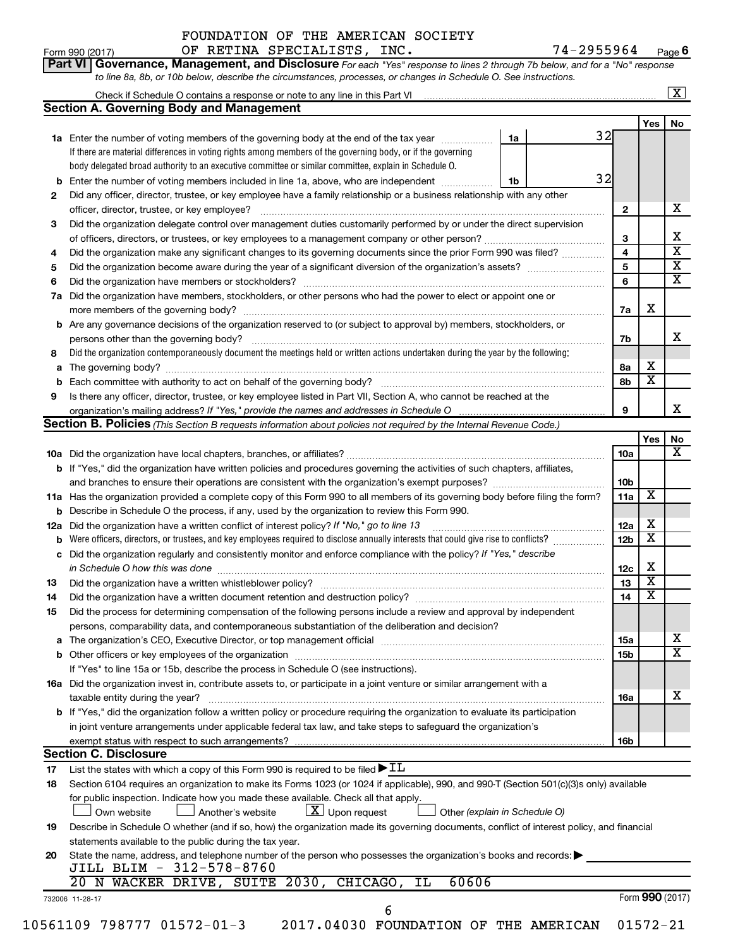$\Gamma$ Form 990 (2017) OF RETINA SPECIALISTS, INC。 /4-Z955964 Page  $\frac{74-2955964}{7}$  Page 6 OF RETINA SPECIALISTS, INC. 74-2955964

|    |                                                                                                                                           |    |                 |                         | $\boxed{\textbf{X}}$    |
|----|-------------------------------------------------------------------------------------------------------------------------------------------|----|-----------------|-------------------------|-------------------------|
|    | <b>Section A. Governing Body and Management</b>                                                                                           |    |                 |                         |                         |
|    |                                                                                                                                           |    |                 | Yes                     | No                      |
|    | 1a Enter the number of voting members of the governing body at the end of the tax year manuscom                                           | 1a | 32              |                         |                         |
|    | If there are material differences in voting rights among members of the governing body, or if the governing                               |    |                 |                         |                         |
|    | body delegated broad authority to an executive committee or similar committee, explain in Schedule O.                                     |    |                 |                         |                         |
| b  | Enter the number of voting members included in line 1a, above, who are independent manuscrition                                           | 1b | 32              |                         |                         |
| 2  | Did any officer, director, trustee, or key employee have a family relationship or a business relationship with any other                  |    |                 |                         |                         |
|    | officer, director, trustee, or key employee?                                                                                              |    | $\mathbf{2}$    |                         | х                       |
| 3  | Did the organization delegate control over management duties customarily performed by or under the direct supervision                     |    |                 |                         |                         |
|    |                                                                                                                                           |    | 3               |                         | Χ                       |
| 4  | Did the organization make any significant changes to its governing documents since the prior Form 990 was filed?                          |    | 4               |                         | $\overline{\textbf{x}}$ |
| 5  |                                                                                                                                           |    | 5               |                         | $\overline{\mathbf{X}}$ |
| 6  |                                                                                                                                           |    | 6               |                         | $\overline{\textbf{X}}$ |
| 7a | Did the organization have members, stockholders, or other persons who had the power to elect or appoint one or                            |    |                 |                         |                         |
|    |                                                                                                                                           |    | 7a              | х                       |                         |
|    | <b>b</b> Are any governance decisions of the organization reserved to (or subject to approval by) members, stockholders, or               |    |                 |                         |                         |
|    | persons other than the governing body?                                                                                                    |    | 7b              |                         | x                       |
| 8  | Did the organization contemporaneously document the meetings held or written actions undertaken during the year by the following:         |    |                 |                         |                         |
| а  |                                                                                                                                           |    | 8a              | х                       |                         |
|    |                                                                                                                                           |    | 8b              | $\overline{\mathbf{X}}$ |                         |
| 9  | Is there any officer, director, trustee, or key employee listed in Part VII, Section A, who cannot be reached at the                      |    |                 |                         |                         |
|    |                                                                                                                                           |    | 9               |                         | х                       |
|    | Section B. Policies (This Section B requests information about policies not required by the Internal Revenue Code.)                       |    |                 |                         |                         |
|    |                                                                                                                                           |    |                 | Yes                     | No                      |
|    |                                                                                                                                           |    | 10a             |                         | х                       |
|    | <b>b</b> If "Yes," did the organization have written policies and procedures governing the activities of such chapters, affiliates,       |    |                 |                         |                         |
|    |                                                                                                                                           |    | 10 <sub>b</sub> |                         |                         |
|    | 11a Has the organization provided a complete copy of this Form 990 to all members of its governing body before filing the form?           |    | 11a             | X                       |                         |
|    | <b>b</b> Describe in Schedule O the process, if any, used by the organization to review this Form 990.                                    |    |                 |                         |                         |
|    | 12a Did the organization have a written conflict of interest policy? If "No," go to line 13                                               |    | 12a             | х                       |                         |
|    | Were officers, directors, or trustees, and key employees required to disclose annually interests that could give rise to conflicts?       |    | 12 <sub>b</sub> | $\overline{\mathbf{X}}$ |                         |
|    | c Did the organization regularly and consistently monitor and enforce compliance with the policy? If "Yes," describe                      |    |                 |                         |                         |
|    | in Schedule O how this was done manufactured and continuum and contact the was done manufactured and contact t                            |    | 12c             | х                       |                         |
|    |                                                                                                                                           |    | 13              | $\overline{\mathbf{X}}$ |                         |
| 14 | Did the organization have a written document retention and destruction policy? [111] [12] manument contains an                            |    | 14              | $\overline{\text{x}}$   |                         |
| 15 | Did the process for determining compensation of the following persons include a review and approval by independent                        |    |                 |                         |                         |
|    | persons, comparability data, and contemporaneous substantiation of the deliberation and decision?                                         |    |                 |                         |                         |
| a  |                                                                                                                                           |    | 15a             |                         | х                       |
|    |                                                                                                                                           |    | 15b             |                         | $\overline{\textbf{X}}$ |
|    | If "Yes" to line 15a or 15b, describe the process in Schedule O (see instructions).                                                       |    |                 |                         |                         |
|    | 16a Did the organization invest in, contribute assets to, or participate in a joint venture or similar arrangement with a                 |    |                 |                         |                         |
|    | taxable entity during the year?                                                                                                           |    | 16a             |                         | х                       |
|    | b If "Yes," did the organization follow a written policy or procedure requiring the organization to evaluate its participation            |    |                 |                         |                         |
|    | in joint venture arrangements under applicable federal tax law, and take steps to safeguard the organization's                            |    |                 |                         |                         |
|    | exempt status with respect to such arrangements?                                                                                          |    | 16b             |                         |                         |
|    | <b>Section C. Disclosure</b>                                                                                                              |    |                 |                         |                         |
| 17 | List the states with which a copy of this Form 990 is required to be filed $\blacktriangleright$ IL                                       |    |                 |                         |                         |
| 18 | Section 6104 requires an organization to make its Forms 1023 (or 1024 if applicable), 990, and 990-T (Section 501(c)(3)s only) available  |    |                 |                         |                         |
|    | for public inspection. Indicate how you made these available. Check all that apply.                                                       |    |                 |                         |                         |
|    | $\lfloor x \rfloor$ Upon request<br>Another's website<br>Other (explain in Schedule O)<br>Own website                                     |    |                 |                         |                         |
| 19 | Describe in Schedule O whether (and if so, how) the organization made its governing documents, conflict of interest policy, and financial |    |                 |                         |                         |
|    | statements available to the public during the tax year.                                                                                   |    |                 |                         |                         |
|    | State the name, address, and telephone number of the person who possesses the organization's books and records:                           |    |                 |                         |                         |
|    | JILL BLIM - 312-578-8760                                                                                                                  |    |                 |                         |                         |
|    |                                                                                                                                           |    |                 |                         |                         |
|    |                                                                                                                                           |    |                 |                         |                         |
| 20 | 20 N WACKER DRIVE, SUITE 2030, CHICAGO, IL<br>60606                                                                                       |    |                 |                         |                         |
|    | 732006 11-28-17<br>6                                                                                                                      |    |                 | Form 990 (2017)         |                         |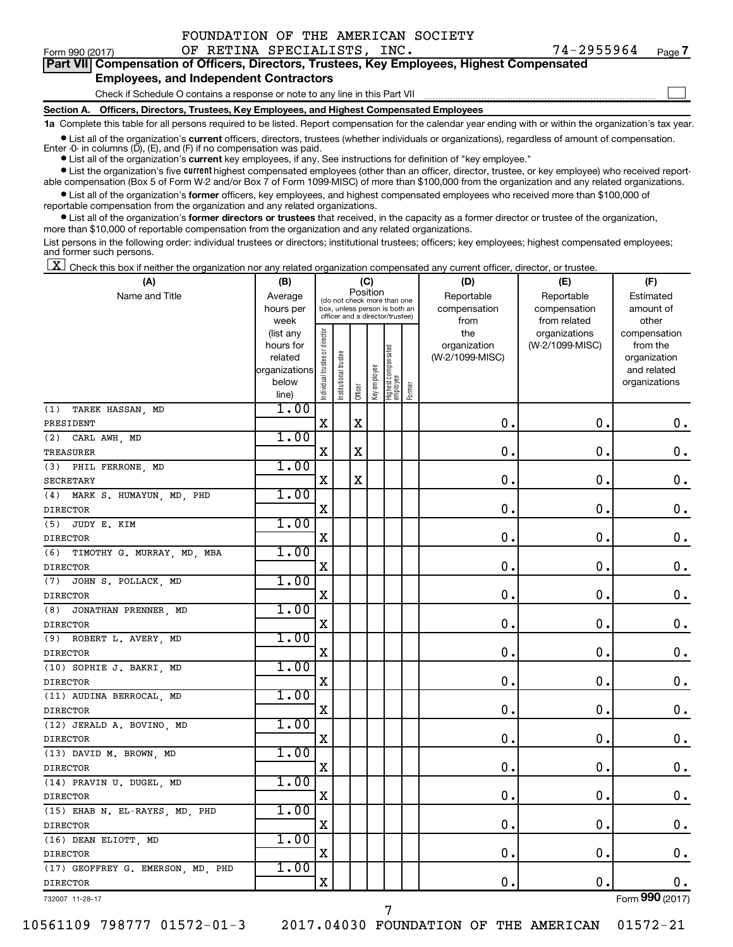| FOUNDATION OF THE AMERICAN SOCIETY |  |  |  |
|------------------------------------|--|--|--|
|------------------------------------|--|--|--|

 $\Box$ 

| Part VII Compensation of Officers, Directors, Trustees, Key Employees, Highest Compensated |  |
|--------------------------------------------------------------------------------------------|--|
| <b>Employees, and Independent Contractors</b>                                              |  |

#### Check if Schedule O contains a response or note to any line in this Part VII

**Section A. Officers, Directors, Trustees, Key Employees, and Highest Compensated Employees**

**1a**  Complete this table for all persons required to be listed. Report compensation for the calendar year ending with or within the organization's tax year.

**•** List all of the organization's current officers, directors, trustees (whether individuals or organizations), regardless of amount of compensation.

**•** List all of the organization's **current** key employees, if any. See instructions for definition of "key employee." Enter -0- in columns  $(D)$ ,  $(E)$ , and  $(F)$  if no compensation was paid.

**•** List the organization's five current highest compensated employees (other than an officer, director, trustee, or key employee) who received report-

**•** List all of the organization's former officers, key employees, and highest compensated employees who received more than \$100,000 of able compensation (Box 5 of Form W-2 and/or Box 7 of Form 1099-MISC) of more than \$100,000 from the organization and any related organizations. reportable compensation from the organization and any related organizations.

**•** List all of the organization's former directors or trustees that received, in the capacity as a former director or trustee of the organization, more than \$10,000 of reportable compensation from the organization and any related organizations.

List persons in the following order: individual trustees or directors; institutional trustees; officers; key employees; highest compensated employees; and former such persons.

 $\boxed{\textbf{X}}$  Check this box if neither the organization nor any related organization compensated any current officer, director, or trustee.

| (A)                               | (B)                  |                                |                                                                  |             | (C)          |                                 |        | (D)             | (E)             | (F)                         |
|-----------------------------------|----------------------|--------------------------------|------------------------------------------------------------------|-------------|--------------|---------------------------------|--------|-----------------|-----------------|-----------------------------|
| Name and Title                    | Average              |                                | (do not check more than one                                      | Position    |              |                                 |        | Reportable      | Reportable      | Estimated                   |
|                                   | hours per            |                                | box, unless person is both an<br>officer and a director/trustee) |             |              |                                 |        | compensation    | compensation    | amount of                   |
|                                   | week                 |                                |                                                                  |             |              |                                 |        | from            | from related    | other                       |
|                                   | (list any            |                                |                                                                  |             |              |                                 |        | the             | organizations   | compensation                |
|                                   | hours for<br>related |                                |                                                                  |             |              |                                 |        | organization    | (W-2/1099-MISC) | from the                    |
|                                   | organizations        |                                |                                                                  |             |              |                                 |        | (W-2/1099-MISC) |                 | organization<br>and related |
|                                   | below                |                                |                                                                  |             |              |                                 |        |                 |                 | organizations               |
|                                   | line)                | Individual trustee or director | Institutional trustee                                            | Officer     | Key employee | Highest compensated<br>employee | Former |                 |                 |                             |
| TAREK HASSAN, MD<br>(1)           | 1.00                 |                                |                                                                  |             |              |                                 |        |                 |                 |                             |
| PRESIDENT                         |                      | X                              |                                                                  | $\mathbf X$ |              |                                 |        | $\mathbf 0$ .   | $\mathbf 0$ .   | $\mathbf 0$ .               |
| (2)<br>CARL AWH, MD               | 1.00                 |                                |                                                                  |             |              |                                 |        |                 |                 |                             |
| <b>TREASURER</b>                  |                      | $\mathbf X$                    |                                                                  | $\mathbf X$ |              |                                 |        | $\mathbf 0$ .   | $\mathbf 0$ .   | $\mathbf 0$ .               |
| (3)<br>PHIL FERRONE, MD           | 1.00                 |                                |                                                                  |             |              |                                 |        |                 |                 |                             |
| <b>SECRETARY</b>                  |                      | $\mathbf X$                    |                                                                  | $\mathbf X$ |              |                                 |        | 0.              | $\mathbf 0$ .   | $\mathbf 0$ .               |
| (4)<br>MARK S. HUMAYUN, MD, PHD   | 1.00                 |                                |                                                                  |             |              |                                 |        |                 |                 |                             |
| <b>DIRECTOR</b>                   |                      | $\mathbf X$                    |                                                                  |             |              |                                 |        | 0               | $\mathbf 0$     | $\mathbf 0$ .               |
| (5)<br>JUDY E. KIM                | 1.00                 |                                |                                                                  |             |              |                                 |        |                 |                 |                             |
| <b>DIRECTOR</b>                   |                      | X                              |                                                                  |             |              |                                 |        | 0               | $\mathbf 0$ .   | 0.                          |
| TIMOTHY G. MURRAY, MD, MBA<br>(6) | 1.00                 |                                |                                                                  |             |              |                                 |        |                 |                 |                             |
| <b>DIRECTOR</b>                   |                      | X                              |                                                                  |             |              |                                 |        | 0               | $\mathbf 0$ .   | $\mathbf 0$ .               |
| (7)<br>JOHN S. POLLACK, MD        | 1.00                 |                                |                                                                  |             |              |                                 |        |                 |                 |                             |
| <b>DIRECTOR</b>                   |                      | X                              |                                                                  |             |              |                                 |        | $\mathbf 0$ .   | $\mathbf 0$ .   | $\mathbf 0$ .               |
| (8)<br>JONATHAN PRENNER, MD       | 1.00                 |                                |                                                                  |             |              |                                 |        |                 |                 |                             |
| <b>DIRECTOR</b>                   |                      | X                              |                                                                  |             |              |                                 |        | 0               | $\mathbf 0$     | $\mathbf 0$ .               |
| (9)<br>ROBERT L. AVERY, MD        | 1.00                 |                                |                                                                  |             |              |                                 |        |                 |                 |                             |
| <b>DIRECTOR</b>                   |                      | X                              |                                                                  |             |              |                                 |        | 0               | $\mathbf 0$ .   | $\mathbf 0$ .               |
| (10) SOPHIE J. BAKRI, MD          | 1.00                 |                                |                                                                  |             |              |                                 |        |                 |                 |                             |
| <b>DIRECTOR</b>                   |                      | X                              |                                                                  |             |              |                                 |        | $\mathbf 0$ .   | $\mathbf 0$ .   | 0.                          |
| (11) AUDINA BERROCAL, MD          | 1.00                 |                                |                                                                  |             |              |                                 |        |                 |                 |                             |
| <b>DIRECTOR</b>                   |                      | $\mathbf X$                    |                                                                  |             |              |                                 |        | 0.              | $\mathbf 0$ .   | $\mathbf 0$ .               |
| (12) JERALD A. BOVINO, MD         | 1.00                 |                                |                                                                  |             |              |                                 |        |                 |                 |                             |
| <b>DIRECTOR</b>                   |                      | X                              |                                                                  |             |              |                                 |        | 0               | $\mathbf 0$ .   | $\mathbf 0$ .               |
| (13) DAVID M. BROWN, MD           | 1.00                 |                                |                                                                  |             |              |                                 |        |                 |                 |                             |
| <b>DIRECTOR</b>                   |                      | X                              |                                                                  |             |              |                                 |        | $\mathbf 0$     | $\mathbf 0$     | $\mathbf 0$ .               |
| (14) PRAVIN U. DUGEL, MD          | 1.00                 |                                |                                                                  |             |              |                                 |        |                 |                 |                             |
| <b>DIRECTOR</b>                   |                      | $\mathbf X$                    |                                                                  |             |              |                                 |        | $\mathbf 0$     | $\mathbf 0$ .   | $\mathbf 0$ .               |
| (15) EHAB N. EL-RAYES, MD, PHD    | 1.00                 |                                |                                                                  |             |              |                                 |        |                 |                 |                             |
| <b>DIRECTOR</b>                   |                      | X                              |                                                                  |             |              |                                 |        | 0               | 0.              | 0.                          |
| (16) DEAN ELIOTT, MD              | 1.00                 |                                |                                                                  |             |              |                                 |        |                 |                 |                             |
| <b>DIRECTOR</b>                   |                      | X                              |                                                                  |             |              |                                 |        | $\mathbf 0$     | $\mathbf 0$     | $\mathbf 0$ .               |
| (17) GEOFFREY G. EMERSON, MD, PHD | 1.00                 |                                |                                                                  |             |              |                                 |        |                 |                 |                             |
| <b>DIRECTOR</b>                   |                      | X                              |                                                                  |             |              |                                 |        | 0.              | $\mathbf 0$     | $0$ .                       |
| 732007 11-28-17                   |                      |                                |                                                                  |             |              |                                 |        |                 |                 | Form 990 (2017)             |

10561109 798777 01572-01-3 2017.04030 FOUNDATION OF THE AMERICAN 01572-21

7

Form (2017) **990**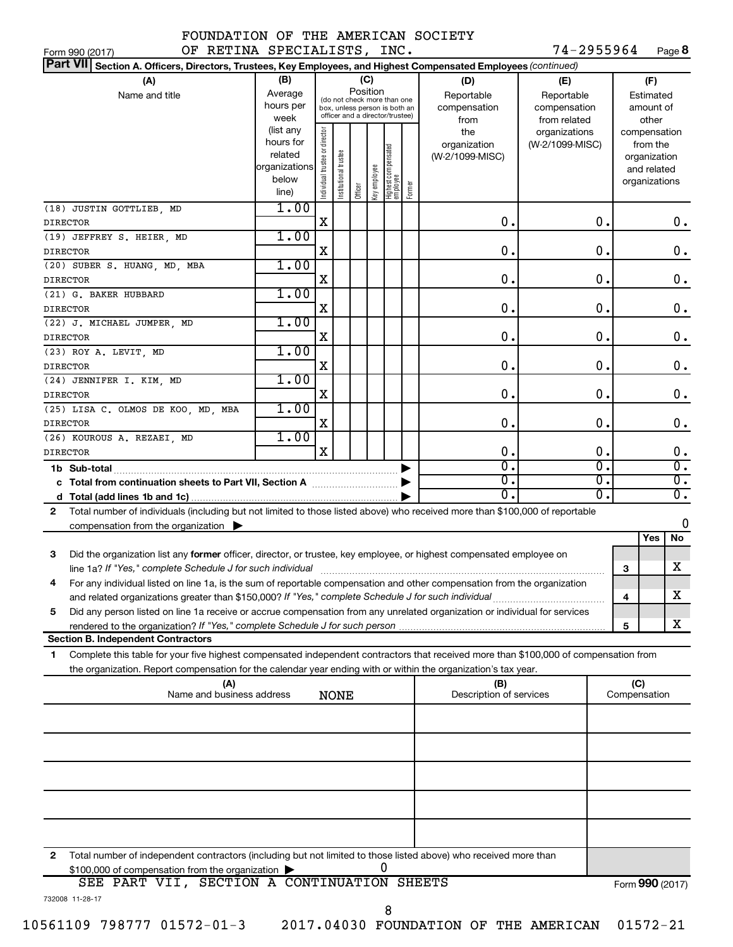| OF RETINA SPECIALISTS, INC.<br>Form 990 (2017)                                                                                                                                                                                       |                                                         |                                |                       |          |              |                                                                                                 |        |                                                  | 74-2955964                                                         |          |                                              |                                        | Page 8                 |
|--------------------------------------------------------------------------------------------------------------------------------------------------------------------------------------------------------------------------------------|---------------------------------------------------------|--------------------------------|-----------------------|----------|--------------|-------------------------------------------------------------------------------------------------|--------|--------------------------------------------------|--------------------------------------------------------------------|----------|----------------------------------------------|----------------------------------------|------------------------|
| Part VII Section A. Officers, Directors, Trustees, Key Employees, and Highest Compensated Employees (continued)                                                                                                                      |                                                         |                                |                       |          |              |                                                                                                 |        |                                                  |                                                                    |          |                                              |                                        |                        |
| (B)<br>(A)<br>Average<br>Name and title<br>hours per<br>week<br>(list any                                                                                                                                                            |                                                         |                                |                       | Position | (C)          | (do not check more than one<br>box, unless person is both an<br>officer and a director/trustee) |        | (D)<br>Reportable<br>compensation<br>from<br>the | (E)<br>Reportable<br>compensation<br>from related<br>organizations |          | compensation                                 | (F)<br>Estimated<br>amount of<br>other |                        |
|                                                                                                                                                                                                                                      | hours for<br>related<br>organizations<br>below<br>line) | Individual trustee or director | Institutional trustee | Officer  | Key employee | Highest compensated<br>employee                                                                 | Former | organization<br>(W-2/1099-MISC)                  | (W-2/1099-MISC)                                                    |          | organization<br>and related<br>organizations | from the                               |                        |
| (18) JUSTIN GOTTLIEB, MD<br><b>DIRECTOR</b>                                                                                                                                                                                          | 1.00                                                    | Χ                              |                       |          |              |                                                                                                 |        | 0.                                               |                                                                    | 0.       |                                              |                                        | $0$ .                  |
| (19) JEFFREY S. HEIER, MD                                                                                                                                                                                                            | 1.00                                                    |                                |                       |          |              |                                                                                                 |        |                                                  |                                                                    |          |                                              |                                        |                        |
| <b>DIRECTOR</b>                                                                                                                                                                                                                      |                                                         | Χ                              |                       |          |              |                                                                                                 |        | 0.                                               |                                                                    | 0.       |                                              |                                        | 0.                     |
| (20) SUBER S. HUANG, MD, MBA                                                                                                                                                                                                         | 1.00                                                    |                                |                       |          |              |                                                                                                 |        |                                                  |                                                                    |          |                                              |                                        |                        |
| <b>DIRECTOR</b>                                                                                                                                                                                                                      |                                                         | Χ                              |                       |          |              |                                                                                                 |        | 0.                                               |                                                                    | 0.       |                                              |                                        | 0.                     |
| (21) G. BAKER HUBBARD                                                                                                                                                                                                                | 1.00                                                    |                                |                       |          |              |                                                                                                 |        |                                                  |                                                                    |          |                                              |                                        |                        |
| <b>DIRECTOR</b>                                                                                                                                                                                                                      |                                                         | Χ                              |                       |          |              |                                                                                                 |        | 0.                                               |                                                                    | 0.       |                                              |                                        | 0.                     |
| (22) J. MICHAEL JUMPER, MD<br><b>DIRECTOR</b>                                                                                                                                                                                        | 1.00                                                    | Χ                              |                       |          |              |                                                                                                 |        | 0.                                               |                                                                    | 0.       |                                              |                                        | $0$ .                  |
| (23) ROY A. LEVIT, MD                                                                                                                                                                                                                | 1.00                                                    |                                |                       |          |              |                                                                                                 |        |                                                  |                                                                    |          |                                              |                                        |                        |
| <b>DIRECTOR</b>                                                                                                                                                                                                                      |                                                         | Χ                              |                       |          |              |                                                                                                 |        | 0.                                               |                                                                    | 0.       |                                              |                                        | 0.                     |
| (24) JENNIFER I. KIM, MD                                                                                                                                                                                                             | 1.00                                                    |                                |                       |          |              |                                                                                                 |        |                                                  |                                                                    |          |                                              |                                        |                        |
| <b>DIRECTOR</b>                                                                                                                                                                                                                      |                                                         | Χ                              |                       |          |              |                                                                                                 |        | 0.                                               | 0.                                                                 |          |                                              | 0.                                     |                        |
| (25) LISA C. OLMOS DE KOO, MD, MBA                                                                                                                                                                                                   | 1.00                                                    |                                |                       |          |              |                                                                                                 |        |                                                  |                                                                    |          |                                              |                                        |                        |
| <b>DIRECTOR</b>                                                                                                                                                                                                                      |                                                         | Χ                              |                       |          |              |                                                                                                 |        | 0.                                               |                                                                    | 0.       |                                              |                                        | $0$ .                  |
| (26) KOUROUS A. REZAEI, MD                                                                                                                                                                                                           | 1.00                                                    |                                |                       |          |              |                                                                                                 |        |                                                  |                                                                    |          |                                              |                                        |                        |
| <b>DIRECTOR</b>                                                                                                                                                                                                                      |                                                         | $\mathbf X$                    |                       |          |              |                                                                                                 |        | 0.<br>$\overline{0}$ .                           |                                                                    | 0.<br>σ. |                                              |                                        | 0.<br>$\overline{0}$ . |
|                                                                                                                                                                                                                                      |                                                         |                                |                       |          |              |                                                                                                 |        | $\overline{0}$ .                                 |                                                                    | σ.       |                                              |                                        | $\overline{0}$ .       |
|                                                                                                                                                                                                                                      |                                                         |                                |                       |          |              |                                                                                                 |        | σ.                                               |                                                                    | σ.       |                                              |                                        | $\overline{0}$ .       |
| Total number of individuals (including but not limited to those listed above) who received more than \$100,000 of reportable<br>$\mathbf{2}$                                                                                         |                                                         |                                |                       |          |              |                                                                                                 |        |                                                  |                                                                    |          |                                              |                                        |                        |
| compensation from the organization $\blacktriangleright$                                                                                                                                                                             |                                                         |                                |                       |          |              |                                                                                                 |        |                                                  |                                                                    |          |                                              |                                        | 0                      |
|                                                                                                                                                                                                                                      |                                                         |                                |                       |          |              |                                                                                                 |        |                                                  |                                                                    |          |                                              | Yes                                    | No                     |
| Did the organization list any former officer, director, or trustee, key employee, or highest compensated employee on<br>3                                                                                                            |                                                         |                                |                       |          |              |                                                                                                 |        |                                                  |                                                                    |          |                                              |                                        |                        |
|                                                                                                                                                                                                                                      |                                                         |                                |                       |          |              |                                                                                                 |        |                                                  |                                                                    |          | 3                                            |                                        | x                      |
| For any individual listed on line 1a, is the sum of reportable compensation and other compensation from the organization<br>4<br>and related organizations greater than \$150,000? If "Yes," complete Schedule J for such individual |                                                         |                                |                       |          |              |                                                                                                 |        |                                                  |                                                                    |          | 4                                            |                                        | X                      |
| Did any person listed on line 1a receive or accrue compensation from any unrelated organization or individual for services<br>5                                                                                                      |                                                         |                                |                       |          |              |                                                                                                 |        |                                                  |                                                                    |          |                                              |                                        |                        |
| rendered to the organization? If "Yes," complete Schedule J for such person manufacture content content content                                                                                                                      |                                                         |                                |                       |          |              |                                                                                                 |        |                                                  |                                                                    |          | 5                                            |                                        | X                      |
| <b>Section B. Independent Contractors</b>                                                                                                                                                                                            |                                                         |                                |                       |          |              |                                                                                                 |        |                                                  |                                                                    |          |                                              |                                        |                        |
| 1<br>Complete this table for your five highest compensated independent contractors that received more than \$100,000 of compensation from                                                                                            |                                                         |                                |                       |          |              |                                                                                                 |        |                                                  |                                                                    |          |                                              |                                        |                        |
| the organization. Report compensation for the calendar year ending with or within the organization's tax year.<br>(A)                                                                                                                |                                                         |                                |                       |          |              |                                                                                                 |        | (B)                                              |                                                                    |          | (C)                                          |                                        |                        |
| Name and business address                                                                                                                                                                                                            |                                                         |                                | <b>NONE</b>           |          |              |                                                                                                 |        | Description of services                          |                                                                    |          | Compensation                                 |                                        |                        |
|                                                                                                                                                                                                                                      |                                                         |                                |                       |          |              |                                                                                                 |        |                                                  |                                                                    |          |                                              |                                        |                        |
|                                                                                                                                                                                                                                      |                                                         |                                |                       |          |              |                                                                                                 |        |                                                  |                                                                    |          |                                              |                                        |                        |

| 2 Total number of independent contractors (including but not limited to those listed above) who received more than |                 |
|--------------------------------------------------------------------------------------------------------------------|-----------------|
| \$100,000 of compensation from the organization                                                                    |                 |
| SEE PART VII, SECTION A CONTINUATION SHEETS                                                                        | Form 990 (2017) |

| 732008 11-28-17 |
|-----------------|
|                 |

8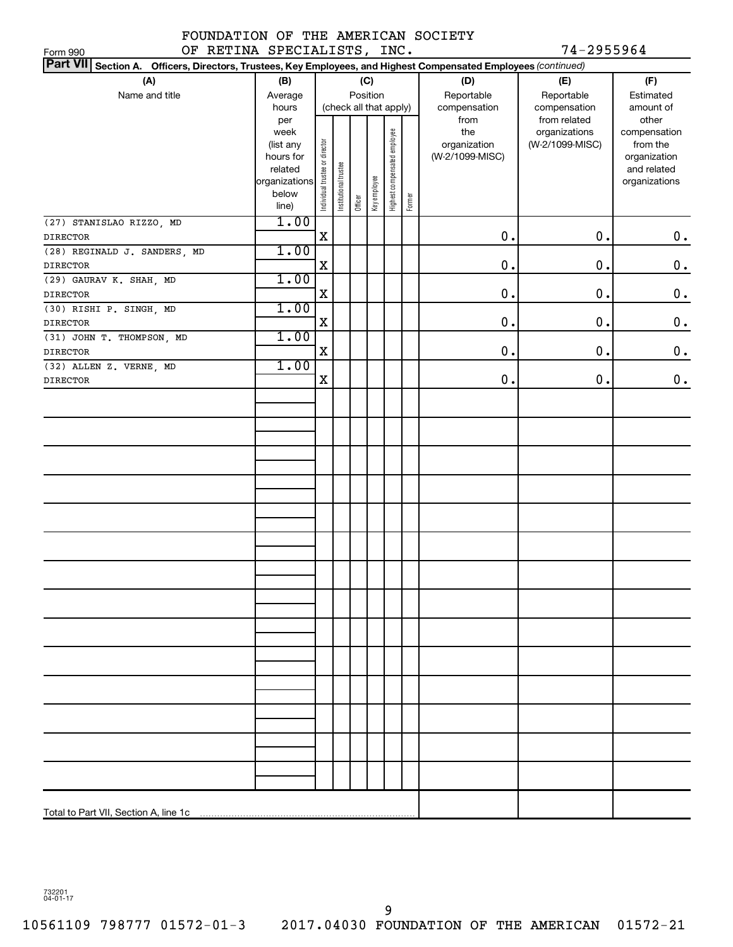#### FOUNDATION OF THE AMERICAN SOCIETY OF RETINA SPECIALISTS, INC. 74-2955964

| Part VII Section A. Officers, Directors, Trustees, Key Employees, and Highest Compensated Employees (continued) |                                                                                              |                                |                                                 |         |                 |                              |        |                                                                |                                                                  |                                                                                                |
|-----------------------------------------------------------------------------------------------------------------|----------------------------------------------------------------------------------------------|--------------------------------|-------------------------------------------------|---------|-----------------|------------------------------|--------|----------------------------------------------------------------|------------------------------------------------------------------|------------------------------------------------------------------------------------------------|
| (A)<br>Name and title                                                                                           | (B)<br>Average                                                                               |                                |                                                 |         | (C)<br>Position |                              |        | (D)<br>Reportable                                              | (E)<br>Reportable                                                | (F)<br>Estimated                                                                               |
|                                                                                                                 | hours<br>per<br>week<br>(list any<br>hours for<br>related<br>organizations<br>below<br>line) | Individual trustee or director | (check all that apply)<br>Institutional trustee | Officer | Key employee    | Highest compensated employee | Former | compensation<br>from<br>the<br>organization<br>(W-2/1099-MISC) | compensation<br>from related<br>organizations<br>(W-2/1099-MISC) | amount of<br>other<br>compensation<br>from the<br>organization<br>and related<br>organizations |
| (27) STANISLAO RIZZO, MD<br>DIRECTOR                                                                            | 1.00                                                                                         | $\mathbf X$                    |                                                 |         |                 |                              |        | 0.                                                             | 0.                                                               | $\mathbf 0$ .                                                                                  |
| (28) REGINALD J. SANDERS, MD<br>DIRECTOR                                                                        | 1.00                                                                                         | $\mathbf X$                    |                                                 |         |                 |                              |        | 0.                                                             | $\mathbf 0$ .                                                    | $\mathbf 0$ .                                                                                  |
| (29) GAURAV K. SHAH, MD<br>DIRECTOR                                                                             | 1.00                                                                                         | $\mathbf X$                    |                                                 |         |                 |                              |        | 0.                                                             | $\mathbf 0$ .                                                    | $\mathbf 0$ .                                                                                  |
| (30) RISHI P. SINGH, MD<br>DIRECTOR                                                                             | 1.00                                                                                         | $\mathbf X$                    |                                                 |         |                 |                              |        | 0.                                                             | $\mathbf 0$ .                                                    | $0$ .                                                                                          |
| (31) JOHN T. THOMPSON, MD<br>DIRECTOR                                                                           | 1.00                                                                                         | $\mathbf X$                    |                                                 |         |                 |                              |        | 0.                                                             | $\mathbf 0$ .                                                    | $\mathbf 0$ .                                                                                  |
| (32) ALLEN Z. VERNE, MD<br>DIRECTOR                                                                             | 1.00                                                                                         | $\mathbf X$                    |                                                 |         |                 |                              |        | $\mathbf 0$ .                                                  | $\mathbf 0$ .                                                    | $\mathbf 0$ .                                                                                  |
|                                                                                                                 |                                                                                              |                                |                                                 |         |                 |                              |        |                                                                |                                                                  |                                                                                                |
|                                                                                                                 |                                                                                              |                                |                                                 |         |                 |                              |        |                                                                |                                                                  |                                                                                                |
|                                                                                                                 |                                                                                              |                                |                                                 |         |                 |                              |        |                                                                |                                                                  |                                                                                                |
|                                                                                                                 |                                                                                              |                                |                                                 |         |                 |                              |        |                                                                |                                                                  |                                                                                                |
|                                                                                                                 |                                                                                              |                                |                                                 |         |                 |                              |        |                                                                |                                                                  |                                                                                                |
|                                                                                                                 |                                                                                              |                                |                                                 |         |                 |                              |        |                                                                |                                                                  |                                                                                                |
|                                                                                                                 |                                                                                              |                                |                                                 |         |                 |                              |        |                                                                |                                                                  |                                                                                                |
|                                                                                                                 |                                                                                              |                                |                                                 |         |                 |                              |        |                                                                |                                                                  |                                                                                                |
|                                                                                                                 |                                                                                              |                                |                                                 |         |                 |                              |        |                                                                |                                                                  |                                                                                                |
|                                                                                                                 |                                                                                              |                                |                                                 |         |                 |                              |        |                                                                |                                                                  |                                                                                                |
|                                                                                                                 |                                                                                              |                                |                                                 |         |                 |                              |        |                                                                |                                                                  |                                                                                                |
|                                                                                                                 |                                                                                              |                                |                                                 |         |                 |                              |        |                                                                |                                                                  |                                                                                                |
|                                                                                                                 |                                                                                              |                                |                                                 |         |                 |                              |        |                                                                |                                                                  |                                                                                                |
|                                                                                                                 |                                                                                              |                                |                                                 |         |                 |                              |        |                                                                |                                                                  |                                                                                                |
| Total to Part VII, Section A, line 1c                                                                           |                                                                                              |                                |                                                 |         |                 |                              |        |                                                                |                                                                  |                                                                                                |

732201 04-01-17

Form 990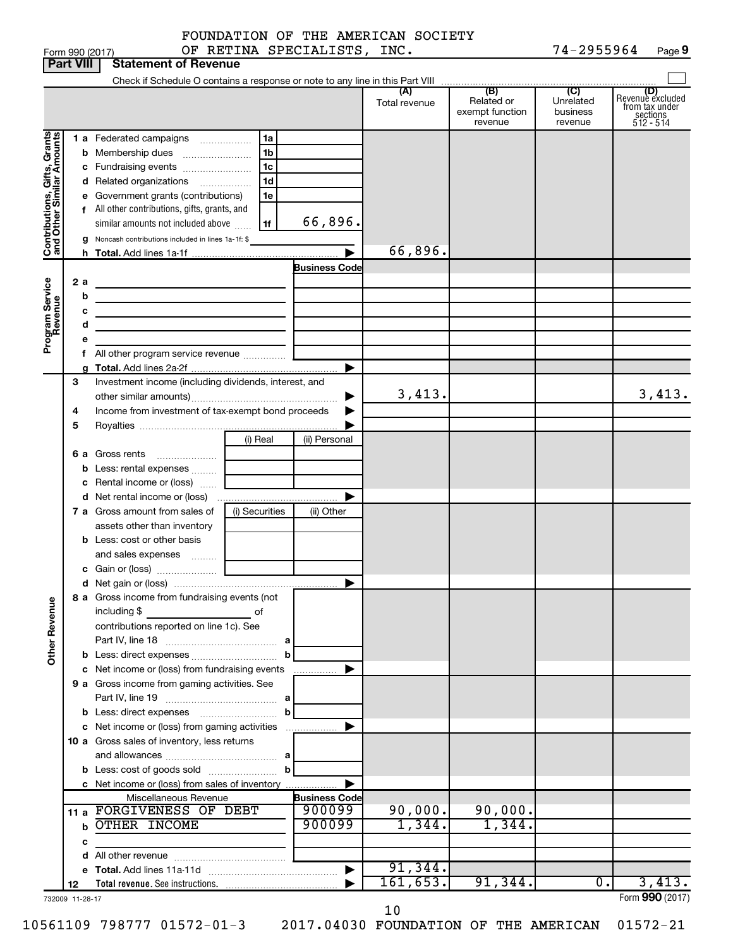| (B)<br>(C)<br>(A)<br>(D)<br>Revenue excluded<br>Related or<br>Unrelated<br>Total revenue<br>from tax under<br>exempt function<br>business<br>sections<br>512 - 514<br>revenue<br>revenue<br>Contributions, Gifts, Grants<br>and Other Similar Amounts<br>1 a Federated campaigns<br>1a<br>1 <sub>b</sub><br>b<br>1 <sub>c</sub><br>c Fundraising events<br>1 <sub>d</sub><br>d Related organizations<br>Government grants (contributions)<br>1e<br>е<br>f All other contributions, gifts, grants, and<br>66,896.<br>similar amounts not included above<br>1f<br>Noncash contributions included in lines 1a-1f: \$<br>g<br>66,896.<br><b>Business Code</b><br>Program Service<br>Revenue<br>2a<br>b<br><u> 1980 - Johann Barbara, martin amerikan basar dan berasal dan berasal dalam basar dalam basar dalam basar dala</u><br>с<br>the control of the control of the control of the control of the control of<br>d<br>the contract of the contract of the contract of the<br>е<br>▶<br>3<br>Investment income (including dividends, interest, and<br>3,413.<br>3,413.<br>▶<br>Income from investment of tax-exempt bond proceeds<br>4<br>5<br>(i) Real<br>(ii) Personal<br>6 a Gross rents<br>Less: rental expenses<br>b<br>Rental income or (loss)<br>с<br>▶<br>7 a Gross amount from sales of<br>(i) Securities<br>(ii) Other<br>assets other than inventory<br><b>b</b> Less: cost or other basis<br>and sales expenses<br>▶<br>8 a Gross income from fundraising events (not<br><b>Other Revenue</b><br>including \$<br>of<br>contributions reported on line 1c). See<br>b<br>c Net income or (loss) from fundraising events<br>▶<br>.<br>9 a Gross income from gaming activities. See<br>b<br>c Net income or (loss) from gaming activities<br>▶<br>10 a Gross sales of inventory, less returns<br>b<br>c Net income or (loss) from sales of inventory<br>▶<br>Miscellaneous Revenue<br><b>Business Code</b><br>11 a FORGIVENESS OF DEBT<br>90,000.<br>90,000.<br>900099<br>1,344.<br>900099<br>1,344.<br><b>b OTHER INCOME</b><br>с<br>91,344.<br>$\blacktriangleright$<br>3,413.<br>161,653.<br>91,344.<br>0.<br>12<br>Form 990 (2017)<br>732009 11-28-17 | <b>Part VIII</b> | <b>Statement of Revenue</b> |  |  |  |
|-------------------------------------------------------------------------------------------------------------------------------------------------------------------------------------------------------------------------------------------------------------------------------------------------------------------------------------------------------------------------------------------------------------------------------------------------------------------------------------------------------------------------------------------------------------------------------------------------------------------------------------------------------------------------------------------------------------------------------------------------------------------------------------------------------------------------------------------------------------------------------------------------------------------------------------------------------------------------------------------------------------------------------------------------------------------------------------------------------------------------------------------------------------------------------------------------------------------------------------------------------------------------------------------------------------------------------------------------------------------------------------------------------------------------------------------------------------------------------------------------------------------------------------------------------------------------------------------------------------------------------------------------------------------------------------------------------------------------------------------------------------------------------------------------------------------------------------------------------------------------------------------------------------------------------------------------------------------------------------------------------------------------------------------------------------------------------------------------------------------------------------------------------------------|------------------|-----------------------------|--|--|--|
|                                                                                                                                                                                                                                                                                                                                                                                                                                                                                                                                                                                                                                                                                                                                                                                                                                                                                                                                                                                                                                                                                                                                                                                                                                                                                                                                                                                                                                                                                                                                                                                                                                                                                                                                                                                                                                                                                                                                                                                                                                                                                                                                                                   |                  |                             |  |  |  |
|                                                                                                                                                                                                                                                                                                                                                                                                                                                                                                                                                                                                                                                                                                                                                                                                                                                                                                                                                                                                                                                                                                                                                                                                                                                                                                                                                                                                                                                                                                                                                                                                                                                                                                                                                                                                                                                                                                                                                                                                                                                                                                                                                                   |                  |                             |  |  |  |
|                                                                                                                                                                                                                                                                                                                                                                                                                                                                                                                                                                                                                                                                                                                                                                                                                                                                                                                                                                                                                                                                                                                                                                                                                                                                                                                                                                                                                                                                                                                                                                                                                                                                                                                                                                                                                                                                                                                                                                                                                                                                                                                                                                   |                  |                             |  |  |  |
|                                                                                                                                                                                                                                                                                                                                                                                                                                                                                                                                                                                                                                                                                                                                                                                                                                                                                                                                                                                                                                                                                                                                                                                                                                                                                                                                                                                                                                                                                                                                                                                                                                                                                                                                                                                                                                                                                                                                                                                                                                                                                                                                                                   |                  |                             |  |  |  |
|                                                                                                                                                                                                                                                                                                                                                                                                                                                                                                                                                                                                                                                                                                                                                                                                                                                                                                                                                                                                                                                                                                                                                                                                                                                                                                                                                                                                                                                                                                                                                                                                                                                                                                                                                                                                                                                                                                                                                                                                                                                                                                                                                                   |                  |                             |  |  |  |
|                                                                                                                                                                                                                                                                                                                                                                                                                                                                                                                                                                                                                                                                                                                                                                                                                                                                                                                                                                                                                                                                                                                                                                                                                                                                                                                                                                                                                                                                                                                                                                                                                                                                                                                                                                                                                                                                                                                                                                                                                                                                                                                                                                   |                  |                             |  |  |  |
|                                                                                                                                                                                                                                                                                                                                                                                                                                                                                                                                                                                                                                                                                                                                                                                                                                                                                                                                                                                                                                                                                                                                                                                                                                                                                                                                                                                                                                                                                                                                                                                                                                                                                                                                                                                                                                                                                                                                                                                                                                                                                                                                                                   |                  |                             |  |  |  |
|                                                                                                                                                                                                                                                                                                                                                                                                                                                                                                                                                                                                                                                                                                                                                                                                                                                                                                                                                                                                                                                                                                                                                                                                                                                                                                                                                                                                                                                                                                                                                                                                                                                                                                                                                                                                                                                                                                                                                                                                                                                                                                                                                                   |                  |                             |  |  |  |
|                                                                                                                                                                                                                                                                                                                                                                                                                                                                                                                                                                                                                                                                                                                                                                                                                                                                                                                                                                                                                                                                                                                                                                                                                                                                                                                                                                                                                                                                                                                                                                                                                                                                                                                                                                                                                                                                                                                                                                                                                                                                                                                                                                   |                  |                             |  |  |  |
|                                                                                                                                                                                                                                                                                                                                                                                                                                                                                                                                                                                                                                                                                                                                                                                                                                                                                                                                                                                                                                                                                                                                                                                                                                                                                                                                                                                                                                                                                                                                                                                                                                                                                                                                                                                                                                                                                                                                                                                                                                                                                                                                                                   |                  |                             |  |  |  |
|                                                                                                                                                                                                                                                                                                                                                                                                                                                                                                                                                                                                                                                                                                                                                                                                                                                                                                                                                                                                                                                                                                                                                                                                                                                                                                                                                                                                                                                                                                                                                                                                                                                                                                                                                                                                                                                                                                                                                                                                                                                                                                                                                                   |                  |                             |  |  |  |
|                                                                                                                                                                                                                                                                                                                                                                                                                                                                                                                                                                                                                                                                                                                                                                                                                                                                                                                                                                                                                                                                                                                                                                                                                                                                                                                                                                                                                                                                                                                                                                                                                                                                                                                                                                                                                                                                                                                                                                                                                                                                                                                                                                   |                  |                             |  |  |  |
|                                                                                                                                                                                                                                                                                                                                                                                                                                                                                                                                                                                                                                                                                                                                                                                                                                                                                                                                                                                                                                                                                                                                                                                                                                                                                                                                                                                                                                                                                                                                                                                                                                                                                                                                                                                                                                                                                                                                                                                                                                                                                                                                                                   |                  |                             |  |  |  |
|                                                                                                                                                                                                                                                                                                                                                                                                                                                                                                                                                                                                                                                                                                                                                                                                                                                                                                                                                                                                                                                                                                                                                                                                                                                                                                                                                                                                                                                                                                                                                                                                                                                                                                                                                                                                                                                                                                                                                                                                                                                                                                                                                                   |                  |                             |  |  |  |
|                                                                                                                                                                                                                                                                                                                                                                                                                                                                                                                                                                                                                                                                                                                                                                                                                                                                                                                                                                                                                                                                                                                                                                                                                                                                                                                                                                                                                                                                                                                                                                                                                                                                                                                                                                                                                                                                                                                                                                                                                                                                                                                                                                   |                  |                             |  |  |  |
|                                                                                                                                                                                                                                                                                                                                                                                                                                                                                                                                                                                                                                                                                                                                                                                                                                                                                                                                                                                                                                                                                                                                                                                                                                                                                                                                                                                                                                                                                                                                                                                                                                                                                                                                                                                                                                                                                                                                                                                                                                                                                                                                                                   |                  |                             |  |  |  |
|                                                                                                                                                                                                                                                                                                                                                                                                                                                                                                                                                                                                                                                                                                                                                                                                                                                                                                                                                                                                                                                                                                                                                                                                                                                                                                                                                                                                                                                                                                                                                                                                                                                                                                                                                                                                                                                                                                                                                                                                                                                                                                                                                                   |                  |                             |  |  |  |
|                                                                                                                                                                                                                                                                                                                                                                                                                                                                                                                                                                                                                                                                                                                                                                                                                                                                                                                                                                                                                                                                                                                                                                                                                                                                                                                                                                                                                                                                                                                                                                                                                                                                                                                                                                                                                                                                                                                                                                                                                                                                                                                                                                   |                  |                             |  |  |  |
|                                                                                                                                                                                                                                                                                                                                                                                                                                                                                                                                                                                                                                                                                                                                                                                                                                                                                                                                                                                                                                                                                                                                                                                                                                                                                                                                                                                                                                                                                                                                                                                                                                                                                                                                                                                                                                                                                                                                                                                                                                                                                                                                                                   |                  |                             |  |  |  |
|                                                                                                                                                                                                                                                                                                                                                                                                                                                                                                                                                                                                                                                                                                                                                                                                                                                                                                                                                                                                                                                                                                                                                                                                                                                                                                                                                                                                                                                                                                                                                                                                                                                                                                                                                                                                                                                                                                                                                                                                                                                                                                                                                                   |                  |                             |  |  |  |
|                                                                                                                                                                                                                                                                                                                                                                                                                                                                                                                                                                                                                                                                                                                                                                                                                                                                                                                                                                                                                                                                                                                                                                                                                                                                                                                                                                                                                                                                                                                                                                                                                                                                                                                                                                                                                                                                                                                                                                                                                                                                                                                                                                   |                  |                             |  |  |  |
|                                                                                                                                                                                                                                                                                                                                                                                                                                                                                                                                                                                                                                                                                                                                                                                                                                                                                                                                                                                                                                                                                                                                                                                                                                                                                                                                                                                                                                                                                                                                                                                                                                                                                                                                                                                                                                                                                                                                                                                                                                                                                                                                                                   |                  |                             |  |  |  |
|                                                                                                                                                                                                                                                                                                                                                                                                                                                                                                                                                                                                                                                                                                                                                                                                                                                                                                                                                                                                                                                                                                                                                                                                                                                                                                                                                                                                                                                                                                                                                                                                                                                                                                                                                                                                                                                                                                                                                                                                                                                                                                                                                                   |                  |                             |  |  |  |
|                                                                                                                                                                                                                                                                                                                                                                                                                                                                                                                                                                                                                                                                                                                                                                                                                                                                                                                                                                                                                                                                                                                                                                                                                                                                                                                                                                                                                                                                                                                                                                                                                                                                                                                                                                                                                                                                                                                                                                                                                                                                                                                                                                   |                  |                             |  |  |  |
|                                                                                                                                                                                                                                                                                                                                                                                                                                                                                                                                                                                                                                                                                                                                                                                                                                                                                                                                                                                                                                                                                                                                                                                                                                                                                                                                                                                                                                                                                                                                                                                                                                                                                                                                                                                                                                                                                                                                                                                                                                                                                                                                                                   |                  |                             |  |  |  |
|                                                                                                                                                                                                                                                                                                                                                                                                                                                                                                                                                                                                                                                                                                                                                                                                                                                                                                                                                                                                                                                                                                                                                                                                                                                                                                                                                                                                                                                                                                                                                                                                                                                                                                                                                                                                                                                                                                                                                                                                                                                                                                                                                                   |                  |                             |  |  |  |
|                                                                                                                                                                                                                                                                                                                                                                                                                                                                                                                                                                                                                                                                                                                                                                                                                                                                                                                                                                                                                                                                                                                                                                                                                                                                                                                                                                                                                                                                                                                                                                                                                                                                                                                                                                                                                                                                                                                                                                                                                                                                                                                                                                   |                  |                             |  |  |  |
|                                                                                                                                                                                                                                                                                                                                                                                                                                                                                                                                                                                                                                                                                                                                                                                                                                                                                                                                                                                                                                                                                                                                                                                                                                                                                                                                                                                                                                                                                                                                                                                                                                                                                                                                                                                                                                                                                                                                                                                                                                                                                                                                                                   |                  |                             |  |  |  |
|                                                                                                                                                                                                                                                                                                                                                                                                                                                                                                                                                                                                                                                                                                                                                                                                                                                                                                                                                                                                                                                                                                                                                                                                                                                                                                                                                                                                                                                                                                                                                                                                                                                                                                                                                                                                                                                                                                                                                                                                                                                                                                                                                                   |                  |                             |  |  |  |
|                                                                                                                                                                                                                                                                                                                                                                                                                                                                                                                                                                                                                                                                                                                                                                                                                                                                                                                                                                                                                                                                                                                                                                                                                                                                                                                                                                                                                                                                                                                                                                                                                                                                                                                                                                                                                                                                                                                                                                                                                                                                                                                                                                   |                  |                             |  |  |  |
|                                                                                                                                                                                                                                                                                                                                                                                                                                                                                                                                                                                                                                                                                                                                                                                                                                                                                                                                                                                                                                                                                                                                                                                                                                                                                                                                                                                                                                                                                                                                                                                                                                                                                                                                                                                                                                                                                                                                                                                                                                                                                                                                                                   |                  |                             |  |  |  |
|                                                                                                                                                                                                                                                                                                                                                                                                                                                                                                                                                                                                                                                                                                                                                                                                                                                                                                                                                                                                                                                                                                                                                                                                                                                                                                                                                                                                                                                                                                                                                                                                                                                                                                                                                                                                                                                                                                                                                                                                                                                                                                                                                                   |                  |                             |  |  |  |
|                                                                                                                                                                                                                                                                                                                                                                                                                                                                                                                                                                                                                                                                                                                                                                                                                                                                                                                                                                                                                                                                                                                                                                                                                                                                                                                                                                                                                                                                                                                                                                                                                                                                                                                                                                                                                                                                                                                                                                                                                                                                                                                                                                   |                  |                             |  |  |  |
|                                                                                                                                                                                                                                                                                                                                                                                                                                                                                                                                                                                                                                                                                                                                                                                                                                                                                                                                                                                                                                                                                                                                                                                                                                                                                                                                                                                                                                                                                                                                                                                                                                                                                                                                                                                                                                                                                                                                                                                                                                                                                                                                                                   |                  |                             |  |  |  |
|                                                                                                                                                                                                                                                                                                                                                                                                                                                                                                                                                                                                                                                                                                                                                                                                                                                                                                                                                                                                                                                                                                                                                                                                                                                                                                                                                                                                                                                                                                                                                                                                                                                                                                                                                                                                                                                                                                                                                                                                                                                                                                                                                                   |                  |                             |  |  |  |
|                                                                                                                                                                                                                                                                                                                                                                                                                                                                                                                                                                                                                                                                                                                                                                                                                                                                                                                                                                                                                                                                                                                                                                                                                                                                                                                                                                                                                                                                                                                                                                                                                                                                                                                                                                                                                                                                                                                                                                                                                                                                                                                                                                   |                  |                             |  |  |  |
|                                                                                                                                                                                                                                                                                                                                                                                                                                                                                                                                                                                                                                                                                                                                                                                                                                                                                                                                                                                                                                                                                                                                                                                                                                                                                                                                                                                                                                                                                                                                                                                                                                                                                                                                                                                                                                                                                                                                                                                                                                                                                                                                                                   |                  |                             |  |  |  |
|                                                                                                                                                                                                                                                                                                                                                                                                                                                                                                                                                                                                                                                                                                                                                                                                                                                                                                                                                                                                                                                                                                                                                                                                                                                                                                                                                                                                                                                                                                                                                                                                                                                                                                                                                                                                                                                                                                                                                                                                                                                                                                                                                                   |                  |                             |  |  |  |
|                                                                                                                                                                                                                                                                                                                                                                                                                                                                                                                                                                                                                                                                                                                                                                                                                                                                                                                                                                                                                                                                                                                                                                                                                                                                                                                                                                                                                                                                                                                                                                                                                                                                                                                                                                                                                                                                                                                                                                                                                                                                                                                                                                   |                  |                             |  |  |  |
|                                                                                                                                                                                                                                                                                                                                                                                                                                                                                                                                                                                                                                                                                                                                                                                                                                                                                                                                                                                                                                                                                                                                                                                                                                                                                                                                                                                                                                                                                                                                                                                                                                                                                                                                                                                                                                                                                                                                                                                                                                                                                                                                                                   |                  |                             |  |  |  |
|                                                                                                                                                                                                                                                                                                                                                                                                                                                                                                                                                                                                                                                                                                                                                                                                                                                                                                                                                                                                                                                                                                                                                                                                                                                                                                                                                                                                                                                                                                                                                                                                                                                                                                                                                                                                                                                                                                                                                                                                                                                                                                                                                                   |                  |                             |  |  |  |
|                                                                                                                                                                                                                                                                                                                                                                                                                                                                                                                                                                                                                                                                                                                                                                                                                                                                                                                                                                                                                                                                                                                                                                                                                                                                                                                                                                                                                                                                                                                                                                                                                                                                                                                                                                                                                                                                                                                                                                                                                                                                                                                                                                   |                  |                             |  |  |  |
|                                                                                                                                                                                                                                                                                                                                                                                                                                                                                                                                                                                                                                                                                                                                                                                                                                                                                                                                                                                                                                                                                                                                                                                                                                                                                                                                                                                                                                                                                                                                                                                                                                                                                                                                                                                                                                                                                                                                                                                                                                                                                                                                                                   |                  |                             |  |  |  |
|                                                                                                                                                                                                                                                                                                                                                                                                                                                                                                                                                                                                                                                                                                                                                                                                                                                                                                                                                                                                                                                                                                                                                                                                                                                                                                                                                                                                                                                                                                                                                                                                                                                                                                                                                                                                                                                                                                                                                                                                                                                                                                                                                                   |                  |                             |  |  |  |
|                                                                                                                                                                                                                                                                                                                                                                                                                                                                                                                                                                                                                                                                                                                                                                                                                                                                                                                                                                                                                                                                                                                                                                                                                                                                                                                                                                                                                                                                                                                                                                                                                                                                                                                                                                                                                                                                                                                                                                                                                                                                                                                                                                   |                  |                             |  |  |  |
|                                                                                                                                                                                                                                                                                                                                                                                                                                                                                                                                                                                                                                                                                                                                                                                                                                                                                                                                                                                                                                                                                                                                                                                                                                                                                                                                                                                                                                                                                                                                                                                                                                                                                                                                                                                                                                                                                                                                                                                                                                                                                                                                                                   |                  |                             |  |  |  |
|                                                                                                                                                                                                                                                                                                                                                                                                                                                                                                                                                                                                                                                                                                                                                                                                                                                                                                                                                                                                                                                                                                                                                                                                                                                                                                                                                                                                                                                                                                                                                                                                                                                                                                                                                                                                                                                                                                                                                                                                                                                                                                                                                                   |                  |                             |  |  |  |
|                                                                                                                                                                                                                                                                                                                                                                                                                                                                                                                                                                                                                                                                                                                                                                                                                                                                                                                                                                                                                                                                                                                                                                                                                                                                                                                                                                                                                                                                                                                                                                                                                                                                                                                                                                                                                                                                                                                                                                                                                                                                                                                                                                   |                  |                             |  |  |  |
|                                                                                                                                                                                                                                                                                                                                                                                                                                                                                                                                                                                                                                                                                                                                                                                                                                                                                                                                                                                                                                                                                                                                                                                                                                                                                                                                                                                                                                                                                                                                                                                                                                                                                                                                                                                                                                                                                                                                                                                                                                                                                                                                                                   |                  |                             |  |  |  |
|                                                                                                                                                                                                                                                                                                                                                                                                                                                                                                                                                                                                                                                                                                                                                                                                                                                                                                                                                                                                                                                                                                                                                                                                                                                                                                                                                                                                                                                                                                                                                                                                                                                                                                                                                                                                                                                                                                                                                                                                                                                                                                                                                                   |                  |                             |  |  |  |
|                                                                                                                                                                                                                                                                                                                                                                                                                                                                                                                                                                                                                                                                                                                                                                                                                                                                                                                                                                                                                                                                                                                                                                                                                                                                                                                                                                                                                                                                                                                                                                                                                                                                                                                                                                                                                                                                                                                                                                                                                                                                                                                                                                   |                  |                             |  |  |  |
|                                                                                                                                                                                                                                                                                                                                                                                                                                                                                                                                                                                                                                                                                                                                                                                                                                                                                                                                                                                                                                                                                                                                                                                                                                                                                                                                                                                                                                                                                                                                                                                                                                                                                                                                                                                                                                                                                                                                                                                                                                                                                                                                                                   |                  |                             |  |  |  |

10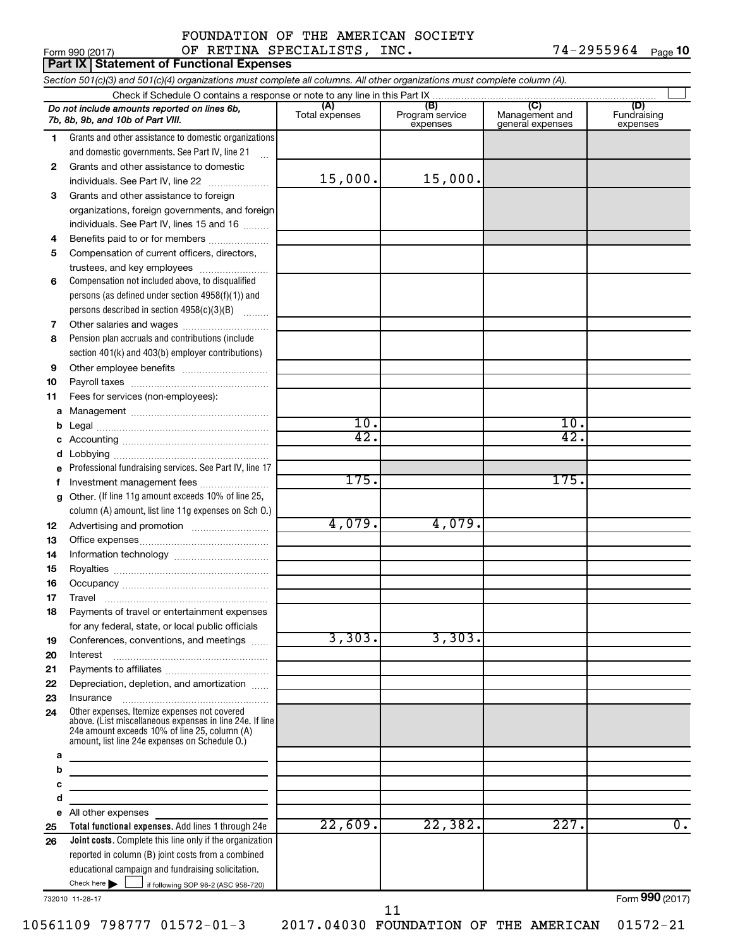#### Form 990 (2017) Page OF RETINA SPECIALISTS, INC. 74-2955964 FOUNDATION OF THE AMERICAN SOCIETY

74-2955964 Page 10

|              | <b>Part IX Statement of Functional Expenses</b>                                                                                                                                                             |                       |                                    |                                           |                                |
|--------------|-------------------------------------------------------------------------------------------------------------------------------------------------------------------------------------------------------------|-----------------------|------------------------------------|-------------------------------------------|--------------------------------|
|              | Section 501(c)(3) and 501(c)(4) organizations must complete all columns. All other organizations must complete column (A).                                                                                  |                       |                                    |                                           |                                |
|              | Check if Schedule O contains a response or note to any line in this Part IX                                                                                                                                 |                       |                                    |                                           |                                |
|              | Do not include amounts reported on lines 6b,<br>7b, 8b, 9b, and 10b of Part VIII.                                                                                                                           | (A)<br>Total expenses | (B)<br>Program service<br>expenses | (C)<br>Management and<br>general expenses | (D)<br>Fundraising<br>expenses |
| 1.           | Grants and other assistance to domestic organizations                                                                                                                                                       |                       |                                    |                                           |                                |
|              | and domestic governments. See Part IV, line 21                                                                                                                                                              |                       |                                    |                                           |                                |
| $\mathbf{2}$ | Grants and other assistance to domestic                                                                                                                                                                     |                       |                                    |                                           |                                |
|              | individuals. See Part IV, line 22                                                                                                                                                                           | 15,000.               | 15,000.                            |                                           |                                |
| 3            | Grants and other assistance to foreign                                                                                                                                                                      |                       |                                    |                                           |                                |
|              | organizations, foreign governments, and foreign                                                                                                                                                             |                       |                                    |                                           |                                |
|              | individuals. See Part IV, lines 15 and 16                                                                                                                                                                   |                       |                                    |                                           |                                |
| 4            | Benefits paid to or for members                                                                                                                                                                             |                       |                                    |                                           |                                |
| 5            | Compensation of current officers, directors,                                                                                                                                                                |                       |                                    |                                           |                                |
|              | trustees, and key employees                                                                                                                                                                                 |                       |                                    |                                           |                                |
| 6            | Compensation not included above, to disqualified                                                                                                                                                            |                       |                                    |                                           |                                |
|              | persons (as defined under section 4958(f)(1)) and                                                                                                                                                           |                       |                                    |                                           |                                |
|              | persons described in section 4958(c)(3)(B)                                                                                                                                                                  |                       |                                    |                                           |                                |
| 7            | Other salaries and wages                                                                                                                                                                                    |                       |                                    |                                           |                                |
| 8            | Pension plan accruals and contributions (include                                                                                                                                                            |                       |                                    |                                           |                                |
|              | section 401(k) and 403(b) employer contributions)                                                                                                                                                           |                       |                                    |                                           |                                |
| 9            |                                                                                                                                                                                                             |                       |                                    |                                           |                                |
| 10           |                                                                                                                                                                                                             |                       |                                    |                                           |                                |
| 11           | Fees for services (non-employees):                                                                                                                                                                          |                       |                                    |                                           |                                |
| а            |                                                                                                                                                                                                             | 10.                   |                                    | 10.                                       |                                |
| b            |                                                                                                                                                                                                             | 42.                   |                                    | 42.                                       |                                |
| с            |                                                                                                                                                                                                             |                       |                                    |                                           |                                |
| d            | Professional fundraising services. See Part IV, line 17                                                                                                                                                     |                       |                                    |                                           |                                |
| е<br>f       | Investment management fees                                                                                                                                                                                  | 175.                  |                                    | 175.                                      |                                |
| g            | Other. (If line 11g amount exceeds 10% of line 25,                                                                                                                                                          |                       |                                    |                                           |                                |
|              | column (A) amount, list line 11g expenses on Sch O.)                                                                                                                                                        |                       |                                    |                                           |                                |
| 12           |                                                                                                                                                                                                             | 4,079.                | 4,079.                             |                                           |                                |
| 13           |                                                                                                                                                                                                             |                       |                                    |                                           |                                |
| 14           |                                                                                                                                                                                                             |                       |                                    |                                           |                                |
| 15           |                                                                                                                                                                                                             |                       |                                    |                                           |                                |
| 16           |                                                                                                                                                                                                             |                       |                                    |                                           |                                |
| 17           | Travel                                                                                                                                                                                                      |                       |                                    |                                           |                                |
| 18           | Payments of travel or entertainment expenses                                                                                                                                                                |                       |                                    |                                           |                                |
|              | for any federal, state, or local public officials                                                                                                                                                           |                       |                                    |                                           |                                |
| 19           | Conferences, conventions, and meetings                                                                                                                                                                      | 3,303.                | 3,303.                             |                                           |                                |
| 20           | Interest                                                                                                                                                                                                    |                       |                                    |                                           |                                |
| 21           |                                                                                                                                                                                                             |                       |                                    |                                           |                                |
| 22           | Depreciation, depletion, and amortization                                                                                                                                                                   |                       |                                    |                                           |                                |
| 23           | Insurance                                                                                                                                                                                                   |                       |                                    |                                           |                                |
| 24           | Other expenses. Itemize expenses not covered<br>above. (List miscellaneous expenses in line 24e. If line<br>24e amount exceeds 10% of line 25, column (A)<br>amount, list line 24e expenses on Schedule O.) |                       |                                    |                                           |                                |
| а            |                                                                                                                                                                                                             |                       |                                    |                                           |                                |
| b            |                                                                                                                                                                                                             |                       |                                    |                                           |                                |
| с            |                                                                                                                                                                                                             |                       |                                    |                                           |                                |
| d            |                                                                                                                                                                                                             |                       |                                    |                                           |                                |
|              | e All other expenses<br>Total functional expenses. Add lines 1 through 24e                                                                                                                                  | 22,609.               | 22, 382.                           | 227.                                      | $\overline{0}$ .               |
| 25<br>26     | Joint costs. Complete this line only if the organization                                                                                                                                                    |                       |                                    |                                           |                                |
|              | reported in column (B) joint costs from a combined                                                                                                                                                          |                       |                                    |                                           |                                |
|              | educational campaign and fundraising solicitation.                                                                                                                                                          |                       |                                    |                                           |                                |
|              | Check here $\blacktriangleright$<br>if following SOP 98-2 (ASC 958-720)                                                                                                                                     |                       |                                    |                                           |                                |

732010 11-28-17

Form (2017) **990**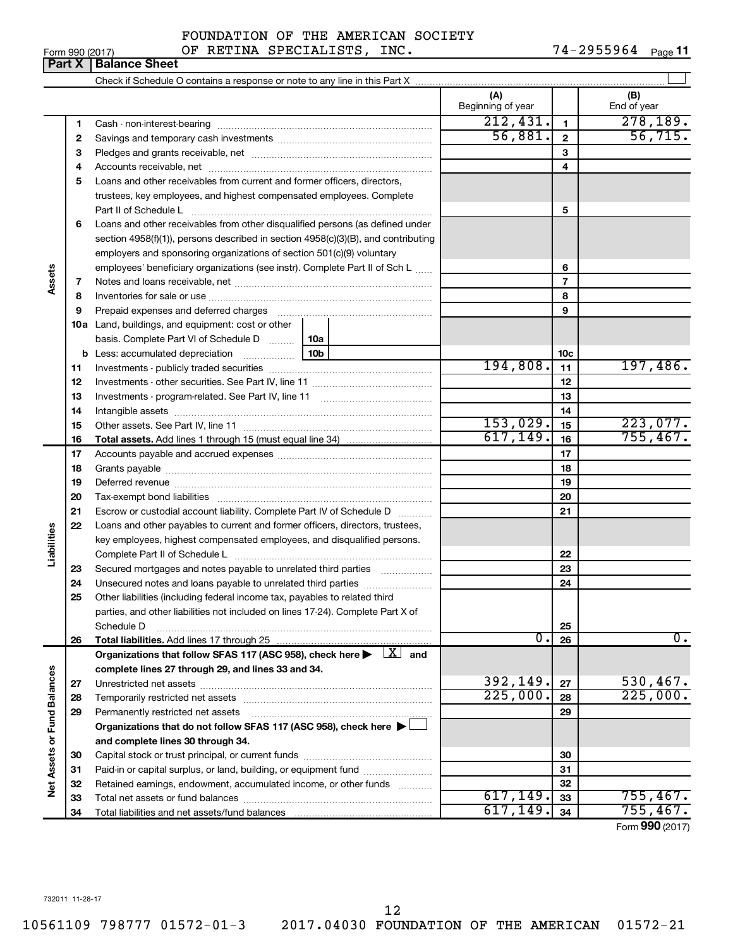$\overline{+}$ 

|                 | <b>Part X   Balance Sheet</b> |                                    |                        |
|-----------------|-------------------------------|------------------------------------|------------------------|
| Form 990 (2017) |                               | OF RETINA SPECIALISTS, INC.        | $74 - 2955964$ Page 11 |
|                 |                               | FOUNDATION OF THE AMERICAN SOCIETY |                        |

|                             |    |                                                                                                                                                               | (A)<br>Beginning of year |                 | (B)<br>End of year          |
|-----------------------------|----|---------------------------------------------------------------------------------------------------------------------------------------------------------------|--------------------------|-----------------|-----------------------------|
|                             | 1  |                                                                                                                                                               | 212,431.                 | $\mathbf{1}$    | 278, 189.                   |
|                             | 2  |                                                                                                                                                               | 56,881.                  | $\overline{2}$  | 56, 715.                    |
|                             | з  |                                                                                                                                                               |                          | 3               |                             |
|                             | 4  |                                                                                                                                                               |                          | 4               |                             |
|                             | 5  | Loans and other receivables from current and former officers, directors,                                                                                      |                          |                 |                             |
|                             |    | trustees, key employees, and highest compensated employees. Complete                                                                                          |                          |                 |                             |
|                             |    |                                                                                                                                                               |                          | 5               |                             |
|                             | 6  | Loans and other receivables from other disqualified persons (as defined under                                                                                 |                          |                 |                             |
|                             |    | section $4958(f)(1)$ , persons described in section $4958(c)(3)(B)$ , and contributing                                                                        |                          |                 |                             |
|                             |    | employers and sponsoring organizations of section 501(c)(9) voluntary                                                                                         |                          |                 |                             |
|                             |    | employees' beneficiary organizations (see instr). Complete Part II of Sch L                                                                                   |                          | 6               |                             |
| Assets                      | 7  |                                                                                                                                                               |                          | $\overline{7}$  |                             |
|                             | 8  |                                                                                                                                                               |                          | 8               |                             |
|                             | 9  | Prepaid expenses and deferred charges                                                                                                                         |                          | 9               |                             |
|                             |    | <b>10a</b> Land, buildings, and equipment: cost or other                                                                                                      |                          |                 |                             |
|                             |    | basis. Complete Part VI of Schedule D<br>  10a                                                                                                                |                          |                 |                             |
|                             |    | 10b<br><b>b</b> Less: accumulated depreciation                                                                                                                |                          | 10 <sub>c</sub> |                             |
|                             | 11 |                                                                                                                                                               | 194,808.                 | 11              | 197,486.                    |
|                             | 12 |                                                                                                                                                               |                          | 12              |                             |
|                             | 13 |                                                                                                                                                               |                          | 13              |                             |
|                             | 14 |                                                                                                                                                               |                          | 14              |                             |
|                             | 15 |                                                                                                                                                               | 153,029.                 | 15              | 223,077.                    |
|                             | 16 |                                                                                                                                                               | 617, 149.                | 16              | 755,467.                    |
|                             | 17 |                                                                                                                                                               |                          | 17              |                             |
|                             | 18 |                                                                                                                                                               |                          | 18              |                             |
|                             | 19 |                                                                                                                                                               |                          | 19              |                             |
|                             | 20 |                                                                                                                                                               |                          | 20              |                             |
|                             | 21 | Escrow or custodial account liability. Complete Part IV of Schedule D                                                                                         |                          | 21              |                             |
|                             | 22 | Loans and other payables to current and former officers, directors, trustees,                                                                                 |                          |                 |                             |
| Liabilities                 |    | key employees, highest compensated employees, and disqualified persons.                                                                                       |                          |                 |                             |
|                             |    |                                                                                                                                                               |                          | 22              |                             |
|                             | 23 | Secured mortgages and notes payable to unrelated third parties                                                                                                |                          | 23              |                             |
|                             | 24 | Unsecured notes and loans payable to unrelated third parties                                                                                                  |                          | 24              |                             |
|                             | 25 | Other liabilities (including federal income tax, payables to related third<br>parties, and other liabilities not included on lines 17-24). Complete Part X of |                          |                 |                             |
|                             |    | Schedule D                                                                                                                                                    |                          | 25              |                             |
|                             | 26 | Total liabilities. Add lines 17 through 25                                                                                                                    | $\overline{0}$ .         | 26              | $0$ .                       |
|                             |    | Organizations that follow SFAS 117 (ASC 958), check here $\blacktriangleright \begin{array}{c} \boxed{X} \\ \end{array}$ and                                  |                          |                 |                             |
|                             |    | complete lines 27 through 29, and lines 33 and 34.                                                                                                            |                          |                 |                             |
|                             | 27 |                                                                                                                                                               | 392,149.                 | 27              | 530, 467.                   |
|                             | 28 |                                                                                                                                                               | 225,000.                 | 28              | 225,000.                    |
|                             | 29 | Permanently restricted net assets                                                                                                                             |                          | 29              |                             |
|                             |    | Organizations that do not follow SFAS 117 (ASC 958), check here ▶ [                                                                                           |                          |                 |                             |
|                             |    | and complete lines 30 through 34.                                                                                                                             |                          |                 |                             |
| Net Assets or Fund Balances | 30 |                                                                                                                                                               |                          | 30              |                             |
|                             | 31 | Paid-in or capital surplus, or land, building, or equipment fund                                                                                              |                          | 31              |                             |
|                             | 32 | Retained earnings, endowment, accumulated income, or other funds                                                                                              |                          | 32              |                             |
|                             | 33 |                                                                                                                                                               | 617, 149.                | 33              | 755,467.                    |
|                             | 34 |                                                                                                                                                               | 617, 149.                | 34              | 755,467.                    |
|                             |    |                                                                                                                                                               |                          |                 | $F_{\text{arm}}$ 000 (2017) |

Form (2017) **990**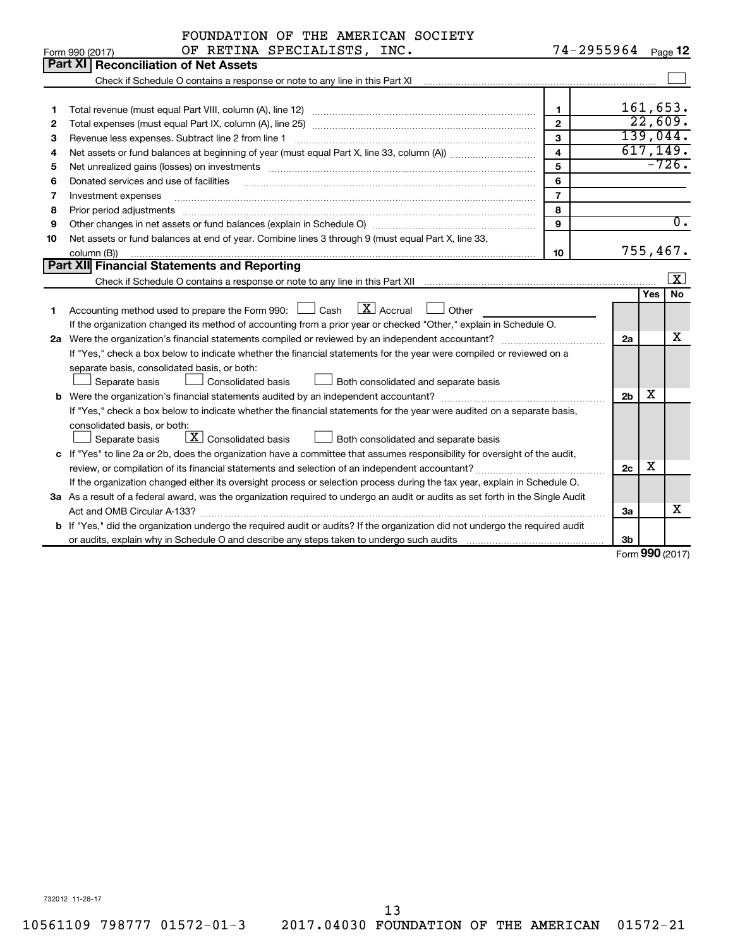|    | FOUNDATION OF THE AMERICAN SOCIETY                                                                                                                                     |                         |                    |     |                         |
|----|------------------------------------------------------------------------------------------------------------------------------------------------------------------------|-------------------------|--------------------|-----|-------------------------|
|    | OF RETINA SPECIALISTS, INC.<br>Form 990 (2017)                                                                                                                         |                         | 74-2955964 Page 12 |     |                         |
|    | Part XI   Reconciliation of Net Assets                                                                                                                                 |                         |                    |     |                         |
|    | Check if Schedule O contains a response or note to any line in this Part XI [11] [12] [12] Check if Schedule O contains a response or note to any line in this Part XI |                         |                    |     |                         |
|    |                                                                                                                                                                        |                         |                    |     |                         |
| 1  |                                                                                                                                                                        | $\mathbf{1}$            |                    |     | 161,653.                |
| 2  |                                                                                                                                                                        | $\mathbf{2}$            |                    |     | 22,609.                 |
| З  | Revenue less expenses. Subtract line 2 from line 1                                                                                                                     | 3                       |                    |     | 139,044.                |
| 4  |                                                                                                                                                                        | $\overline{\mathbf{4}}$ |                    |     | 617, 149.               |
| 5  |                                                                                                                                                                        | 5                       |                    |     | $-726.$                 |
| 6  | Donated services and use of facilities                                                                                                                                 | 6                       |                    |     |                         |
| 7  | Investment expenses                                                                                                                                                    | $\overline{7}$          |                    |     |                         |
| 8  | Prior period adjustments                                                                                                                                               | 8                       |                    |     |                         |
| 9  |                                                                                                                                                                        | 9                       |                    |     | $\overline{0}$ .        |
| 10 | Net assets or fund balances at end of year. Combine lines 3 through 9 (must equal Part X, line 33,                                                                     |                         |                    |     |                         |
|    | column (B))                                                                                                                                                            | 10                      |                    |     | 755,467.                |
|    | <b>Part XII Financial Statements and Reporting</b>                                                                                                                     |                         |                    |     |                         |
|    |                                                                                                                                                                        |                         |                    |     | $\overline{\mathbf{X}}$ |
|    |                                                                                                                                                                        |                         |                    | Yes | <b>No</b>               |
| 1. | $\boxed{\text{X}}$ Accrual<br>Accounting method used to prepare the Form 990: [130] Cash<br>Other                                                                      |                         |                    |     |                         |
|    | If the organization changed its method of accounting from a prior year or checked "Other," explain in Schedule O.                                                      |                         |                    |     |                         |
|    | 2a Were the organization's financial statements compiled or reviewed by an independent accountant?                                                                     |                         | 2a                 |     | x                       |
|    | If "Yes," check a box below to indicate whether the financial statements for the year were compiled or reviewed on a                                                   |                         |                    |     |                         |
|    | separate basis, consolidated basis, or both:                                                                                                                           |                         |                    |     |                         |
|    | Separate basis<br><b>Consolidated basis</b><br>Both consolidated and separate basis                                                                                    |                         |                    | х   |                         |
|    |                                                                                                                                                                        |                         | 2 <sub>b</sub>     |     |                         |
|    | If "Yes," check a box below to indicate whether the financial statements for the year were audited on a separate basis,                                                |                         |                    |     |                         |
|    | consolidated basis, or both:<br>$\boxed{\text{X}}$ Consolidated basis                                                                                                  |                         |                    |     |                         |
|    | Separate basis<br>Both consolidated and separate basis                                                                                                                 |                         |                    |     |                         |
|    | c If "Yes" to line 2a or 2b, does the organization have a committee that assumes responsibility for oversight of the audit,                                            |                         |                    | X   |                         |
|    |                                                                                                                                                                        |                         | 2c                 |     |                         |
|    | If the organization changed either its oversight process or selection process during the tax year, explain in Schedule O.                                              |                         |                    |     |                         |
|    | 3a As a result of a federal award, was the organization required to undergo an audit or audits as set forth in the Single Audit                                        |                         |                    |     | x                       |
|    |                                                                                                                                                                        |                         | За                 |     |                         |
|    | <b>b</b> If "Yes," did the organization undergo the required audit or audits? If the organization did not undergo the required audit                                   |                         | 3b                 |     |                         |
|    |                                                                                                                                                                        |                         |                    |     | Form 990 (2017)         |

Form (2017) **990**

732012 11-28-17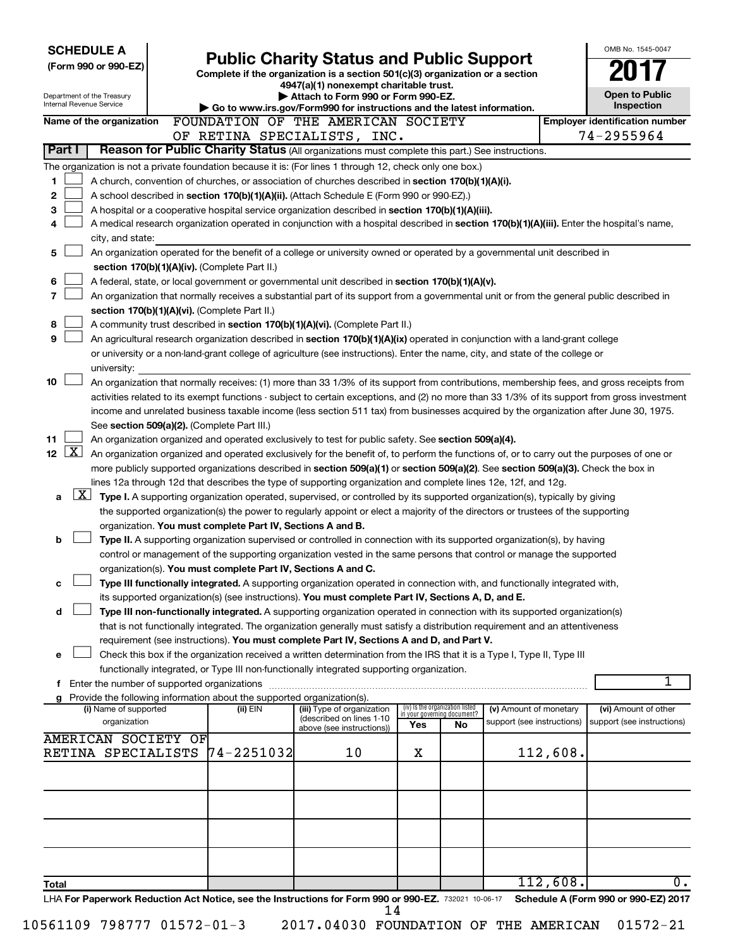| <b>SCHEDULE A</b>                                                                                                                                                                                                                                    |                |                                                                                                                                  |     |                                   |                            |          | OMB No. 1545-0047                     |
|------------------------------------------------------------------------------------------------------------------------------------------------------------------------------------------------------------------------------------------------------|----------------|----------------------------------------------------------------------------------------------------------------------------------|-----|-----------------------------------|----------------------------|----------|---------------------------------------|
| (Form 990 or 990-EZ)                                                                                                                                                                                                                                 |                | <b>Public Charity Status and Public Support</b><br>Complete if the organization is a section 501(c)(3) organization or a section |     |                                   |                            |          |                                       |
|                                                                                                                                                                                                                                                      |                | 4947(a)(1) nonexempt charitable trust.                                                                                           |     |                                   |                            |          |                                       |
| Department of the Treasury<br>Internal Revenue Service                                                                                                                                                                                               |                | Attach to Form 990 or Form 990-EZ.                                                                                               |     |                                   |                            |          | <b>Open to Public</b>                 |
|                                                                                                                                                                                                                                                      |                | Go to www.irs.gov/Form990 for instructions and the latest information.                                                           |     |                                   |                            |          | Inspection                            |
| Name of the organization                                                                                                                                                                                                                             |                | FOUNDATION OF THE AMERICAN SOCIETY                                                                                               |     |                                   |                            |          | <b>Employer identification number</b> |
| Reason for Public Charity Status (All organizations must complete this part.) See instructions.<br>Part I                                                                                                                                            |                | OF RETINA SPECIALISTS, INC.                                                                                                      |     |                                   |                            |          | 74-2955964                            |
|                                                                                                                                                                                                                                                      |                |                                                                                                                                  |     |                                   |                            |          |                                       |
| The organization is not a private foundation because it is: (For lines 1 through 12, check only one box.)                                                                                                                                            |                |                                                                                                                                  |     |                                   |                            |          |                                       |
| A church, convention of churches, or association of churches described in section 170(b)(1)(A)(i).<br>1<br>$\mathbf{2}$                                                                                                                              |                |                                                                                                                                  |     |                                   |                            |          |                                       |
| A school described in section 170(b)(1)(A)(ii). (Attach Schedule E (Form 990 or 990-EZ).)<br>3<br>A hospital or a cooperative hospital service organization described in section 170(b)(1)(A)(iii).                                                  |                |                                                                                                                                  |     |                                   |                            |          |                                       |
| A medical research organization operated in conjunction with a hospital described in section 170(b)(1)(A)(iii). Enter the hospital's name,<br>4                                                                                                      |                |                                                                                                                                  |     |                                   |                            |          |                                       |
| city, and state:                                                                                                                                                                                                                                     |                |                                                                                                                                  |     |                                   |                            |          |                                       |
| An organization operated for the benefit of a college or university owned or operated by a governmental unit described in<br>5                                                                                                                       |                |                                                                                                                                  |     |                                   |                            |          |                                       |
| section 170(b)(1)(A)(iv). (Complete Part II.)                                                                                                                                                                                                        |                |                                                                                                                                  |     |                                   |                            |          |                                       |
| 6<br>A federal, state, or local government or governmental unit described in section 170(b)(1)(A)(v).                                                                                                                                                |                |                                                                                                                                  |     |                                   |                            |          |                                       |
| 7<br>An organization that normally receives a substantial part of its support from a governmental unit or from the general public described in                                                                                                       |                |                                                                                                                                  |     |                                   |                            |          |                                       |
| section 170(b)(1)(A)(vi). (Complete Part II.)                                                                                                                                                                                                        |                |                                                                                                                                  |     |                                   |                            |          |                                       |
| 8<br>A community trust described in section 170(b)(1)(A)(vi). (Complete Part II.)                                                                                                                                                                    |                |                                                                                                                                  |     |                                   |                            |          |                                       |
| 9<br>An agricultural research organization described in section 170(b)(1)(A)(ix) operated in conjunction with a land-grant college                                                                                                                   |                |                                                                                                                                  |     |                                   |                            |          |                                       |
| or university or a non-land-grant college of agriculture (see instructions). Enter the name, city, and state of the college or                                                                                                                       |                |                                                                                                                                  |     |                                   |                            |          |                                       |
| university:                                                                                                                                                                                                                                          |                |                                                                                                                                  |     |                                   |                            |          |                                       |
| 10<br>An organization that normally receives: (1) more than 33 1/3% of its support from contributions, membership fees, and gross receipts from                                                                                                      |                |                                                                                                                                  |     |                                   |                            |          |                                       |
| activities related to its exempt functions - subject to certain exceptions, and (2) no more than 33 1/3% of its support from gross investment                                                                                                        |                |                                                                                                                                  |     |                                   |                            |          |                                       |
| income and unrelated business taxable income (less section 511 tax) from businesses acquired by the organization after June 30, 1975.                                                                                                                |                |                                                                                                                                  |     |                                   |                            |          |                                       |
| See section 509(a)(2). (Complete Part III.)                                                                                                                                                                                                          |                |                                                                                                                                  |     |                                   |                            |          |                                       |
| 11<br>An organization organized and operated exclusively to test for public safety. See section 509(a)(4).<br>$\lfloor x \rfloor$<br>12 <sup>2</sup>                                                                                                 |                |                                                                                                                                  |     |                                   |                            |          |                                       |
| An organization organized and operated exclusively for the benefit of, to perform the functions of, or to carry out the purposes of one or                                                                                                           |                |                                                                                                                                  |     |                                   |                            |          |                                       |
| more publicly supported organizations described in section 509(a)(1) or section 509(a)(2). See section 509(a)(3). Check the box in<br>lines 12a through 12d that describes the type of supporting organization and complete lines 12e, 12f, and 12g. |                |                                                                                                                                  |     |                                   |                            |          |                                       |
| $\lfloor x \rfloor$<br>Type I. A supporting organization operated, supervised, or controlled by its supported organization(s), typically by giving<br>a                                                                                              |                |                                                                                                                                  |     |                                   |                            |          |                                       |
| the supported organization(s) the power to regularly appoint or elect a majority of the directors or trustees of the supporting                                                                                                                      |                |                                                                                                                                  |     |                                   |                            |          |                                       |
| organization. You must complete Part IV, Sections A and B.                                                                                                                                                                                           |                |                                                                                                                                  |     |                                   |                            |          |                                       |
| b<br>Type II. A supporting organization supervised or controlled in connection with its supported organization(s), by having                                                                                                                         |                |                                                                                                                                  |     |                                   |                            |          |                                       |
| control or management of the supporting organization vested in the same persons that control or manage the supported                                                                                                                                 |                |                                                                                                                                  |     |                                   |                            |          |                                       |
| organization(s). You must complete Part IV, Sections A and C.                                                                                                                                                                                        |                |                                                                                                                                  |     |                                   |                            |          |                                       |
| Type III functionally integrated. A supporting organization operated in connection with, and functionally integrated with,<br>с                                                                                                                      |                |                                                                                                                                  |     |                                   |                            |          |                                       |
| its supported organization(s) (see instructions). You must complete Part IV, Sections A, D, and E.                                                                                                                                                   |                |                                                                                                                                  |     |                                   |                            |          |                                       |
| Type III non-functionally integrated. A supporting organization operated in connection with its supported organization(s)<br>d                                                                                                                       |                |                                                                                                                                  |     |                                   |                            |          |                                       |
| that is not functionally integrated. The organization generally must satisfy a distribution requirement and an attentiveness                                                                                                                         |                |                                                                                                                                  |     |                                   |                            |          |                                       |
| requirement (see instructions). You must complete Part IV, Sections A and D, and Part V.                                                                                                                                                             |                |                                                                                                                                  |     |                                   |                            |          |                                       |
| Check this box if the organization received a written determination from the IRS that it is a Type I, Type II, Type III<br>е                                                                                                                         |                |                                                                                                                                  |     |                                   |                            |          |                                       |
| functionally integrated, or Type III non-functionally integrated supporting organization.                                                                                                                                                            |                |                                                                                                                                  |     |                                   |                            |          |                                       |
| f Enter the number of supported organizations                                                                                                                                                                                                        |                |                                                                                                                                  |     |                                   |                            |          | 1                                     |
| g Provide the following information about the supported organization(s).<br>(i) Name of supported                                                                                                                                                    | (ii) EIN       | (iii) Type of organization                                                                                                       |     | (iv) Is the organization listed   | (v) Amount of monetary     |          | (vi) Amount of other                  |
| organization                                                                                                                                                                                                                                         |                | (described on lines 1-10                                                                                                         | Yes | in your governing document?<br>No | support (see instructions) |          | support (see instructions)            |
| <b>AMERICAN SOCIETY OF</b>                                                                                                                                                                                                                           |                | above (see instructions))                                                                                                        |     |                                   |                            |          |                                       |
| RETINA SPECIALISTS                                                                                                                                                                                                                                   | $74 - 2251032$ | 10                                                                                                                               | х   |                                   |                            | 112,608. |                                       |
|                                                                                                                                                                                                                                                      |                |                                                                                                                                  |     |                                   |                            |          |                                       |
|                                                                                                                                                                                                                                                      |                |                                                                                                                                  |     |                                   |                            |          |                                       |
|                                                                                                                                                                                                                                                      |                |                                                                                                                                  |     |                                   |                            |          |                                       |
|                                                                                                                                                                                                                                                      |                |                                                                                                                                  |     |                                   |                            |          |                                       |
|                                                                                                                                                                                                                                                      |                |                                                                                                                                  |     |                                   |                            |          |                                       |
|                                                                                                                                                                                                                                                      |                |                                                                                                                                  |     |                                   |                            |          |                                       |
|                                                                                                                                                                                                                                                      |                |                                                                                                                                  |     |                                   |                            |          |                                       |
|                                                                                                                                                                                                                                                      |                |                                                                                                                                  |     |                                   |                            |          |                                       |
| Total                                                                                                                                                                                                                                                |                |                                                                                                                                  |     |                                   |                            | 112,608. | 0.                                    |
| LHA For Paperwork Reduction Act Notice, see the Instructions for Form 990 or 990-EZ. 732021 10-06-17                                                                                                                                                 |                | 14                                                                                                                               |     |                                   |                            |          | Schedule A (Form 990 or 990-EZ) 2017  |

| 10561109 798777 01572-01-3 |  |
|----------------------------|--|
|                            |  |

<sup>2017.04030</sup> FOUNDATION OF THE AMERICAN 01572-21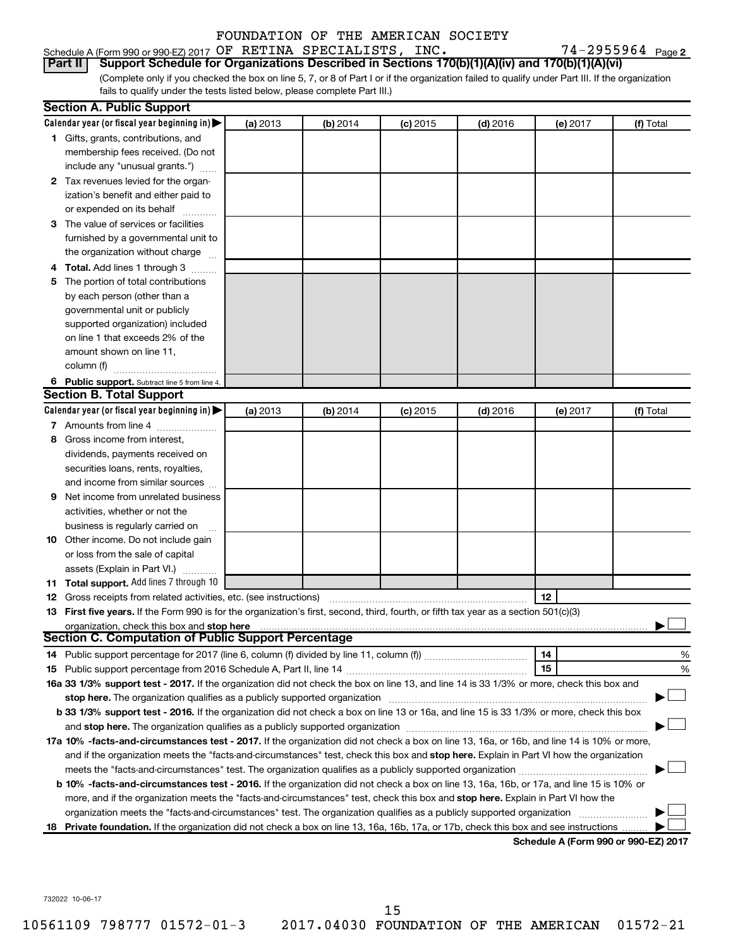#### Schedule A (Form 990 or 990-EZ) 2017 Page OF RETINA SPECIALISTS, INC. 74-2955964 FOUNDATION OF THE AMERICAN SOCIETY

74-2955964 Page 2

## **Part II Support Schedule for Organizations Described in Sections 170(b)(1)(A)(iv) and 170(b)(1)(A)(vi)**

(Complete only if you checked the box on line 5, 7, or 8 of Part I or if the organization failed to qualify under Part III. If the organization fails to qualify under the tests listed below, please complete Part III.)

|   | <b>Section A. Public Support</b>                                                                                                               |          |          |            |            |                                      |           |
|---|------------------------------------------------------------------------------------------------------------------------------------------------|----------|----------|------------|------------|--------------------------------------|-----------|
|   | Calendar year (or fiscal year beginning in) $\blacktriangleright$                                                                              | (a) 2013 | (b) 2014 | $(c)$ 2015 | $(d)$ 2016 | (e) 2017                             | (f) Total |
|   | 1 Gifts, grants, contributions, and                                                                                                            |          |          |            |            |                                      |           |
|   | membership fees received. (Do not                                                                                                              |          |          |            |            |                                      |           |
|   | include any "unusual grants.")                                                                                                                 |          |          |            |            |                                      |           |
|   | 2 Tax revenues levied for the organ-                                                                                                           |          |          |            |            |                                      |           |
|   | ization's benefit and either paid to                                                                                                           |          |          |            |            |                                      |           |
|   | or expended on its behalf                                                                                                                      |          |          |            |            |                                      |           |
|   | 3 The value of services or facilities                                                                                                          |          |          |            |            |                                      |           |
|   | furnished by a governmental unit to                                                                                                            |          |          |            |            |                                      |           |
|   | the organization without charge                                                                                                                |          |          |            |            |                                      |           |
|   | 4 Total. Add lines 1 through 3                                                                                                                 |          |          |            |            |                                      |           |
|   | 5 The portion of total contributions                                                                                                           |          |          |            |            |                                      |           |
|   | by each person (other than a                                                                                                                   |          |          |            |            |                                      |           |
|   | governmental unit or publicly                                                                                                                  |          |          |            |            |                                      |           |
|   | supported organization) included                                                                                                               |          |          |            |            |                                      |           |
|   | on line 1 that exceeds 2% of the                                                                                                               |          |          |            |            |                                      |           |
|   | amount shown on line 11,                                                                                                                       |          |          |            |            |                                      |           |
|   | column (f)                                                                                                                                     |          |          |            |            |                                      |           |
|   | 6 Public support. Subtract line 5 from line 4.                                                                                                 |          |          |            |            |                                      |           |
|   | <b>Section B. Total Support</b>                                                                                                                |          |          |            |            |                                      |           |
|   | Calendar year (or fiscal year beginning in) $\blacktriangleright$                                                                              | (a) 2013 | (b) 2014 | $(c)$ 2015 | $(d)$ 2016 | (e) 2017                             | (f) Total |
|   | 7 Amounts from line 4                                                                                                                          |          |          |            |            |                                      |           |
| 8 | Gross income from interest,                                                                                                                    |          |          |            |            |                                      |           |
|   | dividends, payments received on                                                                                                                |          |          |            |            |                                      |           |
|   | securities loans, rents, royalties,                                                                                                            |          |          |            |            |                                      |           |
|   | and income from similar sources                                                                                                                |          |          |            |            |                                      |           |
|   | <b>9</b> Net income from unrelated business                                                                                                    |          |          |            |            |                                      |           |
|   | activities, whether or not the                                                                                                                 |          |          |            |            |                                      |           |
|   | business is regularly carried on                                                                                                               |          |          |            |            |                                      |           |
|   | 10 Other income. Do not include gain                                                                                                           |          |          |            |            |                                      |           |
|   | or loss from the sale of capital                                                                                                               |          |          |            |            |                                      |           |
|   | assets (Explain in Part VI.)                                                                                                                   |          |          |            |            |                                      |           |
|   | 11 Total support. Add lines 7 through 10                                                                                                       |          |          |            |            |                                      |           |
|   | <b>12</b> Gross receipts from related activities, etc. (see instructions)                                                                      |          |          |            |            | 12                                   |           |
|   | 13 First five years. If the Form 990 is for the organization's first, second, third, fourth, or fifth tax year as a section 501(c)(3)          |          |          |            |            |                                      |           |
|   | organization, check this box and stop here                                                                                                     |          |          |            |            |                                      |           |
|   | <b>Section C. Computation of Public Support Percentage</b>                                                                                     |          |          |            |            |                                      |           |
|   |                                                                                                                                                |          |          |            |            | 14                                   | %         |
|   |                                                                                                                                                |          |          |            |            | 15                                   | %         |
|   | 16a 33 1/3% support test - 2017. If the organization did not check the box on line 13, and line 14 is 33 1/3% or more, check this box and      |          |          |            |            |                                      |           |
|   | stop here. The organization qualifies as a publicly supported organization                                                                     |          |          |            |            |                                      |           |
|   | b 33 1/3% support test - 2016. If the organization did not check a box on line 13 or 16a, and line 15 is 33 1/3% or more, check this box       |          |          |            |            |                                      |           |
|   |                                                                                                                                                |          |          |            |            |                                      |           |
|   | 17a 10% -facts-and-circumstances test - 2017. If the organization did not check a box on line 13, 16a, or 16b, and line 14 is 10% or more,     |          |          |            |            |                                      |           |
|   | and if the organization meets the "facts-and-circumstances" test, check this box and stop here. Explain in Part VI how the organization        |          |          |            |            |                                      |           |
|   |                                                                                                                                                |          |          |            |            |                                      |           |
|   | <b>b 10%</b> -facts-and-circumstances test - 2016. If the organization did not check a box on line 13, 16a, 16b, or 17a, and line 15 is 10% or |          |          |            |            |                                      |           |
|   | more, and if the organization meets the "facts-and-circumstances" test, check this box and stop here. Explain in Part VI how the               |          |          |            |            |                                      |           |
|   | organization meets the "facts-and-circumstances" test. The organization qualifies as a publicly supported organization                         |          |          |            |            |                                      |           |
|   | 18 Private foundation. If the organization did not check a box on line 13, 16a, 16b, 17a, or 17b, check this box and see instructions          |          |          |            |            |                                      |           |
|   |                                                                                                                                                |          |          |            |            | Schodule A (Form 990 or 990-F7) 2017 |           |

**Schedule A (Form 990 or 990-EZ) 2017**

732022 10-06-17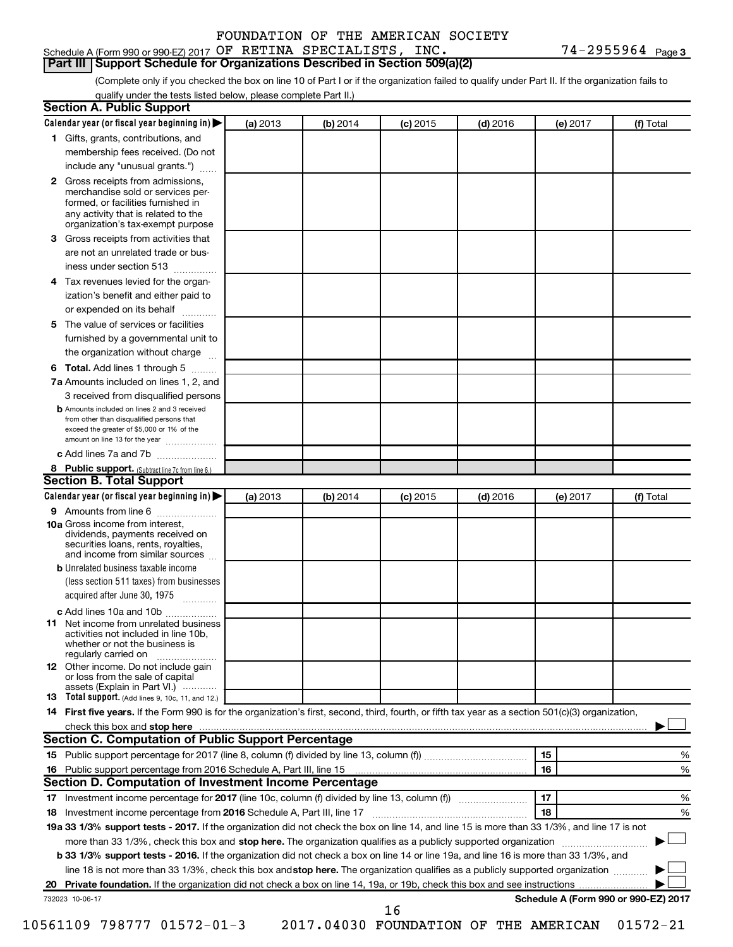#### Schedule A (Form 990 or 990-EZ) 2017 Page OF RETINA SPECIALISTS, INC. 74-2955964 **Part III Support Schedule for Organizations Described in Section 509(a)(2)**

74-2955964 Page 3

(Complete only if you checked the box on line 10 of Part I or if the organization failed to qualify under Part II. If the organization fails to qualify under the tests listed below, please complete Part II.)

| <b>Section A. Public Support</b>                                                                                                                                                                                                        |          |          |            |            |          |                                      |
|-----------------------------------------------------------------------------------------------------------------------------------------------------------------------------------------------------------------------------------------|----------|----------|------------|------------|----------|--------------------------------------|
| Calendar year (or fiscal year beginning in)                                                                                                                                                                                             | (a) 2013 | (b) 2014 | $(c)$ 2015 | $(d)$ 2016 | (e) 2017 | (f) Total                            |
| 1 Gifts, grants, contributions, and                                                                                                                                                                                                     |          |          |            |            |          |                                      |
| membership fees received. (Do not                                                                                                                                                                                                       |          |          |            |            |          |                                      |
| include any "unusual grants.")                                                                                                                                                                                                          |          |          |            |            |          |                                      |
| <b>2</b> Gross receipts from admissions,<br>merchandise sold or services per-<br>formed, or facilities furnished in<br>any activity that is related to the<br>organization's tax-exempt purpose                                         |          |          |            |            |          |                                      |
| 3 Gross receipts from activities that                                                                                                                                                                                                   |          |          |            |            |          |                                      |
| are not an unrelated trade or bus-                                                                                                                                                                                                      |          |          |            |            |          |                                      |
| iness under section 513                                                                                                                                                                                                                 |          |          |            |            |          |                                      |
| 4 Tax revenues levied for the organ-                                                                                                                                                                                                    |          |          |            |            |          |                                      |
| ization's benefit and either paid to                                                                                                                                                                                                    |          |          |            |            |          |                                      |
| or expended on its behalf                                                                                                                                                                                                               |          |          |            |            |          |                                      |
| 5 The value of services or facilities                                                                                                                                                                                                   |          |          |            |            |          |                                      |
| furnished by a governmental unit to                                                                                                                                                                                                     |          |          |            |            |          |                                      |
| the organization without charge                                                                                                                                                                                                         |          |          |            |            |          |                                      |
| 6 Total. Add lines 1 through 5                                                                                                                                                                                                          |          |          |            |            |          |                                      |
| 7a Amounts included on lines 1, 2, and                                                                                                                                                                                                  |          |          |            |            |          |                                      |
| 3 received from disqualified persons                                                                                                                                                                                                    |          |          |            |            |          |                                      |
| <b>b</b> Amounts included on lines 2 and 3 received<br>from other than disqualified persons that<br>exceed the greater of \$5,000 or 1% of the<br>amount on line 13 for the year                                                        |          |          |            |            |          |                                      |
| c Add lines 7a and 7b                                                                                                                                                                                                                   |          |          |            |            |          |                                      |
| 8 Public support. (Subtract line 7c from line 6.)                                                                                                                                                                                       |          |          |            |            |          |                                      |
| <b>Section B. Total Support</b>                                                                                                                                                                                                         |          |          |            |            |          |                                      |
| Calendar year (or fiscal year beginning in)                                                                                                                                                                                             | (a) 2013 | (b) 2014 | $(c)$ 2015 | $(d)$ 2016 | (e) 2017 | (f) Total                            |
| 9 Amounts from line 6                                                                                                                                                                                                                   |          |          |            |            |          |                                      |
| <b>10a</b> Gross income from interest,<br>dividends, payments received on<br>securities loans, rents, royalties,<br>and income from similar sources                                                                                     |          |          |            |            |          |                                      |
| <b>b</b> Unrelated business taxable income                                                                                                                                                                                              |          |          |            |            |          |                                      |
| (less section 511 taxes) from businesses                                                                                                                                                                                                |          |          |            |            |          |                                      |
| acquired after June 30, 1975                                                                                                                                                                                                            |          |          |            |            |          |                                      |
| c Add lines 10a and 10b                                                                                                                                                                                                                 |          |          |            |            |          |                                      |
| <b>11</b> Net income from unrelated business<br>activities not included in line 10b.<br>whether or not the business is<br>regularly carried on                                                                                          |          |          |            |            |          |                                      |
| 12 Other income. Do not include gain<br>or loss from the sale of capital<br>assets (Explain in Part VI.)                                                                                                                                |          |          |            |            |          |                                      |
| <b>13</b> Total support. (Add lines 9, 10c, 11, and 12.)                                                                                                                                                                                |          |          |            |            |          |                                      |
| 14 First five years. If the Form 990 is for the organization's first, second, third, fourth, or fifth tax year as a section 501(c)(3) organization,                                                                                     |          |          |            |            |          |                                      |
| check this box and stop here <b>contained and the contained and stop here</b> check this box and stop here <b>contained and the contained and stop here</b> contained and stop here contained and and stop here contained and stop here |          |          |            |            |          |                                      |
| Section C. Computation of Public Support Percentage                                                                                                                                                                                     |          |          |            |            |          |                                      |
|                                                                                                                                                                                                                                         |          |          |            |            | 15       | ℅                                    |
|                                                                                                                                                                                                                                         |          |          |            |            | 16       | %                                    |
| Section D. Computation of Investment Income Percentage                                                                                                                                                                                  |          |          |            |            |          |                                      |
|                                                                                                                                                                                                                                         |          |          |            |            | 17       | %                                    |
| 18 Investment income percentage from 2016 Schedule A, Part III, line 17                                                                                                                                                                 |          |          |            |            | 18       | %                                    |
| 19a 33 1/3% support tests - 2017. If the organization did not check the box on line 14, and line 15 is more than 33 1/3%, and line 17 is not                                                                                            |          |          |            |            |          |                                      |
| more than 33 1/3%, check this box and stop here. The organization qualifies as a publicly supported organization                                                                                                                        |          |          |            |            |          |                                      |
| b 33 1/3% support tests - 2016. If the organization did not check a box on line 14 or line 19a, and line 16 is more than 33 1/3%, and                                                                                                   |          |          |            |            |          |                                      |
| line 18 is not more than 33 1/3%, check this box and stop here. The organization qualifies as a publicly supported organization                                                                                                         |          |          |            |            |          |                                      |
|                                                                                                                                                                                                                                         |          |          |            |            |          |                                      |
| 732023 10-06-17                                                                                                                                                                                                                         |          |          |            |            |          | Schedule A (Form 990 or 990-EZ) 2017 |
|                                                                                                                                                                                                                                         |          |          | 16         |            |          |                                      |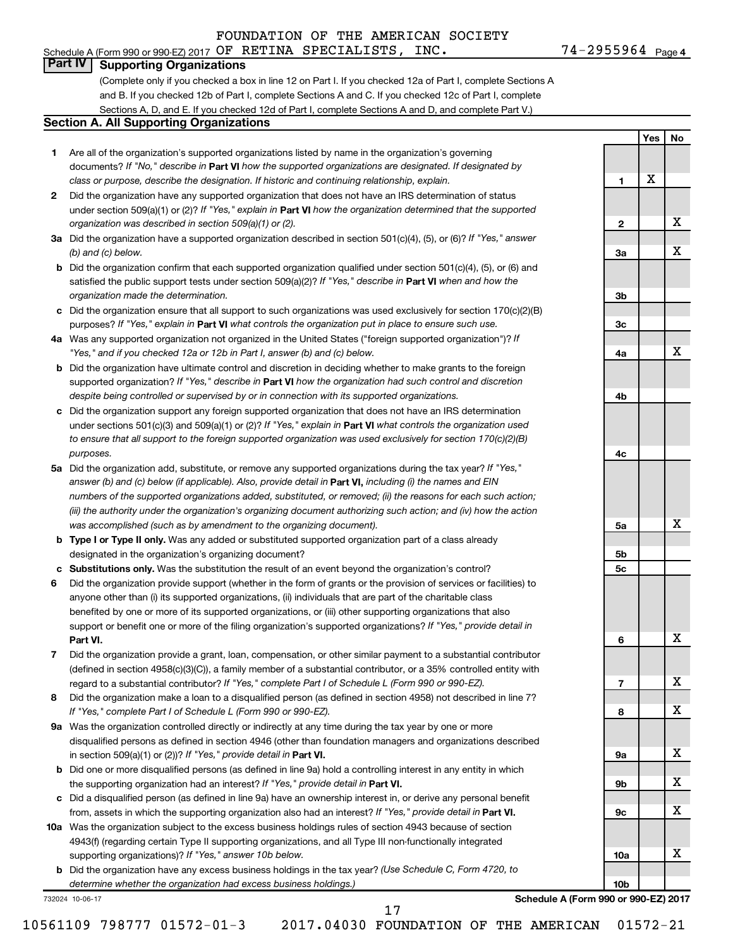# **Part IV Supporting Organizations**

(Complete only if you checked a box in line 12 on Part I. If you checked 12a of Part I, complete Sections A and B. If you checked 12b of Part I, complete Sections A and C. If you checked 12c of Part I, complete Sections A, D, and E. If you checked 12d of Part I, complete Sections A and D, and complete Part V.)

#### **Section A. All Supporting Organizations**

- **1** Are all of the organization's supported organizations listed by name in the organization's governing documents? If "No," describe in Part VI how the supported organizations are designated. If designated by *class or purpose, describe the designation. If historic and continuing relationship, explain.*
- **2** Did the organization have any supported organization that does not have an IRS determination of status under section 509(a)(1) or (2)? If "Yes," explain in Part **VI** how the organization determined that the supported *organization was described in section 509(a)(1) or (2).*
- **3a** Did the organization have a supported organization described in section 501(c)(4), (5), or (6)? If "Yes," answer *(b) and (c) below.*
- **b** Did the organization confirm that each supported organization qualified under section 501(c)(4), (5), or (6) and satisfied the public support tests under section 509(a)(2)? If "Yes," describe in Part VI when and how the *organization made the determination.*
- **c** Did the organization ensure that all support to such organizations was used exclusively for section 170(c)(2)(B) purposes? If "Yes," explain in Part VI what controls the organization put in place to ensure such use.
- **4 a** *If* Was any supported organization not organized in the United States ("foreign supported organization")? *"Yes," and if you checked 12a or 12b in Part I, answer (b) and (c) below.*
- **b** Did the organization have ultimate control and discretion in deciding whether to make grants to the foreign supported organization? If "Yes," describe in Part VI how the organization had such control and discretion *despite being controlled or supervised by or in connection with its supported organizations.*
- **c** Did the organization support any foreign supported organization that does not have an IRS determination under sections 501(c)(3) and 509(a)(1) or (2)? If "Yes," explain in Part VI what controls the organization used *to ensure that all support to the foreign supported organization was used exclusively for section 170(c)(2)(B) purposes.*
- **5a** Did the organization add, substitute, or remove any supported organizations during the tax year? If "Yes," answer (b) and (c) below (if applicable). Also, provide detail in **Part VI,** including (i) the names and EIN *numbers of the supported organizations added, substituted, or removed; (ii) the reasons for each such action; (iii) the authority under the organization's organizing document authorizing such action; and (iv) how the action was accomplished (such as by amendment to the organizing document).*
- **b Type I or Type II only.** Was any added or substituted supported organization part of a class already designated in the organization's organizing document?
- **c Substitutions only.**  Was the substitution the result of an event beyond the organization's control?
- **6** Did the organization provide support (whether in the form of grants or the provision of services or facilities) to **Part VI.** support or benefit one or more of the filing organization's supported organizations? If "Yes," provide detail in anyone other than (i) its supported organizations, (ii) individuals that are part of the charitable class benefited by one or more of its supported organizations, or (iii) other supporting organizations that also
- **7** Did the organization provide a grant, loan, compensation, or other similar payment to a substantial contributor regard to a substantial contributor? If "Yes," complete Part I of Schedule L (Form 990 or 990-EZ). (defined in section 4958(c)(3)(C)), a family member of a substantial contributor, or a 35% controlled entity with
- **8** Did the organization make a loan to a disqualified person (as defined in section 4958) not described in line 7? *If "Yes," complete Part I of Schedule L (Form 990 or 990-EZ).*
- **9 a** Was the organization controlled directly or indirectly at any time during the tax year by one or more in section 509(a)(1) or (2))? If "Yes," provide detail in **Part VI.** disqualified persons as defined in section 4946 (other than foundation managers and organizations described
- **b** Did one or more disqualified persons (as defined in line 9a) hold a controlling interest in any entity in which the supporting organization had an interest? If "Yes," provide detail in Part VI.
- **c** Did a disqualified person (as defined in line 9a) have an ownership interest in, or derive any personal benefit from, assets in which the supporting organization also had an interest? If "Yes," provide detail in Part VI.
- **10 a** Was the organization subject to the excess business holdings rules of section 4943 because of section supporting organizations)? If "Yes," answer 10b below. 4943(f) (regarding certain Type II supporting organizations, and all Type III non-functionally integrated
	- **b** Did the organization have any excess business holdings in the tax year? (Use Schedule C, Form 4720, to *determine whether the organization had excess business holdings.)*

732024 10-06-17

**Schedule A (Form 990 or 990-EZ) 2017**

**1**

**2**

**3a**

**3b**

**3c**

**4a**

**4b**

**4c**

**5a**

**5b 5c**

**6**

**7**

**8**

**9a**

**9b**

**9c**

**10a**

**10b**

**Yes No**

X

X

X

X

X

X

X

X

X

X

X

X

17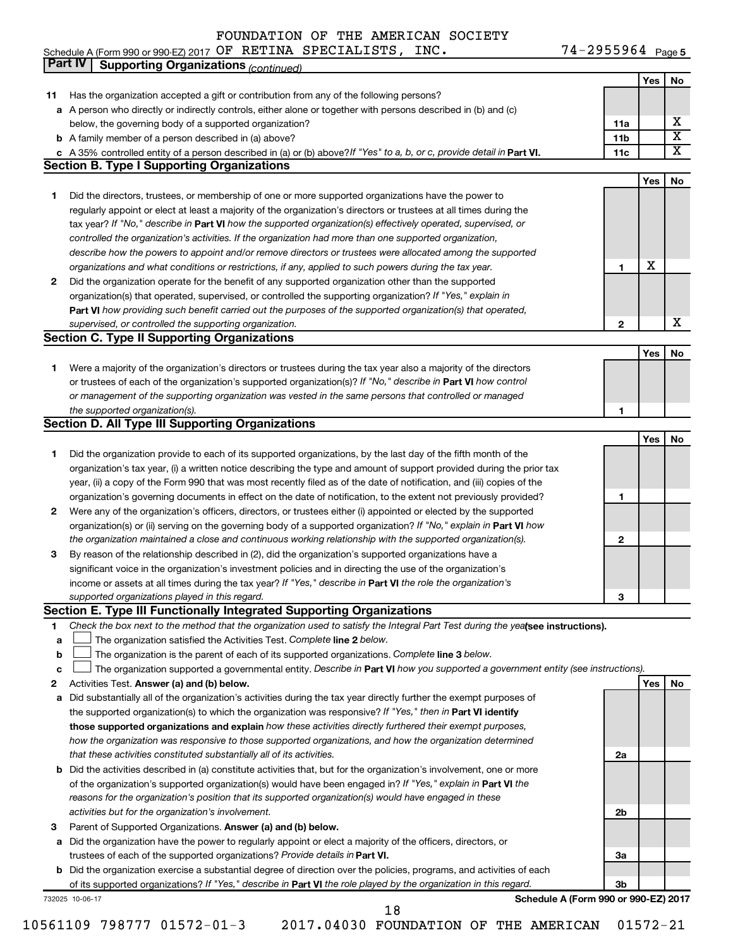| Schedule A (Form 990 or 990-EZ) 2017 $OF$ RETINA SPECIALISTS, INC. |  |  |  |  | $74 - 2955964$ Page |  |  |
|--------------------------------------------------------------------|--|--|--|--|---------------------|--|--|
|--------------------------------------------------------------------|--|--|--|--|---------------------|--|--|

2955964 Page 5

|             | Part IV<br><b>Supporting Organizations (continued)</b>                                                                                                                       |                 |     |                         |
|-------------|------------------------------------------------------------------------------------------------------------------------------------------------------------------------------|-----------------|-----|-------------------------|
|             |                                                                                                                                                                              |                 | Yes | No                      |
| 11          | Has the organization accepted a gift or contribution from any of the following persons?                                                                                      |                 |     |                         |
|             | a A person who directly or indirectly controls, either alone or together with persons described in (b) and (c)                                                               |                 |     |                         |
|             | below, the governing body of a supported organization?                                                                                                                       | 11a             |     | х                       |
|             | <b>b</b> A family member of a person described in (a) above?                                                                                                                 | 11 <sub>b</sub> |     | $\overline{\textbf{X}}$ |
|             |                                                                                                                                                                              | 11c             |     | x                       |
|             | c A 35% controlled entity of a person described in (a) or (b) above? If "Yes" to a, b, or c, provide detail in Part VI.<br><b>Section B. Type I Supporting Organizations</b> |                 |     |                         |
|             |                                                                                                                                                                              |                 |     |                         |
|             |                                                                                                                                                                              |                 | Yes | No                      |
| 1           | Did the directors, trustees, or membership of one or more supported organizations have the power to                                                                          |                 |     |                         |
|             | regularly appoint or elect at least a majority of the organization's directors or trustees at all times during the                                                           |                 |     |                         |
|             | tax year? If "No," describe in Part VI how the supported organization(s) effectively operated, supervised, or                                                                |                 |     |                         |
|             | controlled the organization's activities. If the organization had more than one supported organization,                                                                      |                 |     |                         |
|             | describe how the powers to appoint and/or remove directors or trustees were allocated among the supported                                                                    |                 |     |                         |
|             | organizations and what conditions or restrictions, if any, applied to such powers during the tax year.                                                                       | 1               | X   |                         |
| 2           | Did the organization operate for the benefit of any supported organization other than the supported                                                                          |                 |     |                         |
|             | organization(s) that operated, supervised, or controlled the supporting organization? If "Yes," explain in                                                                   |                 |     |                         |
|             | Part VI how providing such benefit carried out the purposes of the supported organization(s) that operated,                                                                  |                 |     |                         |
|             | supervised, or controlled the supporting organization.                                                                                                                       | 2               |     | X                       |
|             | <b>Section C. Type II Supporting Organizations</b>                                                                                                                           |                 |     |                         |
|             |                                                                                                                                                                              |                 | Yes | No                      |
| 1           | Were a majority of the organization's directors or trustees during the tax year also a majority of the directors                                                             |                 |     |                         |
|             | or trustees of each of the organization's supported organization(s)? If "No," describe in Part VI how control                                                                |                 |     |                         |
|             | or management of the supporting organization was vested in the same persons that controlled or managed                                                                       |                 |     |                         |
|             |                                                                                                                                                                              |                 |     |                         |
|             | the supported organization(s).                                                                                                                                               | 1               |     |                         |
|             | <b>Section D. All Type III Supporting Organizations</b>                                                                                                                      |                 |     |                         |
|             |                                                                                                                                                                              |                 | Yes | No                      |
| 1           | Did the organization provide to each of its supported organizations, by the last day of the fifth month of the                                                               |                 |     |                         |
|             | organization's tax year, (i) a written notice describing the type and amount of support provided during the prior tax                                                        |                 |     |                         |
|             | year, (ii) a copy of the Form 990 that was most recently filed as of the date of notification, and (iii) copies of the                                                       |                 |     |                         |
|             | organization's governing documents in effect on the date of notification, to the extent not previously provided?                                                             | 1               |     |                         |
| 2           | Were any of the organization's officers, directors, or trustees either (i) appointed or elected by the supported                                                             |                 |     |                         |
|             | organization(s) or (ii) serving on the governing body of a supported organization? If "No," explain in Part VI how                                                           |                 |     |                         |
|             | the organization maintained a close and continuous working relationship with the supported organization(s).                                                                  | 2               |     |                         |
| 3           | By reason of the relationship described in (2), did the organization's supported organizations have a                                                                        |                 |     |                         |
|             | significant voice in the organization's investment policies and in directing the use of the organization's                                                                   |                 |     |                         |
|             | income or assets at all times during the tax year? If "Yes," describe in Part VI the role the organization's                                                                 |                 |     |                         |
|             | supported organizations played in this regard.                                                                                                                               | з               |     |                         |
|             | Section E. Type III Functionally Integrated Supporting Organizations                                                                                                         |                 |     |                         |
| 1           | Check the box next to the method that the organization used to satisfy the Integral Part Test during the yealsee instructions).                                              |                 |     |                         |
| a           | The organization satisfied the Activities Test. Complete line 2 below.                                                                                                       |                 |     |                         |
| $\mathbf b$ | The organization is the parent of each of its supported organizations. Complete line 3 below.                                                                                |                 |     |                         |
| c           | The organization supported a governmental entity. Describe in Part VI how you supported a government entity (see instructions).                                              |                 |     |                         |
| 2           | Activities Test. Answer (a) and (b) below.                                                                                                                                   |                 | Yes | No                      |
|             |                                                                                                                                                                              |                 |     |                         |
| а           | Did substantially all of the organization's activities during the tax year directly further the exempt purposes of                                                           |                 |     |                         |
|             | the supported organization(s) to which the organization was responsive? If "Yes," then in Part VI identify                                                                   |                 |     |                         |
|             | those supported organizations and explain how these activities directly furthered their exempt purposes,                                                                     |                 |     |                         |
|             | how the organization was responsive to those supported organizations, and how the organization determined                                                                    |                 |     |                         |
|             | that these activities constituted substantially all of its activities.                                                                                                       | 2a              |     |                         |
|             | <b>b</b> Did the activities described in (a) constitute activities that, but for the organization's involvement, one or more                                                 |                 |     |                         |
|             | of the organization's supported organization(s) would have been engaged in? If "Yes," explain in Part VI the                                                                 |                 |     |                         |
|             | reasons for the organization's position that its supported organization(s) would have engaged in these                                                                       |                 |     |                         |
|             | activities but for the organization's involvement.                                                                                                                           | 2b              |     |                         |
| з           | Parent of Supported Organizations. Answer (a) and (b) below.                                                                                                                 |                 |     |                         |
|             | a Did the organization have the power to regularly appoint or elect a majority of the officers, directors, or                                                                |                 |     |                         |
|             | trustees of each of the supported organizations? Provide details in Part VI.                                                                                                 | За              |     |                         |
|             | <b>b</b> Did the organization exercise a substantial degree of direction over the policies, programs, and activities of each                                                 |                 |     |                         |
|             | of its supported organizations? If "Yes," describe in Part VI the role played by the organization in this regard.                                                            | Зb              |     |                         |
|             | Schedule A (Form 990 or 990-EZ) 2017<br>732025 10-06-17                                                                                                                      |                 |     |                         |
|             | 18                                                                                                                                                                           |                 |     |                         |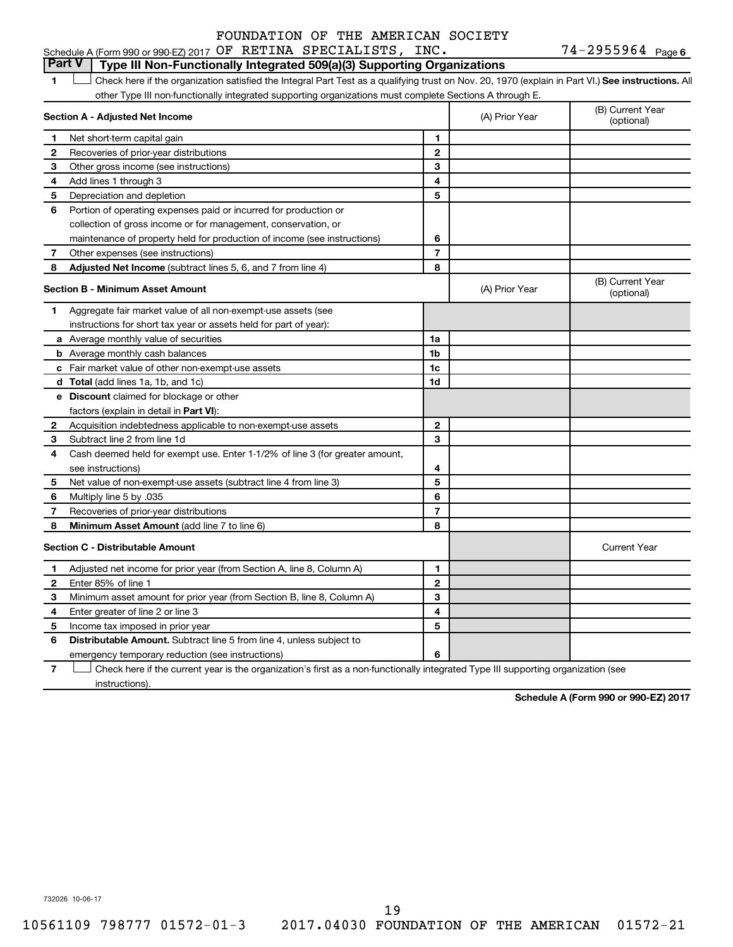#### Schedule A (Form 990 or 990-EZ) 2017 Page OF RETINA SPECIALISTS, INC. 74-2955964 FOUNDATION OF THE AMERICAN SOCIETY

74-2955964 Page 6

#### **Part V Type III Non-Functionally Integrated 509(a)(3) Supporting Organizations**

1 **Letter See instructions.** All Check here if the organization satisfied the Integral Part Test as a qualifying trust on Nov. 20, 1970 (explain in Part VI.) See instructions. All other Type III non-functionally integrated supporting organizations must complete Sections A through E.

|    | Section A - Adjusted Net Income                                              |                | (A) Prior Year | (B) Current Year<br>(optional) |
|----|------------------------------------------------------------------------------|----------------|----------------|--------------------------------|
| 1  | Net short-term capital gain                                                  | 1              |                |                                |
| 2  | Recoveries of prior-year distributions                                       | $\overline{2}$ |                |                                |
| 3  | Other gross income (see instructions)                                        | 3              |                |                                |
| 4  | Add lines 1 through 3                                                        | 4              |                |                                |
| 5  | Depreciation and depletion                                                   | 5              |                |                                |
| 6  | Portion of operating expenses paid or incurred for production or             |                |                |                                |
|    | collection of gross income or for management, conservation, or               |                |                |                                |
|    | maintenance of property held for production of income (see instructions)     | 6              |                |                                |
| 7  | Other expenses (see instructions)                                            | 7              |                |                                |
| 8  | Adjusted Net Income (subtract lines 5, 6, and 7 from line 4)                 | 8              |                |                                |
|    | <b>Section B - Minimum Asset Amount</b>                                      |                | (A) Prior Year | (B) Current Year<br>(optional) |
| 1. | Aggregate fair market value of all non-exempt-use assets (see                |                |                |                                |
|    | instructions for short tax year or assets held for part of year):            |                |                |                                |
|    | a Average monthly value of securities                                        | 1a             |                |                                |
|    | <b>b</b> Average monthly cash balances                                       | 1b             |                |                                |
|    | c Fair market value of other non-exempt-use assets                           | 1c             |                |                                |
|    | <b>d</b> Total (add lines 1a, 1b, and 1c)                                    | 1d             |                |                                |
|    | e Discount claimed for blockage or other                                     |                |                |                                |
|    | factors (explain in detail in <b>Part VI</b> ):                              |                |                |                                |
| 2  | Acquisition indebtedness applicable to non-exempt-use assets                 | 2              |                |                                |
| 3  | Subtract line 2 from line 1d                                                 | 3              |                |                                |
| 4  | Cash deemed held for exempt use. Enter 1-1/2% of line 3 (for greater amount, |                |                |                                |
|    | see instructions)                                                            | 4              |                |                                |
| 5  | Net value of non-exempt-use assets (subtract line 4 from line 3)             | 5              |                |                                |
| 6  | Multiply line 5 by .035                                                      | 6              |                |                                |
| 7  | Recoveries of prior-year distributions                                       | 7              |                |                                |
| 8  | <b>Minimum Asset Amount (add line 7 to line 6)</b>                           | 8              |                |                                |
|    | <b>Section C - Distributable Amount</b>                                      |                |                | <b>Current Year</b>            |
| 1  | Adjusted net income for prior year (from Section A, line 8, Column A)        | 1              |                |                                |
| 2  | Enter 85% of line 1                                                          | $\overline{2}$ |                |                                |
| З  | Minimum asset amount for prior year (from Section B, line 8, Column A)       | 3              |                |                                |
| 4  | Enter greater of line 2 or line 3                                            | 4              |                |                                |
| 5  | Income tax imposed in prior year                                             | 5              |                |                                |
| 6  | Distributable Amount. Subtract line 5 from line 4, unless subject to         |                |                |                                |
|    | emergency temporary reduction (see instructions)                             | 6              |                |                                |
|    |                                                                              |                |                |                                |

**7** Let Check here if the current year is the organization's first as a non-functionally integrated Type III supporting organization (see instructions).

**Schedule A (Form 990 or 990-EZ) 2017**

732026 10-06-17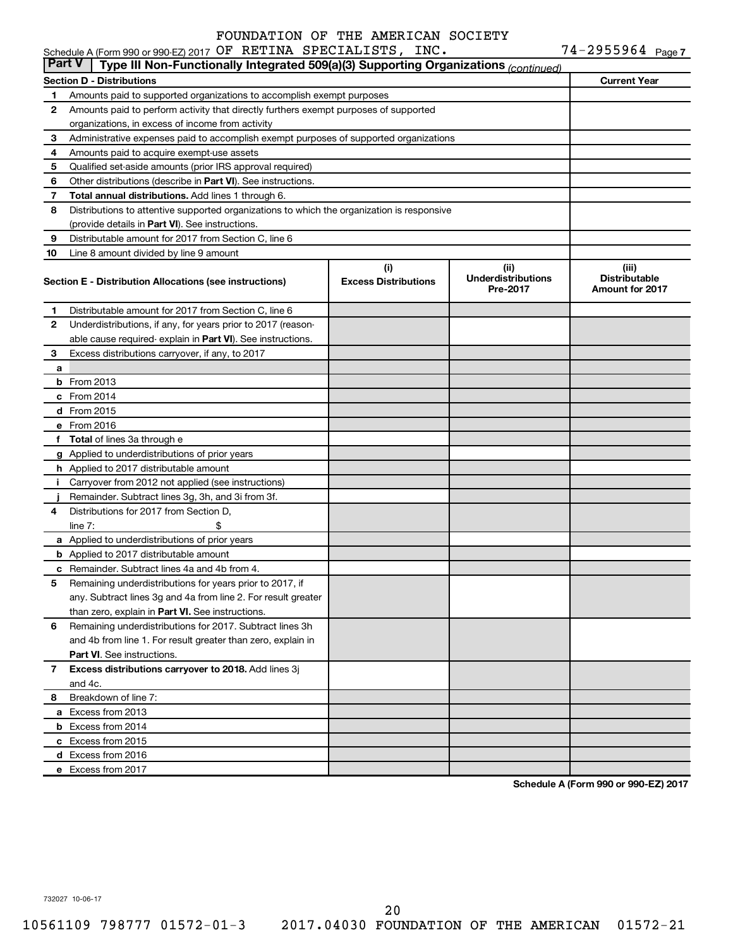| Part V<br>Type III Non-Functionally Integrated 509(a)(3) Supporting Organizations (continued) |                                                                                            |                                                |                                    |                     |  |  |  |  |  |
|-----------------------------------------------------------------------------------------------|--------------------------------------------------------------------------------------------|------------------------------------------------|------------------------------------|---------------------|--|--|--|--|--|
|                                                                                               | <b>Section D - Distributions</b>                                                           |                                                |                                    | <b>Current Year</b> |  |  |  |  |  |
| 1                                                                                             | Amounts paid to supported organizations to accomplish exempt purposes                      |                                                |                                    |                     |  |  |  |  |  |
| 2                                                                                             | Amounts paid to perform activity that directly furthers exempt purposes of supported       |                                                |                                    |                     |  |  |  |  |  |
|                                                                                               | organizations, in excess of income from activity                                           |                                                |                                    |                     |  |  |  |  |  |
| З                                                                                             | Administrative expenses paid to accomplish exempt purposes of supported organizations      |                                                |                                    |                     |  |  |  |  |  |
| 4                                                                                             | Amounts paid to acquire exempt-use assets                                                  |                                                |                                    |                     |  |  |  |  |  |
| 5                                                                                             | Qualified set-aside amounts (prior IRS approval required)                                  |                                                |                                    |                     |  |  |  |  |  |
| 6                                                                                             | Other distributions (describe in Part VI). See instructions.                               |                                                |                                    |                     |  |  |  |  |  |
| 7                                                                                             | <b>Total annual distributions.</b> Add lines 1 through 6.                                  |                                                |                                    |                     |  |  |  |  |  |
| 8                                                                                             | Distributions to attentive supported organizations to which the organization is responsive |                                                |                                    |                     |  |  |  |  |  |
|                                                                                               | (provide details in Part VI). See instructions.                                            |                                                |                                    |                     |  |  |  |  |  |
| 9                                                                                             | Distributable amount for 2017 from Section C, line 6                                       |                                                |                                    |                     |  |  |  |  |  |
| 10                                                                                            | Line 8 amount divided by line 9 amount                                                     |                                                |                                    |                     |  |  |  |  |  |
|                                                                                               |                                                                                            | (i)                                            | (iii)<br><b>Underdistributions</b> | (iii)               |  |  |  |  |  |
|                                                                                               | Section E - Distribution Allocations (see instructions)                                    | <b>Distributable</b><br><b>Amount for 2017</b> |                                    |                     |  |  |  |  |  |
| 1                                                                                             | Distributable amount for 2017 from Section C, line 6                                       |                                                |                                    |                     |  |  |  |  |  |
| 2                                                                                             | Underdistributions, if any, for years prior to 2017 (reason-                               |                                                |                                    |                     |  |  |  |  |  |
|                                                                                               | able cause required- explain in Part VI). See instructions.                                |                                                |                                    |                     |  |  |  |  |  |
| З                                                                                             | Excess distributions carryover, if any, to 2017                                            |                                                |                                    |                     |  |  |  |  |  |
| a                                                                                             |                                                                                            |                                                |                                    |                     |  |  |  |  |  |
|                                                                                               | $b$ From 2013                                                                              |                                                |                                    |                     |  |  |  |  |  |
|                                                                                               | $c$ From 2014                                                                              |                                                |                                    |                     |  |  |  |  |  |
|                                                                                               | d From 2015                                                                                |                                                |                                    |                     |  |  |  |  |  |
|                                                                                               | e From 2016                                                                                |                                                |                                    |                     |  |  |  |  |  |
|                                                                                               | f Total of lines 3a through e                                                              |                                                |                                    |                     |  |  |  |  |  |
|                                                                                               | g Applied to underdistributions of prior years                                             |                                                |                                    |                     |  |  |  |  |  |
|                                                                                               | h Applied to 2017 distributable amount                                                     |                                                |                                    |                     |  |  |  |  |  |
|                                                                                               | i Carryover from 2012 not applied (see instructions)                                       |                                                |                                    |                     |  |  |  |  |  |
|                                                                                               | Remainder. Subtract lines 3g, 3h, and 3i from 3f.                                          |                                                |                                    |                     |  |  |  |  |  |
| 4                                                                                             | Distributions for 2017 from Section D,                                                     |                                                |                                    |                     |  |  |  |  |  |
|                                                                                               | line $7:$                                                                                  |                                                |                                    |                     |  |  |  |  |  |
|                                                                                               | a Applied to underdistributions of prior years                                             |                                                |                                    |                     |  |  |  |  |  |
|                                                                                               | <b>b</b> Applied to 2017 distributable amount                                              |                                                |                                    |                     |  |  |  |  |  |
|                                                                                               | c Remainder. Subtract lines 4a and 4b from 4.                                              |                                                |                                    |                     |  |  |  |  |  |
| 5                                                                                             | Remaining underdistributions for years prior to 2017, if                                   |                                                |                                    |                     |  |  |  |  |  |
|                                                                                               | any. Subtract lines 3g and 4a from line 2. For result greater                              |                                                |                                    |                     |  |  |  |  |  |
|                                                                                               | than zero, explain in Part VI. See instructions.                                           |                                                |                                    |                     |  |  |  |  |  |
| 6                                                                                             | Remaining underdistributions for 2017. Subtract lines 3h                                   |                                                |                                    |                     |  |  |  |  |  |
|                                                                                               | and 4b from line 1. For result greater than zero, explain in                               |                                                |                                    |                     |  |  |  |  |  |
|                                                                                               | <b>Part VI.</b> See instructions.                                                          |                                                |                                    |                     |  |  |  |  |  |
| 7                                                                                             | Excess distributions carryover to 2018. Add lines 3j                                       |                                                |                                    |                     |  |  |  |  |  |
|                                                                                               | and 4c.                                                                                    |                                                |                                    |                     |  |  |  |  |  |
| 8                                                                                             | Breakdown of line 7:                                                                       |                                                |                                    |                     |  |  |  |  |  |
|                                                                                               | a Excess from 2013                                                                         |                                                |                                    |                     |  |  |  |  |  |
|                                                                                               | <b>b</b> Excess from 2014                                                                  |                                                |                                    |                     |  |  |  |  |  |
|                                                                                               | c Excess from 2015                                                                         |                                                |                                    |                     |  |  |  |  |  |
|                                                                                               | d Excess from 2016                                                                         |                                                |                                    |                     |  |  |  |  |  |
|                                                                                               | e Excess from 2017                                                                         |                                                |                                    |                     |  |  |  |  |  |

**Schedule A (Form 990 or 990-EZ) 2017**

732027 10-06-17

20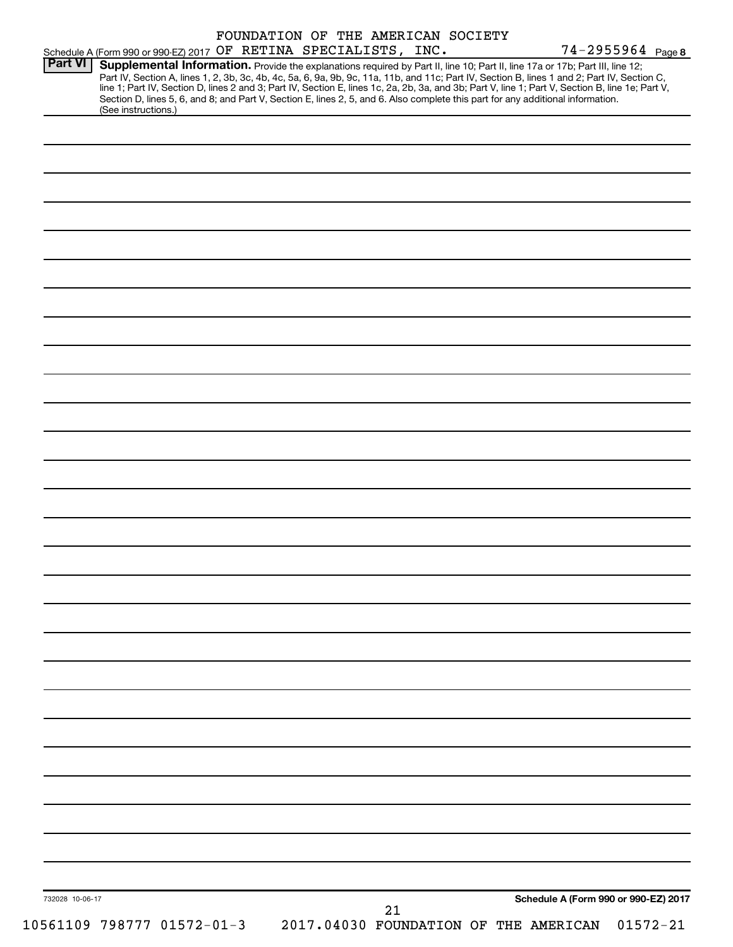| <b>Part VI</b>  | Schedule A (Form 990 or 990-EZ) 2017 OF RETINA SPECIALISTS, INC.<br>Supplemental Information. Provide the explanations required by Part II, line 10; Part II, line 17a or 17b; Part III, line 12;                                                                                                                                                                                                                                   |    |                                                                           | 74-2955964 Page 8 |
|-----------------|-------------------------------------------------------------------------------------------------------------------------------------------------------------------------------------------------------------------------------------------------------------------------------------------------------------------------------------------------------------------------------------------------------------------------------------|----|---------------------------------------------------------------------------|-------------------|
|                 | Part IV, Section A, lines 1, 2, 3b, 3c, 4b, 4c, 5a, 6, 9a, 9b, 9c, 11a, 11b, and 11c; Part IV, Section B, lines 1 and 2; Part IV, Section C,<br>line 1; Part IV, Section D, lines 2 and 3; Part IV, Section E, lines 1c, 2a, 2b, 3a, and 3b; Part V, line 1; Part V, Section B, line 1e; Part V,<br>Section D, lines 5, 6, and 8; and Part V, Section E, lines 2, 5, and 6. Also complete this part for any additional information. |    |                                                                           |                   |
|                 | (See instructions.)                                                                                                                                                                                                                                                                                                                                                                                                                 |    |                                                                           |                   |
|                 |                                                                                                                                                                                                                                                                                                                                                                                                                                     |    |                                                                           |                   |
|                 |                                                                                                                                                                                                                                                                                                                                                                                                                                     |    |                                                                           |                   |
|                 |                                                                                                                                                                                                                                                                                                                                                                                                                                     |    |                                                                           |                   |
|                 |                                                                                                                                                                                                                                                                                                                                                                                                                                     |    |                                                                           |                   |
|                 |                                                                                                                                                                                                                                                                                                                                                                                                                                     |    |                                                                           |                   |
|                 |                                                                                                                                                                                                                                                                                                                                                                                                                                     |    |                                                                           |                   |
|                 |                                                                                                                                                                                                                                                                                                                                                                                                                                     |    |                                                                           |                   |
|                 |                                                                                                                                                                                                                                                                                                                                                                                                                                     |    |                                                                           |                   |
|                 |                                                                                                                                                                                                                                                                                                                                                                                                                                     |    |                                                                           |                   |
|                 |                                                                                                                                                                                                                                                                                                                                                                                                                                     |    |                                                                           |                   |
|                 |                                                                                                                                                                                                                                                                                                                                                                                                                                     |    |                                                                           |                   |
|                 |                                                                                                                                                                                                                                                                                                                                                                                                                                     |    |                                                                           |                   |
|                 |                                                                                                                                                                                                                                                                                                                                                                                                                                     |    |                                                                           |                   |
|                 |                                                                                                                                                                                                                                                                                                                                                                                                                                     |    |                                                                           |                   |
|                 |                                                                                                                                                                                                                                                                                                                                                                                                                                     |    |                                                                           |                   |
|                 |                                                                                                                                                                                                                                                                                                                                                                                                                                     |    |                                                                           |                   |
|                 |                                                                                                                                                                                                                                                                                                                                                                                                                                     |    |                                                                           |                   |
|                 |                                                                                                                                                                                                                                                                                                                                                                                                                                     |    |                                                                           |                   |
|                 |                                                                                                                                                                                                                                                                                                                                                                                                                                     |    |                                                                           |                   |
|                 |                                                                                                                                                                                                                                                                                                                                                                                                                                     |    |                                                                           |                   |
|                 |                                                                                                                                                                                                                                                                                                                                                                                                                                     |    |                                                                           |                   |
|                 |                                                                                                                                                                                                                                                                                                                                                                                                                                     |    |                                                                           |                   |
|                 |                                                                                                                                                                                                                                                                                                                                                                                                                                     |    |                                                                           |                   |
|                 |                                                                                                                                                                                                                                                                                                                                                                                                                                     |    |                                                                           |                   |
|                 |                                                                                                                                                                                                                                                                                                                                                                                                                                     |    |                                                                           |                   |
|                 |                                                                                                                                                                                                                                                                                                                                                                                                                                     |    |                                                                           |                   |
|                 |                                                                                                                                                                                                                                                                                                                                                                                                                                     |    |                                                                           |                   |
|                 |                                                                                                                                                                                                                                                                                                                                                                                                                                     |    |                                                                           |                   |
|                 |                                                                                                                                                                                                                                                                                                                                                                                                                                     |    |                                                                           |                   |
|                 |                                                                                                                                                                                                                                                                                                                                                                                                                                     |    |                                                                           |                   |
|                 |                                                                                                                                                                                                                                                                                                                                                                                                                                     |    |                                                                           |                   |
|                 |                                                                                                                                                                                                                                                                                                                                                                                                                                     |    |                                                                           |                   |
|                 |                                                                                                                                                                                                                                                                                                                                                                                                                                     |    |                                                                           |                   |
|                 |                                                                                                                                                                                                                                                                                                                                                                                                                                     |    |                                                                           |                   |
| 732028 10-06-17 |                                                                                                                                                                                                                                                                                                                                                                                                                                     |    | Schedule A (Form 990 or 990-EZ) 2017                                      |                   |
|                 |                                                                                                                                                                                                                                                                                                                                                                                                                                     | 21 | 10561109 798777 01572-01-3 2017.04030 FOUNDATION OF THE AMERICAN 01572-21 |                   |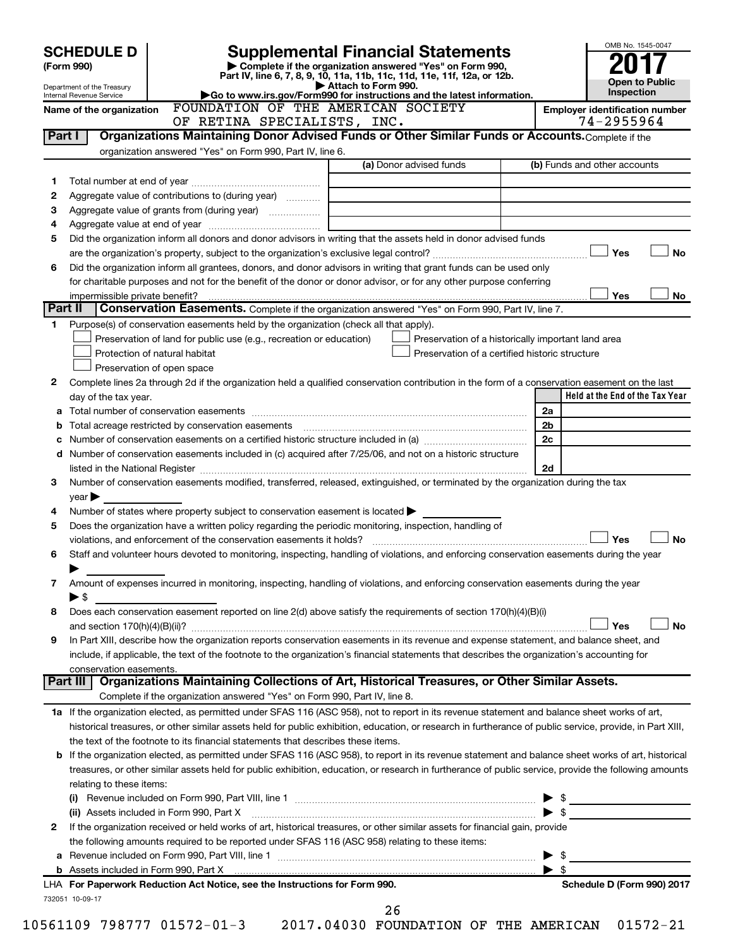|         | <b>SCHEDULE D</b>                                                                                                                                                                                                                                                                       |  |  |  |  |  | <b>Supplemental Financial Statements</b>                                                          |  |                                                    |  |                                                 |     | OMB No. 1545-0047               |           |
|---------|-----------------------------------------------------------------------------------------------------------------------------------------------------------------------------------------------------------------------------------------------------------------------------------------|--|--|--|--|--|---------------------------------------------------------------------------------------------------|--|----------------------------------------------------|--|-------------------------------------------------|-----|---------------------------------|-----------|
|         | (Form 990)                                                                                                                                                                                                                                                                              |  |  |  |  |  | Complete if the organization answered "Yes" on Form 990,                                          |  |                                                    |  |                                                 |     |                                 |           |
|         |                                                                                                                                                                                                                                                                                         |  |  |  |  |  | Part IV, line 6, 7, 8, 9, 10, 11a, 11b, 11c, 11d, 11e, 11f, 12a, or 12b.<br>Attach to Form 990.   |  |                                                    |  |                                                 |     | Open to Public                  |           |
|         | Department of the Treasury<br>Internal Revenue Service                                                                                                                                                                                                                                  |  |  |  |  |  | Go to www.irs.gov/Form990 for instructions and the latest information.                            |  |                                                    |  |                                                 |     | Inspection                      |           |
|         | Name of the organization                                                                                                                                                                                                                                                                |  |  |  |  |  | FOUNDATION OF THE AMERICAN SOCIETY                                                                |  |                                                    |  | <b>Employer identification number</b>           |     |                                 |           |
|         |                                                                                                                                                                                                                                                                                         |  |  |  |  |  | OF RETINA SPECIALISTS, INC.                                                                       |  |                                                    |  |                                                 |     | 74-2955964                      |           |
| Part I  |                                                                                                                                                                                                                                                                                         |  |  |  |  |  | Organizations Maintaining Donor Advised Funds or Other Similar Funds or Accounts. Complete if the |  |                                                    |  |                                                 |     |                                 |           |
|         | organization answered "Yes" on Form 990, Part IV, line 6.                                                                                                                                                                                                                               |  |  |  |  |  |                                                                                                   |  | (a) Donor advised funds                            |  | (b) Funds and other accounts                    |     |                                 |           |
| 1       |                                                                                                                                                                                                                                                                                         |  |  |  |  |  |                                                                                                   |  |                                                    |  |                                                 |     |                                 |           |
| 2       | Aggregate value of contributions to (during year)                                                                                                                                                                                                                                       |  |  |  |  |  |                                                                                                   |  |                                                    |  |                                                 |     |                                 |           |
| З       |                                                                                                                                                                                                                                                                                         |  |  |  |  |  |                                                                                                   |  |                                                    |  |                                                 |     |                                 |           |
| 4       |                                                                                                                                                                                                                                                                                         |  |  |  |  |  |                                                                                                   |  |                                                    |  |                                                 |     |                                 |           |
| 5       | Did the organization inform all donors and donor advisors in writing that the assets held in donor advised funds                                                                                                                                                                        |  |  |  |  |  |                                                                                                   |  |                                                    |  |                                                 |     |                                 |           |
|         |                                                                                                                                                                                                                                                                                         |  |  |  |  |  |                                                                                                   |  |                                                    |  |                                                 | Yes |                                 | No        |
| 6       | Did the organization inform all grantees, donors, and donor advisors in writing that grant funds can be used only                                                                                                                                                                       |  |  |  |  |  |                                                                                                   |  |                                                    |  |                                                 |     |                                 |           |
|         | for charitable purposes and not for the benefit of the donor or donor advisor, or for any other purpose conferring                                                                                                                                                                      |  |  |  |  |  |                                                                                                   |  |                                                    |  |                                                 |     |                                 |           |
| Part II |                                                                                                                                                                                                                                                                                         |  |  |  |  |  | Conservation Easements. Complete if the organization answered "Yes" on Form 990, Part IV, line 7. |  |                                                    |  |                                                 | Yes |                                 | No        |
| 1       | Purpose(s) of conservation easements held by the organization (check all that apply).                                                                                                                                                                                                   |  |  |  |  |  |                                                                                                   |  |                                                    |  |                                                 |     |                                 |           |
|         | Preservation of land for public use (e.g., recreation or education)                                                                                                                                                                                                                     |  |  |  |  |  |                                                                                                   |  | Preservation of a historically important land area |  |                                                 |     |                                 |           |
|         | Protection of natural habitat                                                                                                                                                                                                                                                           |  |  |  |  |  |                                                                                                   |  | Preservation of a certified historic structure     |  |                                                 |     |                                 |           |
|         | Preservation of open space                                                                                                                                                                                                                                                              |  |  |  |  |  |                                                                                                   |  |                                                    |  |                                                 |     |                                 |           |
| 2       | Complete lines 2a through 2d if the organization held a qualified conservation contribution in the form of a conservation easement on the last                                                                                                                                          |  |  |  |  |  |                                                                                                   |  |                                                    |  |                                                 |     |                                 |           |
|         | day of the tax year.                                                                                                                                                                                                                                                                    |  |  |  |  |  |                                                                                                   |  |                                                    |  |                                                 |     | Held at the End of the Tax Year |           |
| а       |                                                                                                                                                                                                                                                                                         |  |  |  |  |  |                                                                                                   |  |                                                    |  | 2a                                              |     |                                 |           |
| b       |                                                                                                                                                                                                                                                                                         |  |  |  |  |  |                                                                                                   |  |                                                    |  | 2b                                              |     |                                 |           |
|         | 2c                                                                                                                                                                                                                                                                                      |  |  |  |  |  |                                                                                                   |  |                                                    |  |                                                 |     |                                 |           |
| d       | Number of conservation easements included in (c) acquired after 7/25/06, and not on a historic structure                                                                                                                                                                                |  |  |  |  |  |                                                                                                   |  |                                                    |  |                                                 |     |                                 |           |
|         |                                                                                                                                                                                                                                                                                         |  |  |  |  |  |                                                                                                   |  |                                                    |  | 2d                                              |     |                                 |           |
| 3       | Number of conservation easements modified, transferred, released, extinguished, or terminated by the organization during the tax<br>$\vee$ ear $\blacktriangleright$                                                                                                                    |  |  |  |  |  |                                                                                                   |  |                                                    |  |                                                 |     |                                 |           |
| 4       | Number of states where property subject to conservation easement is located $\blacktriangleright$                                                                                                                                                                                       |  |  |  |  |  |                                                                                                   |  |                                                    |  |                                                 |     |                                 |           |
| 5       | Does the organization have a written policy regarding the periodic monitoring, inspection, handling of                                                                                                                                                                                  |  |  |  |  |  |                                                                                                   |  |                                                    |  |                                                 |     |                                 |           |
|         | violations, and enforcement of the conservation easements it holds?                                                                                                                                                                                                                     |  |  |  |  |  |                                                                                                   |  |                                                    |  |                                                 | Yes |                                 | <b>No</b> |
| 6       | Staff and volunteer hours devoted to monitoring, inspecting, handling of violations, and enforcing conservation easements during the year                                                                                                                                               |  |  |  |  |  |                                                                                                   |  |                                                    |  |                                                 |     |                                 |           |
|         |                                                                                                                                                                                                                                                                                         |  |  |  |  |  |                                                                                                   |  |                                                    |  |                                                 |     |                                 |           |
| 7       | Amount of expenses incurred in monitoring, inspecting, handling of violations, and enforcing conservation easements during the year                                                                                                                                                     |  |  |  |  |  |                                                                                                   |  |                                                    |  |                                                 |     |                                 |           |
|         | $\blacktriangleright$ \$                                                                                                                                                                                                                                                                |  |  |  |  |  |                                                                                                   |  |                                                    |  |                                                 |     |                                 |           |
| 8       | Does each conservation easement reported on line 2(d) above satisfy the requirements of section 170(h)(4)(B)(i)                                                                                                                                                                         |  |  |  |  |  |                                                                                                   |  |                                                    |  |                                                 |     |                                 |           |
|         |                                                                                                                                                                                                                                                                                         |  |  |  |  |  |                                                                                                   |  |                                                    |  |                                                 | Yes |                                 | No        |
| 9       | In Part XIII, describe how the organization reports conservation easements in its revenue and expense statement, and balance sheet, and<br>include, if applicable, the text of the footnote to the organization's financial statements that describes the organization's accounting for |  |  |  |  |  |                                                                                                   |  |                                                    |  |                                                 |     |                                 |           |
|         | conservation easements.                                                                                                                                                                                                                                                                 |  |  |  |  |  |                                                                                                   |  |                                                    |  |                                                 |     |                                 |           |
|         | Part III                                                                                                                                                                                                                                                                                |  |  |  |  |  | Organizations Maintaining Collections of Art, Historical Treasures, or Other Similar Assets.      |  |                                                    |  |                                                 |     |                                 |           |
|         |                                                                                                                                                                                                                                                                                         |  |  |  |  |  | Complete if the organization answered "Yes" on Form 990, Part IV, line 8.                         |  |                                                    |  |                                                 |     |                                 |           |
|         | 1a If the organization elected, as permitted under SFAS 116 (ASC 958), not to report in its revenue statement and balance sheet works of art,                                                                                                                                           |  |  |  |  |  |                                                                                                   |  |                                                    |  |                                                 |     |                                 |           |
|         | historical treasures, or other similar assets held for public exhibition, education, or research in furtherance of public service, provide, in Part XIII,                                                                                                                               |  |  |  |  |  |                                                                                                   |  |                                                    |  |                                                 |     |                                 |           |
|         | the text of the footnote to its financial statements that describes these items.                                                                                                                                                                                                        |  |  |  |  |  |                                                                                                   |  |                                                    |  |                                                 |     |                                 |           |
|         | <b>b</b> If the organization elected, as permitted under SFAS 116 (ASC 958), to report in its revenue statement and balance sheet works of art, historical                                                                                                                              |  |  |  |  |  |                                                                                                   |  |                                                    |  |                                                 |     |                                 |           |
|         | treasures, or other similar assets held for public exhibition, education, or research in furtherance of public service, provide the following amounts                                                                                                                                   |  |  |  |  |  |                                                                                                   |  |                                                    |  |                                                 |     |                                 |           |
|         | relating to these items:                                                                                                                                                                                                                                                                |  |  |  |  |  |                                                                                                   |  |                                                    |  |                                                 |     |                                 |           |
|         |                                                                                                                                                                                                                                                                                         |  |  |  |  |  |                                                                                                   |  |                                                    |  | $\triangleright$ \$<br>$\blacktriangleright$ \$ |     |                                 |           |
| 2       | (ii) Assets included in Form 990, Part X<br>If the organization received or held works of art, historical treasures, or other similar assets for financial gain, provide                                                                                                                |  |  |  |  |  |                                                                                                   |  |                                                    |  |                                                 |     |                                 |           |
|         | the following amounts required to be reported under SFAS 116 (ASC 958) relating to these items:                                                                                                                                                                                         |  |  |  |  |  |                                                                                                   |  |                                                    |  |                                                 |     |                                 |           |
|         |                                                                                                                                                                                                                                                                                         |  |  |  |  |  |                                                                                                   |  |                                                    |  | -\$<br>▶                                        |     |                                 |           |
|         |                                                                                                                                                                                                                                                                                         |  |  |  |  |  |                                                                                                   |  |                                                    |  | $\blacktriangleright$ s                         |     |                                 |           |
|         | LHA For Paperwork Reduction Act Notice, see the Instructions for Form 990.                                                                                                                                                                                                              |  |  |  |  |  |                                                                                                   |  |                                                    |  |                                                 |     | Schedule D (Form 990) 2017      |           |
|         | 732051 10-09-17                                                                                                                                                                                                                                                                         |  |  |  |  |  |                                                                                                   |  |                                                    |  |                                                 |     |                                 |           |
|         |                                                                                                                                                                                                                                                                                         |  |  |  |  |  | 26                                                                                                |  |                                                    |  |                                                 |     |                                 |           |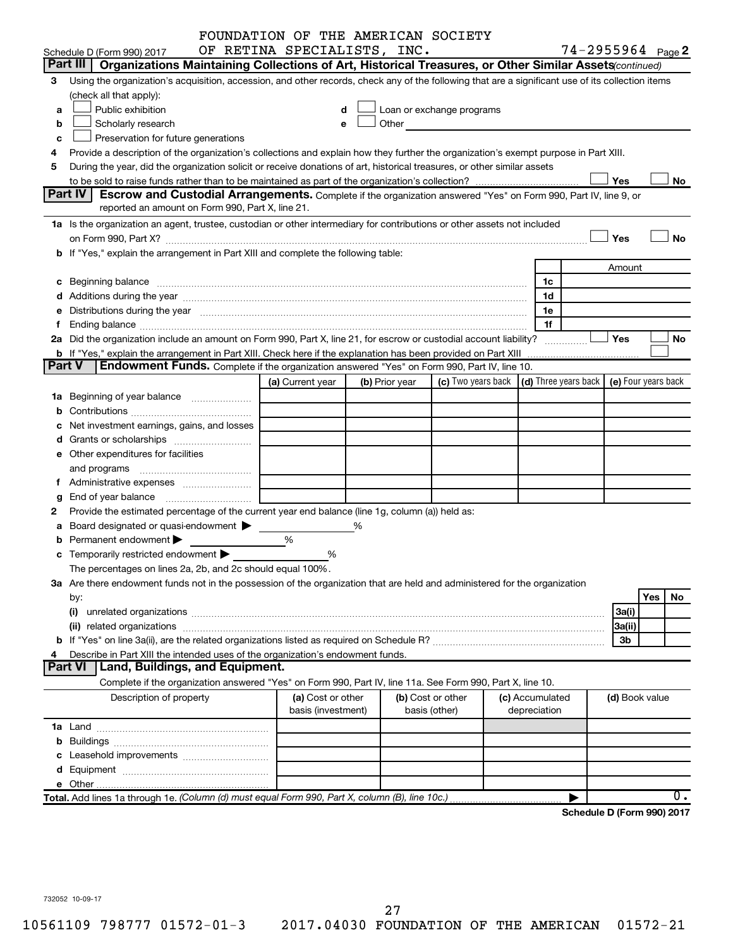|   |                                                                                                                                                                                                                                | FOUNDATION OF THE AMERICAN SOCIETY |   |                |                                                                             |                 |              |                            |                |     |               |
|---|--------------------------------------------------------------------------------------------------------------------------------------------------------------------------------------------------------------------------------|------------------------------------|---|----------------|-----------------------------------------------------------------------------|-----------------|--------------|----------------------------|----------------|-----|---------------|
|   | Schedule D (Form 990) 2017                                                                                                                                                                                                     | OF RETINA SPECIALISTS, INC.        |   |                |                                                                             |                 |              | $74 - 2955964$ Page 2      |                |     |               |
|   | Part III  <br>Organizations Maintaining Collections of Art, Historical Treasures, or Other Similar Assets (continued)                                                                                                          |                                    |   |                |                                                                             |                 |              |                            |                |     |               |
| З | Using the organization's acquisition, accession, and other records, check any of the following that are a significant use of its collection items                                                                              |                                    |   |                |                                                                             |                 |              |                            |                |     |               |
|   | (check all that apply):                                                                                                                                                                                                        |                                    |   |                |                                                                             |                 |              |                            |                |     |               |
| a | Public exhibition                                                                                                                                                                                                              |                                    |   |                | Loan or exchange programs                                                   |                 |              |                            |                |     |               |
| b | Scholarly research                                                                                                                                                                                                             |                                    |   |                | Other <b>Communication</b>                                                  |                 |              |                            |                |     |               |
| c | Preservation for future generations                                                                                                                                                                                            |                                    |   |                |                                                                             |                 |              |                            |                |     |               |
| 4 | Provide a description of the organization's collections and explain how they further the organization's exempt purpose in Part XIII.                                                                                           |                                    |   |                |                                                                             |                 |              |                            |                |     |               |
| 5 | During the year, did the organization solicit or receive donations of art, historical treasures, or other similar assets                                                                                                       |                                    |   |                |                                                                             |                 |              |                            |                |     |               |
|   |                                                                                                                                                                                                                                |                                    |   |                |                                                                             |                 |              |                            | Yes            |     | No            |
|   | <b>Part IV</b><br>Escrow and Custodial Arrangements. Complete if the organization answered "Yes" on Form 990, Part IV, line 9, or                                                                                              |                                    |   |                |                                                                             |                 |              |                            |                |     |               |
|   | reported an amount on Form 990, Part X, line 21.                                                                                                                                                                               |                                    |   |                |                                                                             |                 |              |                            |                |     |               |
|   | 1a Is the organization an agent, trustee, custodian or other intermediary for contributions or other assets not included                                                                                                       |                                    |   |                |                                                                             |                 |              |                            |                |     |               |
|   |                                                                                                                                                                                                                                |                                    |   |                |                                                                             |                 |              |                            | Yes            |     | <b>No</b>     |
|   | b If "Yes," explain the arrangement in Part XIII and complete the following table:                                                                                                                                             |                                    |   |                |                                                                             |                 |              |                            |                |     |               |
|   |                                                                                                                                                                                                                                |                                    |   |                |                                                                             |                 |              |                            | Amount         |     |               |
|   |                                                                                                                                                                                                                                |                                    |   |                |                                                                             |                 | 1c           |                            |                |     |               |
|   |                                                                                                                                                                                                                                |                                    |   |                |                                                                             |                 | 1d           |                            |                |     |               |
|   | e Distributions during the year manufactured and contain an account of the year manufactured and the year manufactured and the year manufactured and the year manufactured and the year manufactured and the year manufactured |                                    |   |                |                                                                             |                 | 1e           |                            |                |     |               |
|   |                                                                                                                                                                                                                                |                                    |   |                |                                                                             |                 | 1f           |                            |                |     |               |
|   | 2a Did the organization include an amount on Form 990, Part X, line 21, for escrow or custodial account liability?<br>Yes<br>No<br>.                                                                                           |                                    |   |                |                                                                             |                 |              |                            |                |     |               |
|   | <b>b</b> If "Yes," explain the arrangement in Part XIII. Check here if the explanation has been provided on Part XIII<br>Endowment Funds. Complete if the organization answered "Yes" on Form 990, Part IV, line 10.<br>Part V |                                    |   |                |                                                                             |                 |              |                            |                |     |               |
|   |                                                                                                                                                                                                                                |                                    |   |                |                                                                             |                 |              |                            |                |     |               |
|   |                                                                                                                                                                                                                                | (a) Current year                   |   | (b) Prior year | (c) Two years back $\vert$ (d) Three years back $\vert$ (e) Four years back |                 |              |                            |                |     |               |
|   |                                                                                                                                                                                                                                |                                    |   |                |                                                                             |                 |              |                            |                |     |               |
|   |                                                                                                                                                                                                                                |                                    |   |                |                                                                             |                 |              |                            |                |     |               |
|   | Net investment earnings, gains, and losses                                                                                                                                                                                     |                                    |   |                |                                                                             |                 |              |                            |                |     |               |
|   |                                                                                                                                                                                                                                |                                    |   |                |                                                                             |                 |              |                            |                |     |               |
|   | e Other expenditures for facilities                                                                                                                                                                                            |                                    |   |                |                                                                             |                 |              |                            |                |     |               |
|   | and programs                                                                                                                                                                                                                   |                                    |   |                |                                                                             |                 |              |                            |                |     |               |
|   |                                                                                                                                                                                                                                |                                    |   |                |                                                                             |                 |              |                            |                |     |               |
| g |                                                                                                                                                                                                                                |                                    |   |                |                                                                             |                 |              |                            |                |     |               |
|   | Provide the estimated percentage of the current year end balance (line 1g, column (a)) held as:                                                                                                                                |                                    |   |                |                                                                             |                 |              |                            |                |     |               |
| а | Board designated or quasi-endowment                                                                                                                                                                                            |                                    | % |                |                                                                             |                 |              |                            |                |     |               |
|   | Permanent endowment                                                                                                                                                                                                            | %                                  |   |                |                                                                             |                 |              |                            |                |     |               |
|   | <b>c</b> Temporarily restricted endowment $\blacktriangleright$                                                                                                                                                                | %                                  |   |                |                                                                             |                 |              |                            |                |     |               |
|   | The percentages on lines 2a, 2b, and 2c should equal 100%.                                                                                                                                                                     |                                    |   |                |                                                                             |                 |              |                            |                |     |               |
|   | 3a Are there endowment funds not in the possession of the organization that are held and administered for the organization                                                                                                     |                                    |   |                |                                                                             |                 |              |                            |                |     |               |
|   | by:                                                                                                                                                                                                                            |                                    |   |                |                                                                             |                 |              |                            |                | Yes | No            |
|   | (i)                                                                                                                                                                                                                            |                                    |   |                |                                                                             |                 |              |                            | 3a(i)          |     |               |
|   |                                                                                                                                                                                                                                |                                    |   |                |                                                                             |                 |              |                            | 3a(ii)         |     |               |
|   |                                                                                                                                                                                                                                |                                    |   |                |                                                                             |                 |              |                            | 3b             |     |               |
|   | Describe in Part XIII the intended uses of the organization's endowment funds.<br><b>Land, Buildings, and Equipment.</b><br><b>Part VI</b>                                                                                     |                                    |   |                |                                                                             |                 |              |                            |                |     |               |
|   | Complete if the organization answered "Yes" on Form 990, Part IV, line 11a. See Form 990, Part X, line 10.                                                                                                                     |                                    |   |                |                                                                             |                 |              |                            |                |     |               |
|   | Description of property                                                                                                                                                                                                        | (a) Cost or other                  |   |                | (b) Cost or other                                                           | (c) Accumulated |              |                            | (d) Book value |     |               |
|   |                                                                                                                                                                                                                                | basis (investment)                 |   |                | basis (other)                                                               |                 | depreciation |                            |                |     |               |
|   |                                                                                                                                                                                                                                |                                    |   |                |                                                                             |                 |              |                            |                |     |               |
|   |                                                                                                                                                                                                                                |                                    |   |                |                                                                             |                 |              |                            |                |     |               |
|   |                                                                                                                                                                                                                                |                                    |   |                |                                                                             |                 |              |                            |                |     |               |
|   |                                                                                                                                                                                                                                |                                    |   |                |                                                                             |                 |              |                            |                |     |               |
|   |                                                                                                                                                                                                                                |                                    |   |                |                                                                             |                 |              |                            |                |     |               |
|   | Total. Add lines 1a through 1e. (Column (d) must equal Form 990, Part X, column (B), line 10c.)                                                                                                                                |                                    |   |                |                                                                             |                 |              |                            |                |     | $\mathbf 0$ . |
|   |                                                                                                                                                                                                                                |                                    |   |                |                                                                             |                 |              | Schedule D (Form 990) 2017 |                |     |               |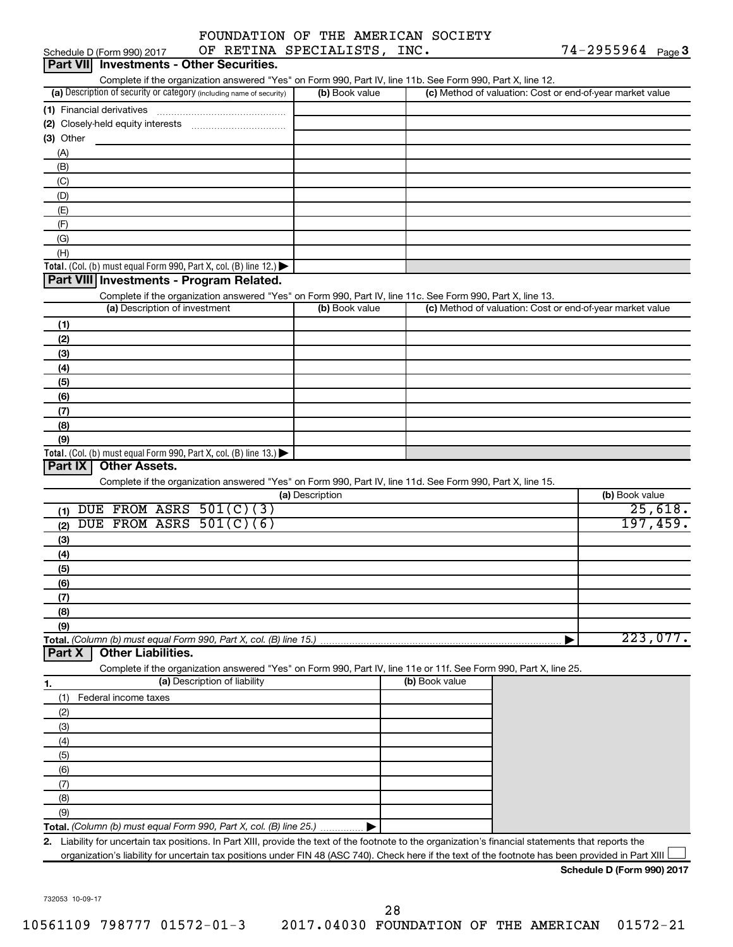| OF RETINA SPECIALISTS, INC.<br>Schedule D (Form 990) 2017                                                                                            |                 |                | $74 - 2955964$ Page 3                                     |
|------------------------------------------------------------------------------------------------------------------------------------------------------|-----------------|----------------|-----------------------------------------------------------|
| <b>Investments - Other Securities.</b><br><b>Part VIII</b>                                                                                           |                 |                |                                                           |
| Complete if the organization answered "Yes" on Form 990, Part IV, line 11b. See Form 990, Part X, line 12.                                           |                 |                |                                                           |
| (a) Description of security or category (including name of security)                                                                                 | (b) Book value  |                | (c) Method of valuation: Cost or end-of-year market value |
| (1) Financial derivatives                                                                                                                            |                 |                |                                                           |
|                                                                                                                                                      |                 |                |                                                           |
| (3) Other                                                                                                                                            |                 |                |                                                           |
| (A)                                                                                                                                                  |                 |                |                                                           |
| (B)                                                                                                                                                  |                 |                |                                                           |
| (C)                                                                                                                                                  |                 |                |                                                           |
| (D)                                                                                                                                                  |                 |                |                                                           |
| (E)                                                                                                                                                  |                 |                |                                                           |
| (F)                                                                                                                                                  |                 |                |                                                           |
| (G)                                                                                                                                                  |                 |                |                                                           |
| (H)                                                                                                                                                  |                 |                |                                                           |
| Total. (Col. (b) must equal Form 990, Part X, col. (B) line 12.) $\blacktriangleright$<br>Part VIII Investments - Program Related.                   |                 |                |                                                           |
| Complete if the organization answered "Yes" on Form 990, Part IV, line 11c. See Form 990, Part X, line 13.                                           |                 |                |                                                           |
| (a) Description of investment                                                                                                                        | (b) Book value  |                | (c) Method of valuation: Cost or end-of-year market value |
| (1)                                                                                                                                                  |                 |                |                                                           |
| (2)                                                                                                                                                  |                 |                |                                                           |
| (3)                                                                                                                                                  |                 |                |                                                           |
| (4)                                                                                                                                                  |                 |                |                                                           |
| (5)                                                                                                                                                  |                 |                |                                                           |
| (6)                                                                                                                                                  |                 |                |                                                           |
| (7)                                                                                                                                                  |                 |                |                                                           |
| (8)                                                                                                                                                  |                 |                |                                                           |
| (9)<br>Total. (Col. (b) must equal Form 990, Part X, col. (B) line 13.)                                                                              |                 |                |                                                           |
| Part IX<br><b>Other Assets.</b>                                                                                                                      |                 |                |                                                           |
| Complete if the organization answered "Yes" on Form 990, Part IV, line 11d. See Form 990, Part X, line 15.                                           |                 |                |                                                           |
|                                                                                                                                                      | (a) Description |                | (b) Book value                                            |
| DUE FROM ASRS 501(C)(3)<br>(1)                                                                                                                       |                 |                | 25,618.                                                   |
| DUE FROM ASRS 501(C)(6)<br>(2)                                                                                                                       |                 |                | 197,459.                                                  |
| (3)                                                                                                                                                  |                 |                |                                                           |
| (4)                                                                                                                                                  |                 |                |                                                           |
| (5)                                                                                                                                                  |                 |                |                                                           |
| (6)                                                                                                                                                  |                 |                |                                                           |
| (7)                                                                                                                                                  |                 |                |                                                           |
| (8)                                                                                                                                                  |                 |                |                                                           |
| (9)                                                                                                                                                  |                 |                |                                                           |
| Total. (Column (b) must equal Form 990, Part X, col. (B) line 15.).                                                                                  |                 |                | 223,077.                                                  |
| <b>Other Liabilities.</b><br>Part X                                                                                                                  |                 |                |                                                           |
| Complete if the organization answered "Yes" on Form 990, Part IV, line 11e or 11f. See Form 990, Part X, line 25.                                    |                 |                |                                                           |
| (a) Description of liability<br>1.                                                                                                                   |                 | (b) Book value |                                                           |
| Federal income taxes<br>(1)                                                                                                                          |                 |                |                                                           |
| (2)                                                                                                                                                  |                 |                |                                                           |
| (3)                                                                                                                                                  |                 |                |                                                           |
| (4)                                                                                                                                                  |                 |                |                                                           |
| (5)                                                                                                                                                  |                 |                |                                                           |
| (6)                                                                                                                                                  |                 |                |                                                           |
| (7)                                                                                                                                                  |                 |                |                                                           |
| (8)                                                                                                                                                  |                 |                |                                                           |
| (9)                                                                                                                                                  |                 |                |                                                           |
| Total. (Column (b) must equal Form 990, Part X, col. (B) line 25.)                                                                                   |                 |                |                                                           |
| 2. Liability for uncertain tax positions. In Part XIII, provide the text of the footnote to the organization's financial statements that reports the |                 |                |                                                           |
| organization's liability for uncertain tax positions under FIN 48 (ASC 740). Check here if the text of the footnote has been provided in Part XIII   |                 |                |                                                           |
|                                                                                                                                                      |                 |                | Schedule D (Form 990) 2017                                |

732053 10-09-17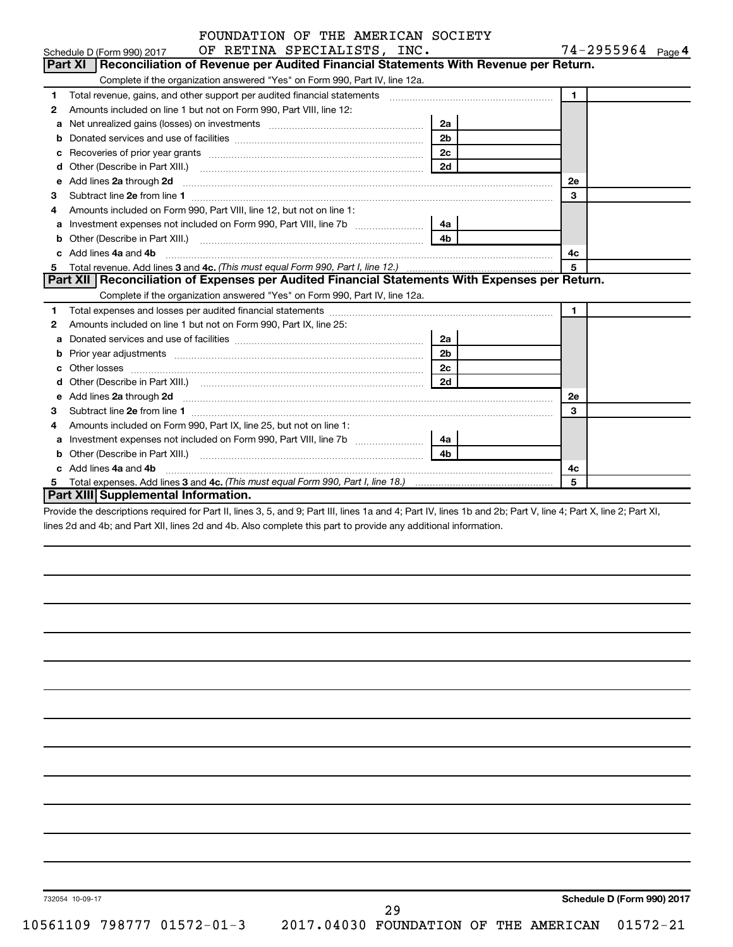| FOUNDATION OF THE AMERICAN SOCIETY |  |  |  |
|------------------------------------|--|--|--|
|                                    |  |  |  |

|    | OF RETINA SPECIALISTS, INC.<br>Schedule D (Form 990) 2017                                                                                                                                                                            |                | 74-2955964 Page 4 |
|----|--------------------------------------------------------------------------------------------------------------------------------------------------------------------------------------------------------------------------------------|----------------|-------------------|
|    | Part XI   Reconciliation of Revenue per Audited Financial Statements With Revenue per Return.                                                                                                                                        |                |                   |
|    | Complete if the organization answered "Yes" on Form 990, Part IV, line 12a.                                                                                                                                                          |                |                   |
| 1. | Total revenue, gains, and other support per audited financial statements [111] [12] Total revenue, gains, and other support per audited financial statements                                                                         |                | $\mathbf{1}$      |
| 2  | Amounts included on line 1 but not on Form 990, Part VIII, line 12:                                                                                                                                                                  |                |                   |
| a  |                                                                                                                                                                                                                                      | 2a             |                   |
| b  |                                                                                                                                                                                                                                      |                |                   |
| с  |                                                                                                                                                                                                                                      | 2 <sub>c</sub> |                   |
| d  |                                                                                                                                                                                                                                      | 2d             |                   |
| e  | Add lines 2a through 2d <b>continuum continuum contract and all the contract of the contract of the contract of the contract of the contract of the contract of the contract of the contract of the contract of the contract of </b> |                | 2е                |
| З  |                                                                                                                                                                                                                                      |                | 3                 |
| 4  | Amounts included on Form 990, Part VIII, line 12, but not on line 1:                                                                                                                                                                 |                |                   |
| a  | Investment expenses not included on Form 990, Part VIII, line 7b [[[[[[[[[[[[[[[[[[[[[[[[]]]]]]]]                                                                                                                                    | -4a l          |                   |
| b  |                                                                                                                                                                                                                                      | 4 <sub>b</sub> |                   |
| c  | Add lines 4a and 4b                                                                                                                                                                                                                  |                | 4c                |
| 5  |                                                                                                                                                                                                                                      |                |                   |
|    | Part XII Reconciliation of Expenses per Audited Financial Statements With Expenses per Return.                                                                                                                                       |                |                   |
|    | Complete if the organization answered "Yes" on Form 990, Part IV, line 12a.                                                                                                                                                          |                |                   |
| 1. |                                                                                                                                                                                                                                      |                | $\mathbf{1}$      |
| 2  | Amounts included on line 1 but not on Form 990, Part IX, line 25:                                                                                                                                                                    |                |                   |
| а  |                                                                                                                                                                                                                                      | 2a             |                   |
| b  |                                                                                                                                                                                                                                      | 2 <sub>b</sub> |                   |
| c  |                                                                                                                                                                                                                                      | 2c             |                   |
| d  |                                                                                                                                                                                                                                      | 2d             |                   |
| e  | Add lines 2a through 2d <b>manufactures</b> and the state of the state of the state of the state of the state of the state of the state of the state of the state of the state of the state of the state of the state of the state   |                | 2e                |
| з  |                                                                                                                                                                                                                                      |                | 3                 |
|    | Amounts included on Form 990, Part IX, line 25, but not on line 1:                                                                                                                                                                   |                |                   |
| a  | Investment expenses not included on Form 990, Part VIII, line 7b [                                                                                                                                                                   | 4a l           |                   |
| b  |                                                                                                                                                                                                                                      | 4 <sub>h</sub> |                   |
|    | c Add lines 4a and 4b                                                                                                                                                                                                                |                | 4c                |
|    | Total expenses. Add lines 3 and 4c. (This must equal Form 990, Part I, line 18.) <i>manumeronomeronomeron</i><br>Dout VIII Cupplemental Information                                                                                  |                | 5                 |

#### **Part XIII Supplemental Information.**

Provide the descriptions required for Part II, lines 3, 5, and 9; Part III, lines 1a and 4; Part IV, lines 1b and 2b; Part V, line 4; Part X, line 2; Part XI, lines 2d and 4b; and Part XII, lines 2d and 4b. Also complete this part to provide any additional information.

732054 10-09-17

**Schedule D (Form 990) 2017**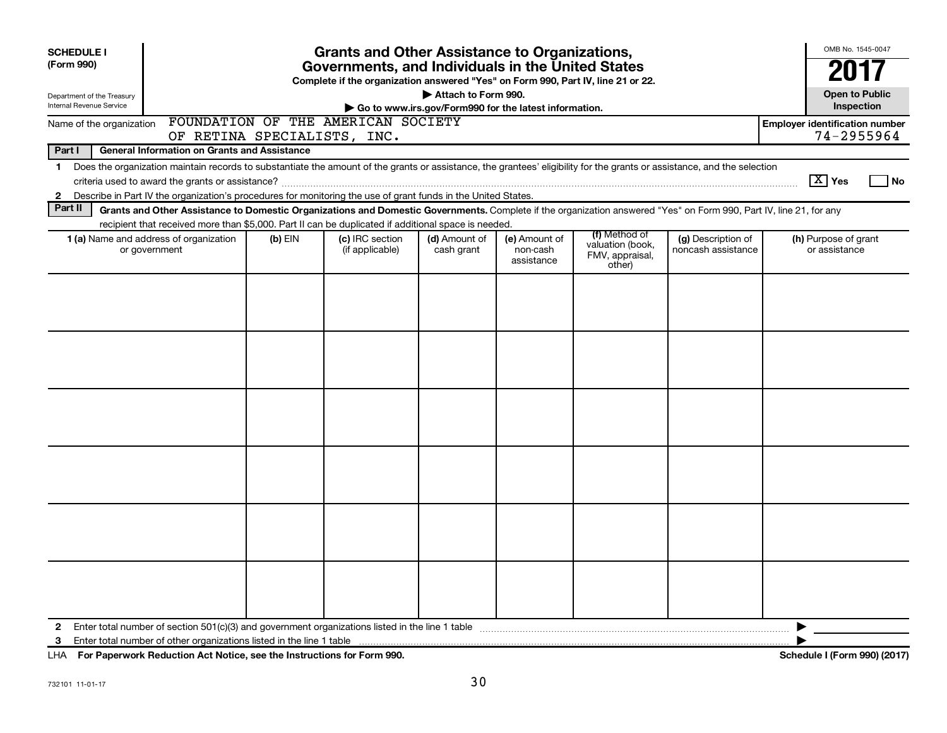| <b>SCHEDULE I</b>                                      |                                                                                                     |           | <b>Grants and Other Assistance to Organizations,</b> |                             |                                                                                                                                                                                                                                                                                                                                                                                                                                                                                                                                                                                                                                                                                                                                                                                                                                                   |                                       | OMB No. 1545-0047                                   |
|--------------------------------------------------------|-----------------------------------------------------------------------------------------------------|-----------|------------------------------------------------------|-----------------------------|---------------------------------------------------------------------------------------------------------------------------------------------------------------------------------------------------------------------------------------------------------------------------------------------------------------------------------------------------------------------------------------------------------------------------------------------------------------------------------------------------------------------------------------------------------------------------------------------------------------------------------------------------------------------------------------------------------------------------------------------------------------------------------------------------------------------------------------------------|---------------------------------------|-----------------------------------------------------|
| (Form 990)                                             |                                                                                                     |           |                                                      |                             |                                                                                                                                                                                                                                                                                                                                                                                                                                                                                                                                                                                                                                                                                                                                                                                                                                                   |                                       |                                                     |
| Department of the Treasury<br>Internal Revenue Service |                                                                                                     |           |                                                      |                             |                                                                                                                                                                                                                                                                                                                                                                                                                                                                                                                                                                                                                                                                                                                                                                                                                                                   |                                       | <b>Open to Public</b><br>Inspection                 |
| Name of the organization                               | OF RETINA SPECIALISTS, INC.                                                                         |           | FOUNDATION OF THE AMERICAN SOCIETY                   |                             |                                                                                                                                                                                                                                                                                                                                                                                                                                                                                                                                                                                                                                                                                                                                                                                                                                                   |                                       | <b>Employer identification number</b><br>74-2955964 |
| Part I                                                 | <b>General Information on Grants and Assistance</b>                                                 |           |                                                      |                             |                                                                                                                                                                                                                                                                                                                                                                                                                                                                                                                                                                                                                                                                                                                                                                                                                                                   |                                       |                                                     |
| $\mathbf 1$                                            |                                                                                                     |           |                                                      |                             |                                                                                                                                                                                                                                                                                                                                                                                                                                                                                                                                                                                                                                                                                                                                                                                                                                                   |                                       | $\boxed{\text{X}}$ Yes<br>  No                      |
| $\mathbf{2}$<br>Part II                                |                                                                                                     |           |                                                      |                             |                                                                                                                                                                                                                                                                                                                                                                                                                                                                                                                                                                                                                                                                                                                                                                                                                                                   |                                       |                                                     |
|                                                        | recipient that received more than \$5,000. Part II can be duplicated if additional space is needed. |           |                                                      |                             |                                                                                                                                                                                                                                                                                                                                                                                                                                                                                                                                                                                                                                                                                                                                                                                                                                                   |                                       |                                                     |
|                                                        | 1 (a) Name and address of organization<br>or government                                             | $(b)$ EIN | (c) IRC section<br>(if applicable)                   | (d) Amount of<br>cash grant | Governments, and Individuals in the United States<br>Complete if the organization answered "Yes" on Form 990, Part IV, line 21 or 22.<br>Attach to Form 990.<br>Go to www.irs.gov/Form990 for the latest information.<br>Does the organization maintain records to substantiate the amount of the grants or assistance, the grantees' eligibility for the grants or assistance, and the selection<br>Describe in Part IV the organization's procedures for monitoring the use of grant funds in the United States.<br>Grants and Other Assistance to Domestic Organizations and Domestic Governments. Complete if the organization answered "Yes" on Form 990, Part IV, line 21, for any<br>(f) Method of<br>(e) Amount of<br>(g) Description of<br>valuation (book,<br>noncash assistance<br>non-cash<br>FMV, appraisal,<br>assistance<br>other) | (h) Purpose of grant<br>or assistance |                                                     |
|                                                        |                                                                                                     |           |                                                      |                             |                                                                                                                                                                                                                                                                                                                                                                                                                                                                                                                                                                                                                                                                                                                                                                                                                                                   |                                       |                                                     |
|                                                        |                                                                                                     |           |                                                      |                             |                                                                                                                                                                                                                                                                                                                                                                                                                                                                                                                                                                                                                                                                                                                                                                                                                                                   |                                       |                                                     |
|                                                        |                                                                                                     |           |                                                      |                             |                                                                                                                                                                                                                                                                                                                                                                                                                                                                                                                                                                                                                                                                                                                                                                                                                                                   |                                       |                                                     |
|                                                        |                                                                                                     |           |                                                      |                             |                                                                                                                                                                                                                                                                                                                                                                                                                                                                                                                                                                                                                                                                                                                                                                                                                                                   |                                       |                                                     |
|                                                        |                                                                                                     |           |                                                      |                             |                                                                                                                                                                                                                                                                                                                                                                                                                                                                                                                                                                                                                                                                                                                                                                                                                                                   |                                       |                                                     |
|                                                        |                                                                                                     |           |                                                      |                             |                                                                                                                                                                                                                                                                                                                                                                                                                                                                                                                                                                                                                                                                                                                                                                                                                                                   |                                       |                                                     |
| 2<br>3                                                 |                                                                                                     |           |                                                      |                             |                                                                                                                                                                                                                                                                                                                                                                                                                                                                                                                                                                                                                                                                                                                                                                                                                                                   |                                       | ▶                                                   |

**For Paperwork Reduction Act Notice, see the Instructions for Form 990. Schedule I (Form 990) (2017)** LHA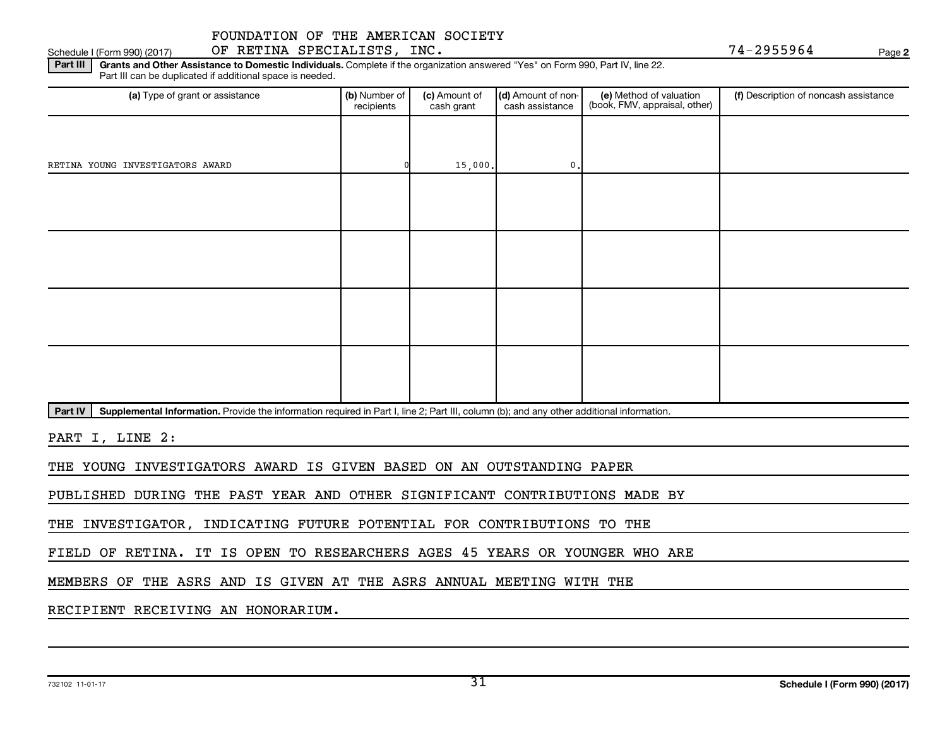Part III | Grants and Other Assistance to Domestic Individuals. Complete if the organization answered "Yes" on Form 990, Part IV, line 22. Schedule I (Form 990) (2017) OF RETINA SPECIALISTS, INC. 74-2955964 Page

(a) Type of grant or assistance **(b)** Number of  $|$  **(c)** Amount of  $|$  **(d)** Amount of non- $|$  **(e)** Method of valuation  $|$  **(f)** Part III can be duplicated if additional space is needed. (e) Method of valuation (book, FMV, appraisal, other) recipients (c) Amount of cash grant (d) Amount of noncash assistance Description of noncash assistance RETINA YOUNG INVESTIGATORS AWARD 0 15,000. 0.

Part IV | Supplemental Information. Provide the information required in Part I, line 2; Part III, column (b); and any other additional information.

PART I, LINE 2:

THE YOUNG INVESTIGATORS AWARD IS GIVEN BASED ON AN OUTSTANDING PAPER

PUBLISHED DURING THE PAST YEAR AND OTHER SIGNIFICANT CONTRIBUTIONS MADE BY

THE INVESTIGATOR, INDICATING FUTURE POTENTIAL FOR CONTRIBUTIONS TO THE

FIELD OF RETINA. IT IS OPEN TO RESEARCHERS AGES 45 YEARS OR YOUNGER WHO ARE

MEMBERS OF THE ASRS AND IS GIVEN AT THE ASRS ANNUAL MEETING WITH THE

RECIPIENT RECEIVING AN HONORARIUM.

**2**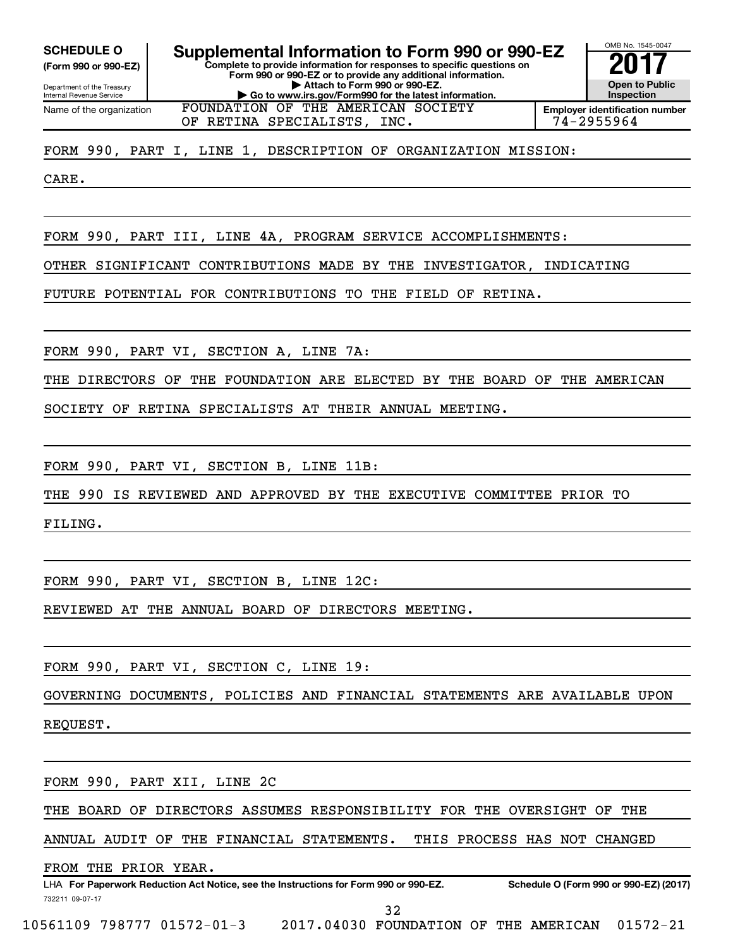**(Form 990 or 990-EZ)**

Department of the Treasury Internal Revenue Service Name of the organization

OMB No. 1545-0047 **Complete to provide information for responses to specific questions on Form 990 or 990-EZ or to provide any additional information. | Attach to Form 990 or 990-EZ. | Go to www.irs.gov/Form990 for the latest information. Open to Public Inspection Employer identification number SCHEDULE O Supplemental Information to Form 990 or 990-EZ** <br> **Complete to provide information for responses to specific questions on** FOUNDATION OF THE AMERICAN SOCIETY

OF RETINA SPECIALISTS, INC.  $\vert$  74-2955964

#### FORM 990, PART I, LINE 1, DESCRIPTION OF ORGANIZATION MISSION:

CARE.

FORM 990, PART III, LINE 4A, PROGRAM SERVICE ACCOMPLISHMENTS:

OTHER SIGNIFICANT CONTRIBUTIONS MADE BY THE INVESTIGATOR, INDICATING

FUTURE POTENTIAL FOR CONTRIBUTIONS TO THE FIELD OF RETINA.

FORM 990, PART VI, SECTION A, LINE 7A:

THE DIRECTORS OF THE FOUNDATION ARE ELECTED BY THE BOARD OF THE AMERICAN

SOCIETY OF RETINA SPECIALISTS AT THEIR ANNUAL MEETING.

FORM 990, PART VI, SECTION B, LINE 11B:

THE 990 IS REVIEWED AND APPROVED BY THE EXECUTIVE COMMITTEE PRIOR TO

FILING.

FORM 990, PART VI, SECTION B, LINE 12C:

REVIEWED AT THE ANNUAL BOARD OF DIRECTORS MEETING.

FORM 990, PART VI, SECTION C, LINE 19:

GOVERNING DOCUMENTS, POLICIES AND FINANCIAL STATEMENTS ARE AVAILABLE UPON

REQUEST.

FORM 990, PART XII, LINE 2C

THE BOARD OF DIRECTORS ASSUMES RESPONSIBILITY FOR THE OVERSIGHT OF THE

ANNUAL AUDIT OF THE FINANCIAL STATEMENTS. THIS PROCESS HAS NOT CHANGED

FROM THE PRIOR YEAR.

732211 09-07-17 LHA For Paperwork Reduction Act Notice, see the Instructions for Form 990 or 990-EZ. Schedule O (Form 990 or 990-EZ) (2017)

32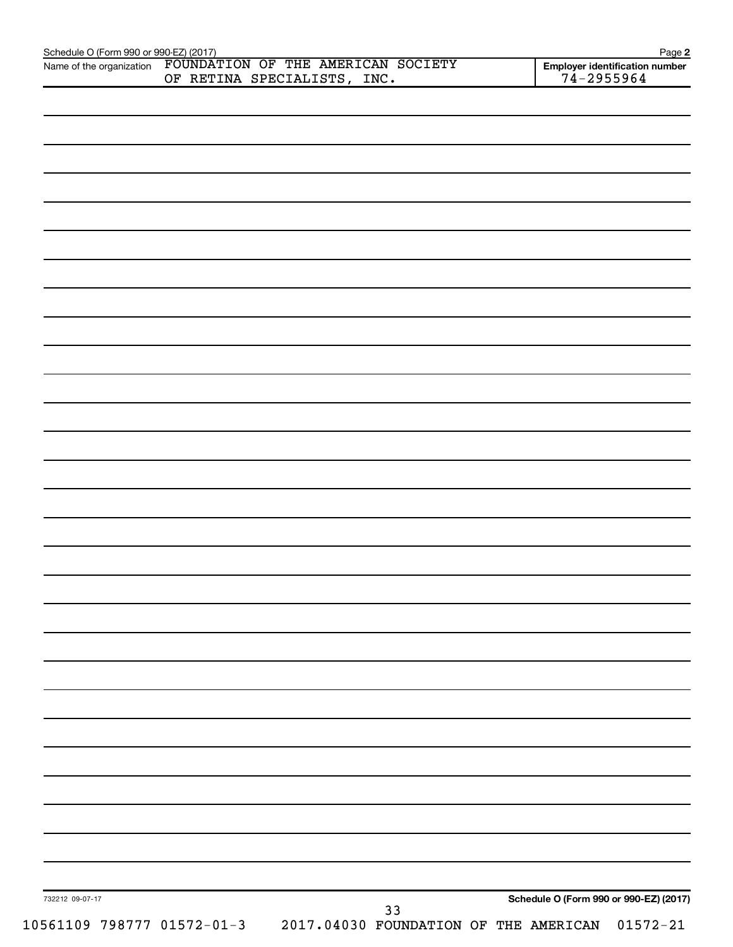|                 | Name of the organization FOUNDATION OF THE AMERICAN SOCIETY |    | Employer identification number<br>$74 - 2955964$ |  |
|-----------------|-------------------------------------------------------------|----|--------------------------------------------------|--|
|                 | OF RETINA SPECIALISTS, INC.                                 |    |                                                  |  |
|                 |                                                             |    |                                                  |  |
|                 |                                                             |    |                                                  |  |
|                 |                                                             |    |                                                  |  |
|                 |                                                             |    |                                                  |  |
|                 |                                                             |    |                                                  |  |
|                 |                                                             |    |                                                  |  |
|                 |                                                             |    |                                                  |  |
|                 |                                                             |    |                                                  |  |
|                 |                                                             |    |                                                  |  |
|                 |                                                             |    |                                                  |  |
|                 |                                                             |    |                                                  |  |
|                 |                                                             |    |                                                  |  |
|                 |                                                             |    |                                                  |  |
|                 |                                                             |    |                                                  |  |
|                 |                                                             |    |                                                  |  |
|                 |                                                             |    |                                                  |  |
|                 |                                                             |    |                                                  |  |
|                 |                                                             |    |                                                  |  |
|                 |                                                             |    |                                                  |  |
|                 |                                                             |    |                                                  |  |
|                 |                                                             |    |                                                  |  |
|                 |                                                             |    |                                                  |  |
|                 |                                                             |    |                                                  |  |
|                 |                                                             |    |                                                  |  |
|                 |                                                             |    |                                                  |  |
|                 |                                                             |    |                                                  |  |
|                 |                                                             |    |                                                  |  |
|                 |                                                             |    |                                                  |  |
|                 |                                                             |    |                                                  |  |
|                 |                                                             |    |                                                  |  |
|                 |                                                             |    |                                                  |  |
|                 |                                                             |    |                                                  |  |
|                 |                                                             |    |                                                  |  |
|                 |                                                             |    |                                                  |  |
|                 |                                                             |    |                                                  |  |
|                 |                                                             |    |                                                  |  |
|                 |                                                             |    |                                                  |  |
|                 |                                                             |    |                                                  |  |
|                 |                                                             |    |                                                  |  |
|                 |                                                             |    |                                                  |  |
|                 |                                                             |    |                                                  |  |
|                 |                                                             |    |                                                  |  |
|                 |                                                             |    |                                                  |  |
|                 |                                                             |    |                                                  |  |
|                 |                                                             |    |                                                  |  |
|                 |                                                             |    |                                                  |  |
|                 |                                                             |    |                                                  |  |
| 732212 09-07-17 |                                                             |    | Schedule O (Form 990 or 990-EZ) (2017)           |  |
|                 |                                                             | 33 |                                                  |  |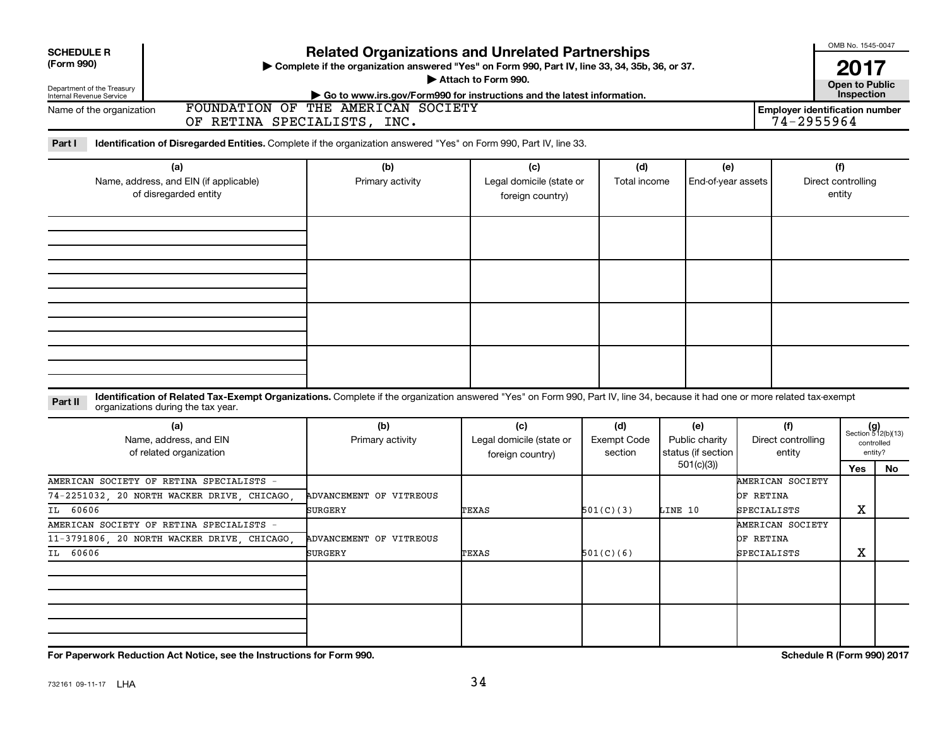| <b>SCHEDULE R</b><br>(Form 990)<br>Department of the Treasury<br>Internal Revenue Service                                                                                                                                     | <b>Related Organizations and Unrelated Partnerships</b><br>> Complete if the organization answered "Yes" on Form 990, Part IV, line 33, 34, 35b, 36, or 37.<br>Attach to Form 990.<br>Go to www.irs.gov/Form990 for instructions and the latest information. |                                                     |                                      |                                                          |                                                     |                                     |                                                            |  |  |  |
|-------------------------------------------------------------------------------------------------------------------------------------------------------------------------------------------------------------------------------|--------------------------------------------------------------------------------------------------------------------------------------------------------------------------------------------------------------------------------------------------------------|-----------------------------------------------------|--------------------------------------|----------------------------------------------------------|-----------------------------------------------------|-------------------------------------|------------------------------------------------------------|--|--|--|
| Name of the organization                                                                                                                                                                                                      | FOUNDATION OF THE AMERICAN SOCIETY<br>OF RETINA SPECIALISTS, INC.                                                                                                                                                                                            |                                                     |                                      |                                                          | <b>Employer identification number</b><br>74-2955964 | Inspection                          |                                                            |  |  |  |
| Identification of Disregarded Entities. Complete if the organization answered "Yes" on Form 990, Part IV, line 33.<br>Part I                                                                                                  |                                                                                                                                                                                                                                                              |                                                     |                                      |                                                          |                                                     |                                     |                                                            |  |  |  |
| (a)<br>Name, address, and EIN (if applicable)<br>of disregarded entity                                                                                                                                                        | (b)<br>Primary activity                                                                                                                                                                                                                                      | (c)<br>Legal domicile (state or<br>foreign country) | (d)<br>Total income                  | (e)<br>End-of-year assets                                |                                                     | (f)<br>Direct controlling<br>entity |                                                            |  |  |  |
|                                                                                                                                                                                                                               |                                                                                                                                                                                                                                                              |                                                     |                                      |                                                          |                                                     |                                     |                                                            |  |  |  |
|                                                                                                                                                                                                                               |                                                                                                                                                                                                                                                              |                                                     |                                      |                                                          |                                                     |                                     |                                                            |  |  |  |
| Identification of Related Tax-Exempt Organizations. Complete if the organization answered "Yes" on Form 990, Part IV, line 34, because it had one or more related tax-exempt<br>Part II<br>organizations during the tax year. |                                                                                                                                                                                                                                                              |                                                     |                                      |                                                          |                                                     |                                     |                                                            |  |  |  |
| (a)<br>Name, address, and EIN<br>of related organization                                                                                                                                                                      | (b)<br>Primary activity                                                                                                                                                                                                                                      | (c)<br>Legal domicile (state or<br>foreign country) | (d)<br><b>Exempt Code</b><br>section | (e)<br>Public charity<br>status (if section<br>501(c)(3) |                                                     | Direct controlling<br>Yes           | $(g)$<br>Section 512(b)(13)<br>controlled<br>entity?<br>No |  |  |  |
| AMERICAN SOCIETY OF RETINA SPECIALISTS -<br>74-2251032, 20 NORTH WACKER DRIVE, CHICAGO,<br>IL 60606                                                                                                                           | ADVANCEMENT OF VITREOUS<br>SURGERY                                                                                                                                                                                                                           | TEXAS                                               | 501(C)(3)<br>LINE 10                 |                                                          | AMERICAN SOCIETY<br>OF RETINA<br>SPECIALISTS        | х                                   |                                                            |  |  |  |
| AMERICAN SOCIETY OF RETINA SPECIALISTS -<br>11-3791806, 20 NORTH WACKER DRIVE, CHICAGO,<br>IL 60606                                                                                                                           | ADVANCEMENT OF VITREOUS<br>SURGERY                                                                                                                                                                                                                           | TEXAS                                               | 501(C)(6)                            |                                                          | AMERICAN SOCIETY<br>OF RETINA<br>SPECIALISTS        | х                                   |                                                            |  |  |  |
|                                                                                                                                                                                                                               |                                                                                                                                                                                                                                                              |                                                     |                                      |                                                          |                                                     |                                     |                                                            |  |  |  |
| For Paperwork Reduction Act Notice, see the Instructions for Form 990.                                                                                                                                                        |                                                                                                                                                                                                                                                              |                                                     |                                      |                                                          |                                                     | Schedule R (Form 990) 2017          |                                                            |  |  |  |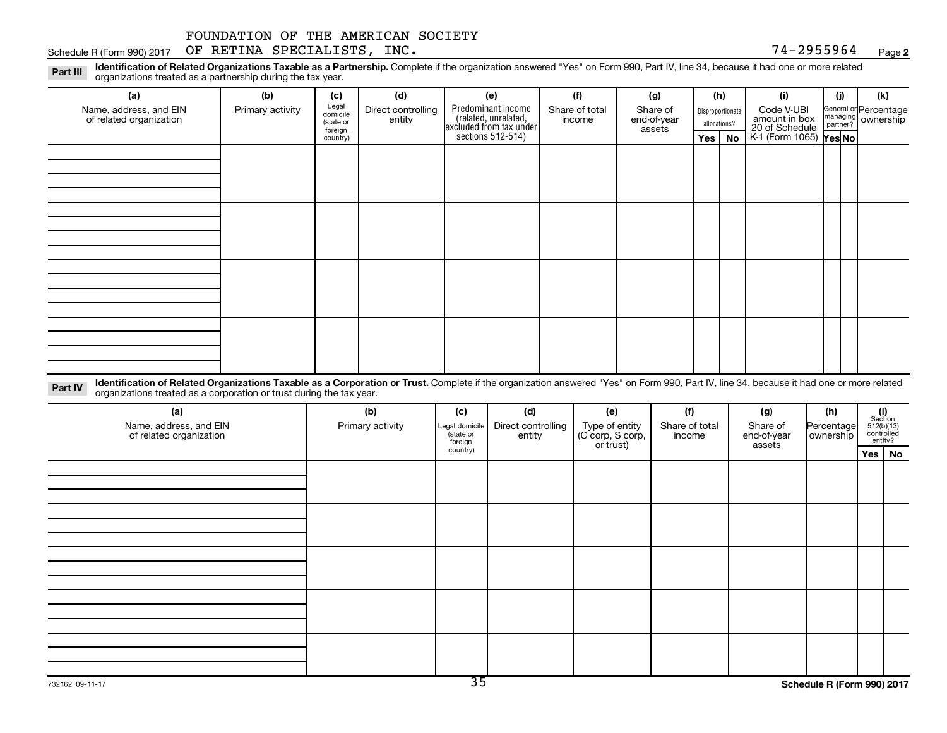**2** Schedule R (Form 990) 2017  $\,$  OF RETINA SPECIALISTS, INC.  $\,$   $\,$ 

Part III Identification of Related Organizations Taxable as a Partnership. Complete if the organization answered "Yes" on Form 990, Part IV, line 34, because it had one or more related<br>Part III International tracted as a p organizations treated as a partnership during the tax year.

| (a)                                                                                                                                                                                                    | (b)              | (c)                                       | (d)                          | (e)                                                                   | (f)                      | (g)                               |         | (h)                              | (i)                                           | (i) | (k)                                         |
|--------------------------------------------------------------------------------------------------------------------------------------------------------------------------------------------------------|------------------|-------------------------------------------|------------------------------|-----------------------------------------------------------------------|--------------------------|-----------------------------------|---------|----------------------------------|-----------------------------------------------|-----|---------------------------------------------|
| Name, address, and EIN<br>of related organization                                                                                                                                                      | Primary activity | Legal<br>domicile<br>(state or<br>foreign | Direct controlling<br>entity | Predominant income<br>(related, unrelated,<br>excluded from tax under | Share of total<br>income | Share of<br>end-of-year<br>assets |         | Disproportionate<br>allocations? | Code V-UBI<br>amount in box<br>20 of Schedule |     | General or Percentage<br>managing ownership |
|                                                                                                                                                                                                        |                  | country)                                  |                              | sections 512-514)                                                     |                          |                                   | Yes $ $ | No                               | K-1 (Form 1065) <b>Yes No</b>                 |     |                                             |
|                                                                                                                                                                                                        |                  |                                           |                              |                                                                       |                          |                                   |         |                                  |                                               |     |                                             |
|                                                                                                                                                                                                        |                  |                                           |                              |                                                                       |                          |                                   |         |                                  |                                               |     |                                             |
|                                                                                                                                                                                                        |                  |                                           |                              |                                                                       |                          |                                   |         |                                  |                                               |     |                                             |
|                                                                                                                                                                                                        |                  |                                           |                              |                                                                       |                          |                                   |         |                                  |                                               |     |                                             |
|                                                                                                                                                                                                        |                  |                                           |                              |                                                                       |                          |                                   |         |                                  |                                               |     |                                             |
|                                                                                                                                                                                                        |                  |                                           |                              |                                                                       |                          |                                   |         |                                  |                                               |     |                                             |
|                                                                                                                                                                                                        |                  |                                           |                              |                                                                       |                          |                                   |         |                                  |                                               |     |                                             |
|                                                                                                                                                                                                        |                  |                                           |                              |                                                                       |                          |                                   |         |                                  |                                               |     |                                             |
|                                                                                                                                                                                                        |                  |                                           |                              |                                                                       |                          |                                   |         |                                  |                                               |     |                                             |
|                                                                                                                                                                                                        |                  |                                           |                              |                                                                       |                          |                                   |         |                                  |                                               |     |                                             |
|                                                                                                                                                                                                        |                  |                                           |                              |                                                                       |                          |                                   |         |                                  |                                               |     |                                             |
|                                                                                                                                                                                                        |                  |                                           |                              |                                                                       |                          |                                   |         |                                  |                                               |     |                                             |
|                                                                                                                                                                                                        |                  |                                           |                              |                                                                       |                          |                                   |         |                                  |                                               |     |                                             |
|                                                                                                                                                                                                        |                  |                                           |                              |                                                                       |                          |                                   |         |                                  |                                               |     |                                             |
|                                                                                                                                                                                                        |                  |                                           |                              |                                                                       |                          |                                   |         |                                  |                                               |     |                                             |
|                                                                                                                                                                                                        |                  |                                           |                              |                                                                       |                          |                                   |         |                                  |                                               |     |                                             |
| Identification of Related Organizations Taxable as a Corporation or Trust. Complete if the organization answered "Yes" on Form 990, Part IV, line 34, because it had one or more related<br>$D_{out}N$ |                  |                                           |                              |                                                                       |                          |                                   |         |                                  |                                               |     |                                             |

**Part IV** Identification of Related Organizations Taxable as a Corporation or Trust.<br>
organizations treated as a corporation or trust during the tax year. Complete if the organization answered "Yes" on Form 990, Part IV, line 34, because it had one or more related

| (a)<br>Name, address, and EIN<br>of related organization | (b)<br>Primary activity | (c)<br>Legal domicile<br>(state or<br>foreign | (d)<br>Direct controlling<br>entity | (e)<br>Type of entity<br>(C corp, S corp,<br>or trust) | (f)<br>Share of total<br>income | (h)<br>(g)<br>Share of<br>Percentage<br>ownership<br>end-of-year<br>assets |  | $\begin{array}{c} \textbf{(i)}\\ \text{Section}\\ 512 \text{(b)} \text{(13)}\\ \text{controlled} \\ \text{entity?} \end{array}$ |
|----------------------------------------------------------|-------------------------|-----------------------------------------------|-------------------------------------|--------------------------------------------------------|---------------------------------|----------------------------------------------------------------------------|--|---------------------------------------------------------------------------------------------------------------------------------|
|                                                          |                         | country)                                      |                                     |                                                        |                                 |                                                                            |  | Yes   No                                                                                                                        |
|                                                          |                         |                                               |                                     |                                                        |                                 |                                                                            |  |                                                                                                                                 |
|                                                          |                         |                                               |                                     |                                                        |                                 |                                                                            |  |                                                                                                                                 |
|                                                          |                         |                                               |                                     |                                                        |                                 |                                                                            |  |                                                                                                                                 |
|                                                          |                         |                                               |                                     |                                                        |                                 |                                                                            |  |                                                                                                                                 |
|                                                          |                         |                                               |                                     |                                                        |                                 |                                                                            |  |                                                                                                                                 |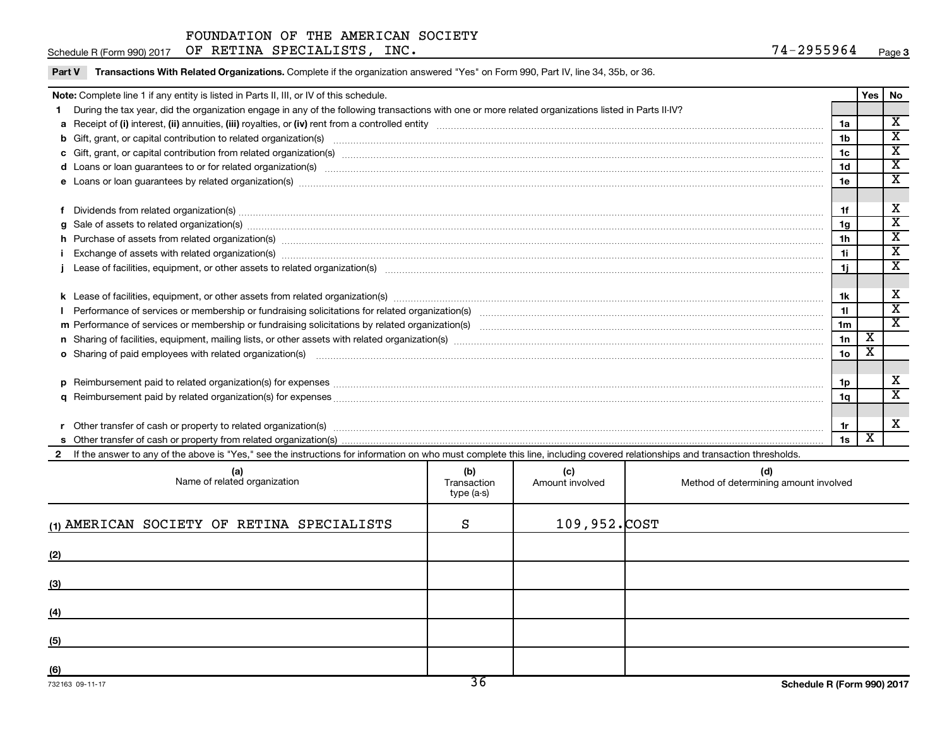Part V Transactions With Related Organizations. Complete if the organization answered "Yes" on Form 990, Part IV, line 34, 35b, or 36.

|                                                                                                                                                                                                                                | Note: Complete line 1 if any entity is listed in Parts II, III, or IV of this schedule.                                                                                                                                        |                  |                 |                                       |                 | Yes | No                                                 |  |  |  |
|--------------------------------------------------------------------------------------------------------------------------------------------------------------------------------------------------------------------------------|--------------------------------------------------------------------------------------------------------------------------------------------------------------------------------------------------------------------------------|------------------|-----------------|---------------------------------------|-----------------|-----|----------------------------------------------------|--|--|--|
|                                                                                                                                                                                                                                | During the tax year, did the organization engage in any of the following transactions with one or more related organizations listed in Parts II-IV?                                                                            |                  |                 |                                       |                 |     | $\overline{\mathbf{x}}$                            |  |  |  |
|                                                                                                                                                                                                                                |                                                                                                                                                                                                                                |                  |                 |                                       |                 |     |                                                    |  |  |  |
|                                                                                                                                                                                                                                |                                                                                                                                                                                                                                |                  |                 |                                       | 1 <sub>b</sub>  |     | $\overline{\texttt{x}}$<br>$\overline{\textbf{X}}$ |  |  |  |
|                                                                                                                                                                                                                                |                                                                                                                                                                                                                                |                  |                 |                                       |                 |     |                                                    |  |  |  |
| d Loans or loan guarantees to or for related organization(s) www.communically.com/www.communically.com/www.communically.com/www.communically.com/www.communically.com/www.communically.com/www.communically.com/www.communical |                                                                                                                                                                                                                                |                  |                 |                                       |                 |     |                                                    |  |  |  |
|                                                                                                                                                                                                                                |                                                                                                                                                                                                                                |                  |                 |                                       |                 |     |                                                    |  |  |  |
|                                                                                                                                                                                                                                |                                                                                                                                                                                                                                |                  |                 |                                       |                 |     |                                                    |  |  |  |
|                                                                                                                                                                                                                                | Dividends from related organization(s) machinesis and contract and contract and contract and contract and contract and contract and contract and contract and contract and contract and contract and contract and contract and |                  |                 |                                       | 1f              |     | х                                                  |  |  |  |
| $\alpha$                                                                                                                                                                                                                       | Sale of assets to related organization(s) www.assemance.com/www.assemance.com/www.assemance.com/www.assemance.com/www.assemance.com/www.assemance.com/www.assemance.com/www.assemance.com/www.assemance.com/www.assemance.com/ |                  |                 |                                       | 1g              |     | $\overline{\texttt{x}}$                            |  |  |  |
|                                                                                                                                                                                                                                | h Purchase of assets from related organization(s) manufactured and content to content the content of the content of the content of the content of the content of the content of the content of the content of the content of t |                  |                 |                                       | 1 <sup>h</sup>  |     | $\overline{\mathtt{x}}$                            |  |  |  |
|                                                                                                                                                                                                                                | Exchange of assets with related organization(s) www.assettion.com/www.assettion.com/www.assettion.com/www.assettion.com/www.assettion.com/www.assettion.com/www.assettion.com/www.assettion.com/www.assettion.com/www.assettio |                  |                 |                                       | 1i              |     | $\overline{\texttt{x}}$                            |  |  |  |
|                                                                                                                                                                                                                                |                                                                                                                                                                                                                                |                  |                 |                                       |                 |     | $\overline{\mathbf{x}}$                            |  |  |  |
|                                                                                                                                                                                                                                |                                                                                                                                                                                                                                |                  |                 |                                       |                 |     |                                                    |  |  |  |
|                                                                                                                                                                                                                                |                                                                                                                                                                                                                                |                  |                 |                                       |                 |     |                                                    |  |  |  |
|                                                                                                                                                                                                                                |                                                                                                                                                                                                                                |                  |                 |                                       | 11              |     | $\overline{\textbf{x}}$                            |  |  |  |
|                                                                                                                                                                                                                                |                                                                                                                                                                                                                                |                  |                 |                                       | 1 <sub>m</sub>  |     | $\overline{\text{x}}$                              |  |  |  |
|                                                                                                                                                                                                                                |                                                                                                                                                                                                                                |                  |                 |                                       | 1n              | х   |                                                    |  |  |  |
|                                                                                                                                                                                                                                | o Sharing of paid employees with related organization(s) manufactured and content to the contract or starting of paid employees with related organization(s) manufactured and content and content and content of the content o |                  |                 |                                       | 10 <sub>o</sub> | х   |                                                    |  |  |  |
|                                                                                                                                                                                                                                |                                                                                                                                                                                                                                |                  |                 |                                       |                 |     |                                                    |  |  |  |
|                                                                                                                                                                                                                                |                                                                                                                                                                                                                                |                  |                 |                                       | 1p              |     | х                                                  |  |  |  |
|                                                                                                                                                                                                                                |                                                                                                                                                                                                                                |                  |                 |                                       | 1q              |     | $\overline{\mathtt{x}}$                            |  |  |  |
|                                                                                                                                                                                                                                |                                                                                                                                                                                                                                |                  |                 |                                       |                 |     |                                                    |  |  |  |
|                                                                                                                                                                                                                                |                                                                                                                                                                                                                                |                  |                 |                                       | 1r              |     | X                                                  |  |  |  |
|                                                                                                                                                                                                                                |                                                                                                                                                                                                                                |                  |                 |                                       | 1s              | X   |                                                    |  |  |  |
|                                                                                                                                                                                                                                | 2 If the answer to any of the above is "Yes," see the instructions for information on who must complete this line, including covered relationships and transaction thresholds.                                                 |                  |                 |                                       |                 |     |                                                    |  |  |  |
|                                                                                                                                                                                                                                |                                                                                                                                                                                                                                | (b)              | (c)             | (d)                                   |                 |     |                                                    |  |  |  |
|                                                                                                                                                                                                                                | (a)<br>Name of related organization                                                                                                                                                                                            | Transaction      | Amount involved | Method of determining amount involved |                 |     |                                                    |  |  |  |
|                                                                                                                                                                                                                                |                                                                                                                                                                                                                                | $t$ and $(a, c)$ |                 |                                       |                 |     |                                                    |  |  |  |

| Name of related organization               | יש<br>Transaction<br>type (a-s) | ्ज<br>Amount involved | la)<br>Method of determining amount involved |
|--------------------------------------------|---------------------------------|-----------------------|----------------------------------------------|
| (1) AMERICAN SOCIETY OF RETINA SPECIALISTS | S                               | 109,952.COST          |                                              |
| (2)                                        |                                 |                       |                                              |
| (3)                                        |                                 |                       |                                              |
| (4)                                        |                                 |                       |                                              |
| (5)                                        |                                 |                       |                                              |
| (6)                                        | $\overline{\phantom{a}}$        |                       |                                              |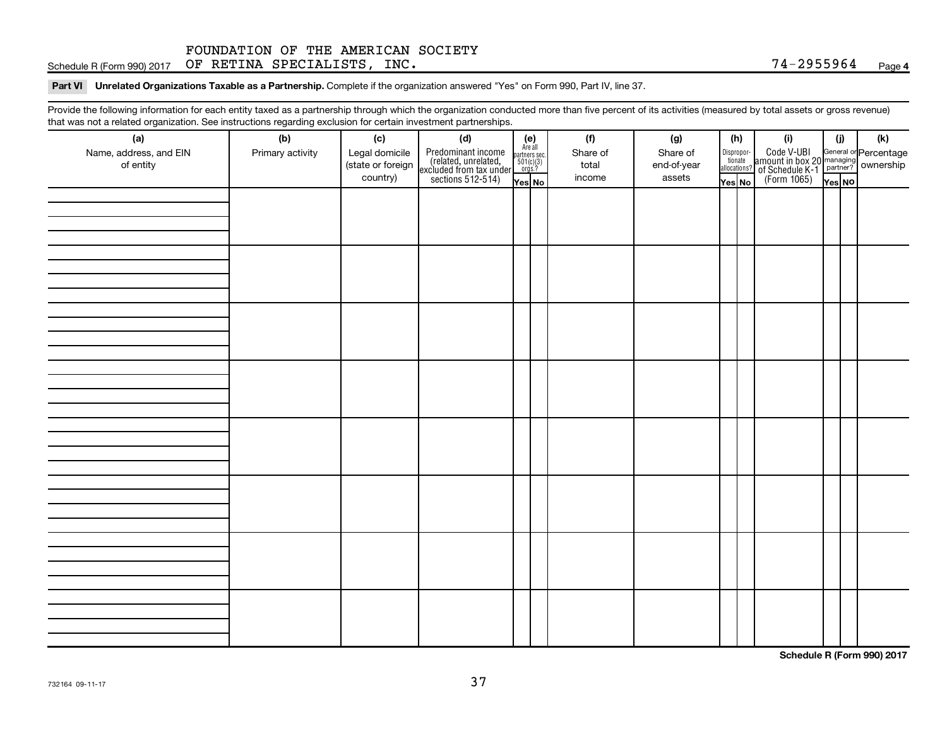Schedule R (Form 990) 2017  $\,$  OF RETINA SPECIALISTS, INC.  $\,$   $\,$ 

Part VI Unrelated Organizations Taxable as a Partnership. Complete if the organization answered "Yes" on Form 990, Part IV, line 37.

Provide the following information for each entity taxed as a partnership through which the organization conducted more than five percent of its activities (measured by total assets or gross revenue) that was not a related organization. See instructions regarding exclusion for certain investment partnerships.

| that was not a related erganization. Occ includitions regarding exclusion for cortain investment partnerships.<br>(a) | (b)              | (c)               | (d)                                                                                        |                                                            |  | (f)      | (g)         |                                       | (h) | (i)                                                                            | (i)    | (k) |  |
|-----------------------------------------------------------------------------------------------------------------------|------------------|-------------------|--------------------------------------------------------------------------------------------|------------------------------------------------------------|--|----------|-------------|---------------------------------------|-----|--------------------------------------------------------------------------------|--------|-----|--|
| Name, address, and EIN                                                                                                | Primary activity | Legal domicile    |                                                                                            | $(e)$<br>Are all<br>partners sec.<br>$501(c)(3)$<br>orgs.? |  | Share of | Share of    |                                       |     |                                                                                |        |     |  |
| of entity                                                                                                             |                  | (state or foreign |                                                                                            |                                                            |  | total    | end-of-year | Dispropor-<br>tionate<br>allocations? |     | Code V-UBI<br>amount in box 20 managing<br>Percentage<br>(Form 1065)<br>Tes No |        |     |  |
|                                                                                                                       |                  | country)          | Predominant income<br>(related, unrelated,<br>excluded from tax under<br>sections 512-514) | Yes No                                                     |  | income   | assets      | Yes No                                |     |                                                                                | Yes NO |     |  |
|                                                                                                                       |                  |                   |                                                                                            |                                                            |  |          |             |                                       |     |                                                                                |        |     |  |
|                                                                                                                       |                  |                   |                                                                                            |                                                            |  |          |             |                                       |     |                                                                                |        |     |  |
|                                                                                                                       |                  |                   |                                                                                            |                                                            |  |          |             |                                       |     |                                                                                |        |     |  |
|                                                                                                                       |                  |                   |                                                                                            |                                                            |  |          |             |                                       |     |                                                                                |        |     |  |
|                                                                                                                       |                  |                   |                                                                                            |                                                            |  |          |             |                                       |     |                                                                                |        |     |  |
|                                                                                                                       |                  |                   |                                                                                            |                                                            |  |          |             |                                       |     |                                                                                |        |     |  |
|                                                                                                                       |                  |                   |                                                                                            |                                                            |  |          |             |                                       |     |                                                                                |        |     |  |
|                                                                                                                       |                  |                   |                                                                                            |                                                            |  |          |             |                                       |     |                                                                                |        |     |  |
|                                                                                                                       |                  |                   |                                                                                            |                                                            |  |          |             |                                       |     |                                                                                |        |     |  |
|                                                                                                                       |                  |                   |                                                                                            |                                                            |  |          |             |                                       |     |                                                                                |        |     |  |
|                                                                                                                       |                  |                   |                                                                                            |                                                            |  |          |             |                                       |     |                                                                                |        |     |  |
|                                                                                                                       |                  |                   |                                                                                            |                                                            |  |          |             |                                       |     |                                                                                |        |     |  |
|                                                                                                                       |                  |                   |                                                                                            |                                                            |  |          |             |                                       |     |                                                                                |        |     |  |
|                                                                                                                       |                  |                   |                                                                                            |                                                            |  |          |             |                                       |     |                                                                                |        |     |  |
|                                                                                                                       |                  |                   |                                                                                            |                                                            |  |          |             |                                       |     |                                                                                |        |     |  |
|                                                                                                                       |                  |                   |                                                                                            |                                                            |  |          |             |                                       |     |                                                                                |        |     |  |
|                                                                                                                       |                  |                   |                                                                                            |                                                            |  |          |             |                                       |     |                                                                                |        |     |  |
|                                                                                                                       |                  |                   |                                                                                            |                                                            |  |          |             |                                       |     |                                                                                |        |     |  |
|                                                                                                                       |                  |                   |                                                                                            |                                                            |  |          |             |                                       |     |                                                                                |        |     |  |
|                                                                                                                       |                  |                   |                                                                                            |                                                            |  |          |             |                                       |     |                                                                                |        |     |  |
|                                                                                                                       |                  |                   |                                                                                            |                                                            |  |          |             |                                       |     |                                                                                |        |     |  |
|                                                                                                                       |                  |                   |                                                                                            |                                                            |  |          |             |                                       |     |                                                                                |        |     |  |
|                                                                                                                       |                  |                   |                                                                                            |                                                            |  |          |             |                                       |     |                                                                                |        |     |  |
|                                                                                                                       |                  |                   |                                                                                            |                                                            |  |          |             |                                       |     |                                                                                |        |     |  |
|                                                                                                                       |                  |                   |                                                                                            |                                                            |  |          |             |                                       |     |                                                                                |        |     |  |
|                                                                                                                       |                  |                   |                                                                                            |                                                            |  |          |             |                                       |     |                                                                                |        |     |  |
|                                                                                                                       |                  |                   |                                                                                            |                                                            |  |          |             |                                       |     |                                                                                |        |     |  |
|                                                                                                                       |                  |                   |                                                                                            |                                                            |  |          |             |                                       |     |                                                                                |        |     |  |
|                                                                                                                       |                  |                   |                                                                                            |                                                            |  |          |             |                                       |     |                                                                                |        |     |  |
|                                                                                                                       |                  |                   |                                                                                            |                                                            |  |          |             |                                       |     |                                                                                |        |     |  |
|                                                                                                                       |                  |                   |                                                                                            |                                                            |  |          |             |                                       |     |                                                                                |        |     |  |
|                                                                                                                       |                  |                   |                                                                                            |                                                            |  |          |             |                                       |     |                                                                                |        |     |  |

**Schedule R (Form 990) 2017**